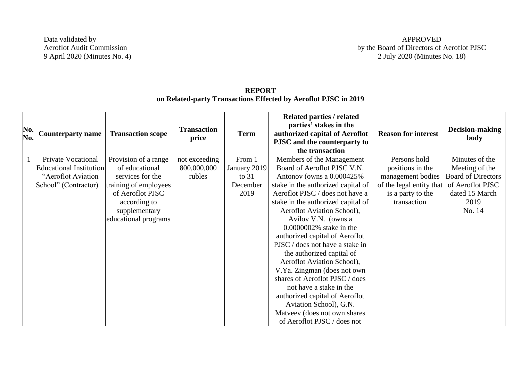Data validated by Aeroflot Audit Commission 9 April 2020 (Minutes No. 4)

| No.<br>No. | <b>Counterparty name</b>       | <b>Transaction scope</b> | <b>Transaction</b><br>price | <b>Term</b>  | Related parties / related<br>parties' stakes in the<br>authorized capital of Aeroflot<br>PJSC and the counterparty to<br>the transaction | <b>Reason for interest</b> | Decision-making<br>body   |
|------------|--------------------------------|--------------------------|-----------------------------|--------------|------------------------------------------------------------------------------------------------------------------------------------------|----------------------------|---------------------------|
|            | Private Vocational             | Provision of a range     | not exceeding               | From 1       | Members of the Management                                                                                                                | Persons hold               | Minutes of the            |
|            | <b>Educational Institution</b> | of educational           | 800,000,000                 | January 2019 | Board of Aeroflot PJSC V.N.                                                                                                              | positions in the           | Meeting of the            |
|            | "Aeroflot Aviation             | services for the         | rubles                      | to $31$      | Antonov (owns a 0.000425%                                                                                                                | management bodies          | <b>Board of Directors</b> |
|            | School" (Contractor)           | training of employees    |                             | December     | stake in the authorized capital of                                                                                                       | of the legal entity that   | of Aeroflot PJSC          |
|            |                                | of Aeroflot PJSC         |                             | 2019         | Aeroflot PJSC / does not have a                                                                                                          | is a party to the          | dated 15 March            |
|            |                                | according to             |                             |              | stake in the authorized capital of                                                                                                       | transaction                | 2019                      |
|            |                                | supplementary            |                             |              | Aeroflot Aviation School),                                                                                                               |                            | No. 14                    |
|            |                                | educational programs     |                             |              | Avilov V.N. (owns a                                                                                                                      |                            |                           |
|            |                                |                          |                             |              | 0.0000002% stake in the                                                                                                                  |                            |                           |
|            |                                |                          |                             |              | authorized capital of Aeroflot                                                                                                           |                            |                           |
|            |                                |                          |                             |              | PJSC / does not have a stake in                                                                                                          |                            |                           |
|            |                                |                          |                             |              | the authorized capital of                                                                                                                |                            |                           |
|            |                                |                          |                             |              | Aeroflot Aviation School),                                                                                                               |                            |                           |
|            |                                |                          |                             |              | V.Ya. Zingman (does not own                                                                                                              |                            |                           |
|            |                                |                          |                             |              | shares of Aeroflot PJSC / does                                                                                                           |                            |                           |
|            |                                |                          |                             |              | not have a stake in the                                                                                                                  |                            |                           |
|            |                                |                          |                             |              | authorized capital of Aeroflot                                                                                                           |                            |                           |
|            |                                |                          |                             |              | Aviation School), G.N.                                                                                                                   |                            |                           |
|            |                                |                          |                             |              | Matveev (does not own shares                                                                                                             |                            |                           |
|            |                                |                          |                             |              | of Aeroflot PJSC / does not                                                                                                              |                            |                           |

## **REPORT on Related-party Transactions Effected by Aeroflot PJSC in 2019**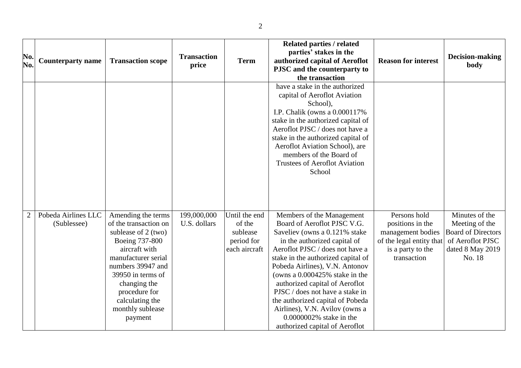| No.<br>No.     | <b>Counterparty name</b>           | <b>Transaction scope</b>                                                                                                                                                                                                                                  | <b>Transaction</b><br>price | <b>Term</b>                                                        | <b>Related parties / related</b><br>parties' stakes in the<br>authorized capital of Aeroflot<br>PJSC and the counterparty to<br>the transaction                                                                                                                                                                                                                                                                                                                                | <b>Reason for interest</b>                                                                                            | <b>Decision-making</b><br>body                                                                                  |
|----------------|------------------------------------|-----------------------------------------------------------------------------------------------------------------------------------------------------------------------------------------------------------------------------------------------------------|-----------------------------|--------------------------------------------------------------------|--------------------------------------------------------------------------------------------------------------------------------------------------------------------------------------------------------------------------------------------------------------------------------------------------------------------------------------------------------------------------------------------------------------------------------------------------------------------------------|-----------------------------------------------------------------------------------------------------------------------|-----------------------------------------------------------------------------------------------------------------|
|                |                                    |                                                                                                                                                                                                                                                           |                             |                                                                    | have a stake in the authorized<br>capital of Aeroflot Aviation<br>School),<br>I.P. Chalik (owns a 0.000117%)<br>stake in the authorized capital of<br>Aeroflot PJSC / does not have a<br>stake in the authorized capital of<br>Aeroflot Aviation School), are<br>members of the Board of<br><b>Trustees of Aeroflot Aviation</b><br>School                                                                                                                                     |                                                                                                                       |                                                                                                                 |
| $\overline{2}$ | Pobeda Airlines LLC<br>(Sublessee) | Amending the terms<br>of the transaction on<br>sublease of 2 (two)<br>Boeing 737-800<br>aircraft with<br>manufacturer serial<br>numbers 39947 and<br>39950 in terms of<br>changing the<br>procedure for<br>calculating the<br>monthly sublease<br>payment | 199,000,000<br>U.S. dollars | Until the end<br>of the<br>sublease<br>period for<br>each aircraft | Members of the Management<br>Board of Aeroflot PJSC V.G.<br>Saveliev (owns a 0.121% stake<br>in the authorized capital of<br>Aeroflot PJSC / does not have a<br>stake in the authorized capital of<br>Pobeda Airlines), V.N. Antonov<br>(owns a 0.000425% stake in the<br>authorized capital of Aeroflot<br>PJSC / does not have a stake in<br>the authorized capital of Pobeda<br>Airlines), V.N. Avilov (owns a<br>0.0000002% stake in the<br>authorized capital of Aeroflot | Persons hold<br>positions in the<br>management bodies<br>of the legal entity that<br>is a party to the<br>transaction | Minutes of the<br>Meeting of the<br><b>Board of Directors</b><br>of Aeroflot PJSC<br>dated 8 May 2019<br>No. 18 |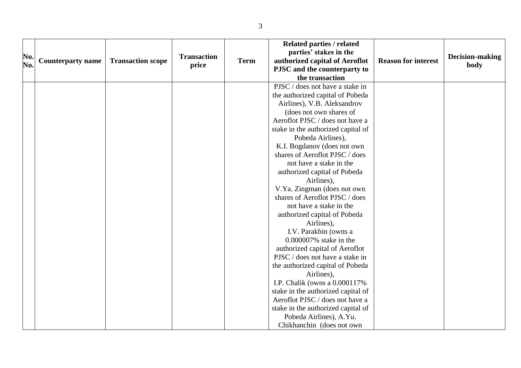| No.<br>No. | <b>Counterparty name</b> | <b>Transaction scope</b> | <b>Transaction</b><br>price | <b>Term</b> | <b>Related parties / related</b><br>parties' stakes in the<br>authorized capital of Aeroflot<br>PJSC and the counterparty to<br>the transaction | <b>Reason for interest</b> | Decision-making<br>body |
|------------|--------------------------|--------------------------|-----------------------------|-------------|-------------------------------------------------------------------------------------------------------------------------------------------------|----------------------------|-------------------------|
|            |                          |                          |                             |             | PJSC / does not have a stake in                                                                                                                 |                            |                         |
|            |                          |                          |                             |             | the authorized capital of Pobeda                                                                                                                |                            |                         |
|            |                          |                          |                             |             | Airlines), V.B. Aleksandrov                                                                                                                     |                            |                         |
|            |                          |                          |                             |             | (does not own shares of                                                                                                                         |                            |                         |
|            |                          |                          |                             |             | Aeroflot PJSC / does not have a                                                                                                                 |                            |                         |
|            |                          |                          |                             |             | stake in the authorized capital of                                                                                                              |                            |                         |
|            |                          |                          |                             |             | Pobeda Airlines),                                                                                                                               |                            |                         |
|            |                          |                          |                             |             | K.I. Bogdanov (does not own                                                                                                                     |                            |                         |
|            |                          |                          |                             |             | shares of Aeroflot PJSC / does                                                                                                                  |                            |                         |
|            |                          |                          |                             |             | not have a stake in the                                                                                                                         |                            |                         |
|            |                          |                          |                             |             | authorized capital of Pobeda<br>Airlines),                                                                                                      |                            |                         |
|            |                          |                          |                             |             | V.Ya. Zingman (does not own                                                                                                                     |                            |                         |
|            |                          |                          |                             |             | shares of Aeroflot PJSC / does                                                                                                                  |                            |                         |
|            |                          |                          |                             |             | not have a stake in the                                                                                                                         |                            |                         |
|            |                          |                          |                             |             | authorized capital of Pobeda                                                                                                                    |                            |                         |
|            |                          |                          |                             |             | Airlines),                                                                                                                                      |                            |                         |
|            |                          |                          |                             |             | I.V. Parakhin (owns a                                                                                                                           |                            |                         |
|            |                          |                          |                             |             | 0.000007% stake in the                                                                                                                          |                            |                         |
|            |                          |                          |                             |             | authorized capital of Aeroflot                                                                                                                  |                            |                         |
|            |                          |                          |                             |             | PJSC / does not have a stake in                                                                                                                 |                            |                         |
|            |                          |                          |                             |             | the authorized capital of Pobeda                                                                                                                |                            |                         |
|            |                          |                          |                             |             | Airlines),                                                                                                                                      |                            |                         |
|            |                          |                          |                             |             | I.P. Chalik (owns a 0.000117%                                                                                                                   |                            |                         |
|            |                          |                          |                             |             | stake in the authorized capital of                                                                                                              |                            |                         |
|            |                          |                          |                             |             | Aeroflot PJSC / does not have a                                                                                                                 |                            |                         |
|            |                          |                          |                             |             | stake in the authorized capital of                                                                                                              |                            |                         |
|            |                          |                          |                             |             | Pobeda Airlines), A.Yu.                                                                                                                         |                            |                         |
|            |                          |                          |                             |             | Chikhanchin (does not own                                                                                                                       |                            |                         |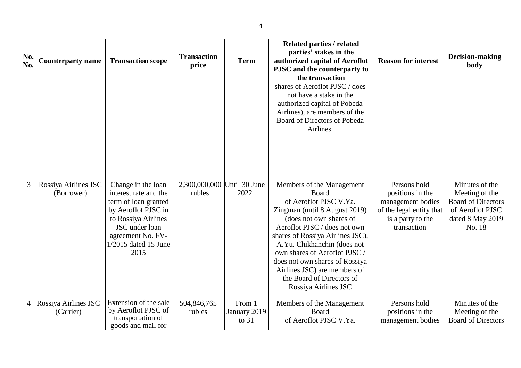| No.<br>No. | <b>Counterparty name</b>           | <b>Transaction scope</b>                                                                                                                                                                 | <b>Transaction</b><br>price | <b>Term</b>                       | <b>Related parties / related</b><br>parties' stakes in the<br>authorized capital of Aeroflot<br>PJSC and the counterparty to<br>the transaction                                                                                                                                                                                                                                     | <b>Reason for interest</b>                                                                                            | Decision-making<br>body                                                                                         |
|------------|------------------------------------|------------------------------------------------------------------------------------------------------------------------------------------------------------------------------------------|-----------------------------|-----------------------------------|-------------------------------------------------------------------------------------------------------------------------------------------------------------------------------------------------------------------------------------------------------------------------------------------------------------------------------------------------------------------------------------|-----------------------------------------------------------------------------------------------------------------------|-----------------------------------------------------------------------------------------------------------------|
|            |                                    |                                                                                                                                                                                          |                             |                                   | shares of Aeroflot PJSC / does<br>not have a stake in the<br>authorized capital of Pobeda<br>Airlines), are members of the<br>Board of Directors of Pobeda<br>Airlines.                                                                                                                                                                                                             |                                                                                                                       |                                                                                                                 |
| 3          | Rossiya Airlines JSC<br>(Borrower) | Change in the loan<br>interest rate and the<br>term of loan granted<br>by Aeroflot PJSC in<br>to Rossiya Airlines<br>JSC under loan<br>agreement No. FV-<br>1/2015 dated 15 June<br>2015 | 2,300,000,000<br>rubles     | Until 30 June<br>2022             | Members of the Management<br>Board<br>of Aeroflot PJSC V.Ya.<br>Zingman (until 8 August 2019)<br>(does not own shares of<br>Aeroflot PJSC / does not own<br>shares of Rossiya Airlines JSC),<br>A.Yu. Chikhanchin (does not<br>own shares of Aeroflot PJSC /<br>does not own shares of Rossiya<br>Airlines JSC) are members of<br>the Board of Directors of<br>Rossiya Airlines JSC | Persons hold<br>positions in the<br>management bodies<br>of the legal entity that<br>is a party to the<br>transaction | Minutes of the<br>Meeting of the<br><b>Board of Directors</b><br>of Aeroflot PJSC<br>dated 8 May 2019<br>No. 18 |
| 4          | Rossiya Airlines JSC<br>(Carrier)  | Extension of the sale<br>by Aeroflot PJSC of<br>transportation of<br>goods and mail for                                                                                                  | 504,846,765<br>rubles       | From 1<br>January 2019<br>to $31$ | Members of the Management<br>Board<br>of Aeroflot PJSC V.Ya.                                                                                                                                                                                                                                                                                                                        | Persons hold<br>positions in the<br>management bodies                                                                 | Minutes of the<br>Meeting of the<br><b>Board of Directors</b>                                                   |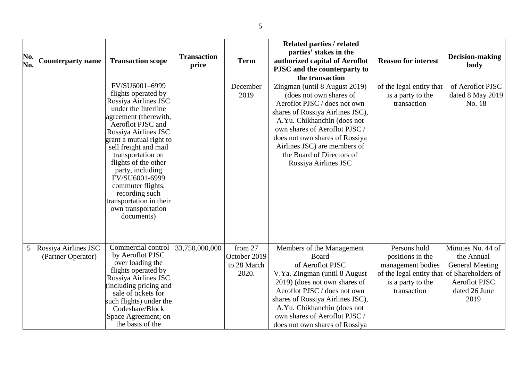| No.<br>No.     | <b>Counterparty name</b>                   | <b>Transaction scope</b>                                                                                                                                                                                                                                                                                                                                                                                | <b>Transaction</b><br>price | <b>Term</b>                                     | <b>Related parties / related</b><br>parties' stakes in the<br>authorized capital of Aeroflot<br>PJSC and the counterparty to<br>the transaction                                                                                                                                                                     | <b>Reason for interest</b>                                                                                            | Decision-making<br>body                                                                                                          |
|----------------|--------------------------------------------|---------------------------------------------------------------------------------------------------------------------------------------------------------------------------------------------------------------------------------------------------------------------------------------------------------------------------------------------------------------------------------------------------------|-----------------------------|-------------------------------------------------|---------------------------------------------------------------------------------------------------------------------------------------------------------------------------------------------------------------------------------------------------------------------------------------------------------------------|-----------------------------------------------------------------------------------------------------------------------|----------------------------------------------------------------------------------------------------------------------------------|
|                |                                            | FV/SU6001-6999<br>flights operated by<br>Rossiya Airlines JSC<br>under the Interline<br>agreement (therewith,<br>Aeroflot PJSC and<br>Rossiya Airlines JSC<br>grant a mutual right to<br>sell freight and mail<br>transportation on<br>flights of the other<br>party, including<br>FV/SU6001-6999<br>commuter flights,<br>recording such<br>transportation in their<br>own transportation<br>documents) |                             | December<br>2019                                | Zingman (until 8 August 2019)<br>(does not own shares of<br>Aeroflot PJSC / does not own<br>shares of Rossiya Airlines JSC),<br>A.Yu. Chikhanchin (does not<br>own shares of Aeroflot PJSC /<br>does not own shares of Rossiya<br>Airlines JSC) are members of<br>the Board of Directors of<br>Rossiya Airlines JSC | of the legal entity that<br>is a party to the<br>transaction                                                          | of Aeroflot PJSC<br>dated 8 May 2019<br>No. 18                                                                                   |
| 5 <sup>1</sup> | Rossiya Airlines JSC<br>(Partner Operator) | Commercial control<br>by Aeroflot PJSC<br>over loading the<br>flights operated by<br>Rossiya Airlines JSC<br>including pricing and<br>sale of tickets for<br>such flights) under the<br>Codeshare/Block<br>Space Agreement; on<br>the basis of the                                                                                                                                                      | 33,750,000,000              | from 27<br>October 2019<br>to 28 March<br>2020. | Members of the Management<br><b>Board</b><br>of Aeroflot PJSC<br>V.Ya. Zingman (until 8 August<br>2019) (does not own shares of<br>Aeroflot PJSC / does not own<br>shares of Rossiya Airlines JSC),<br>A.Yu. Chikhanchin (does not<br>own shares of Aeroflot PJSC /<br>does not own shares of Rossiya               | Persons hold<br>positions in the<br>management bodies<br>of the legal entity that<br>is a party to the<br>transaction | Minutes No. 44 of<br>the Annual<br><b>General Meeting</b><br>of Shareholders of<br><b>Aeroflot PJSC</b><br>dated 26 June<br>2019 |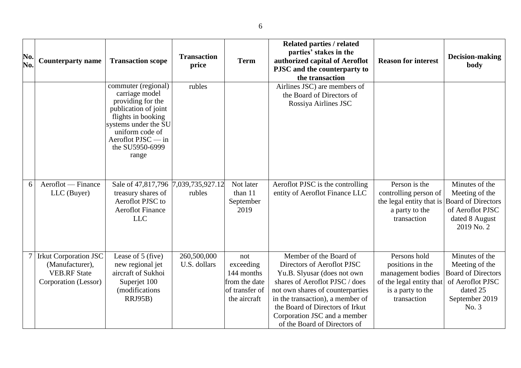| No.<br>No. | <b>Counterparty name</b>                                                                       | <b>Transaction scope</b>                                                                                                                                                                              | <b>Transaction</b><br>price | <b>Term</b>                                                                       | <b>Related parties / related</b><br>parties' stakes in the<br>authorized capital of Aeroflot<br>PJSC and the counterparty to<br>the transaction                                                                                                                                                  | <b>Reason for interest</b>                                                                                            | <b>Decision-making</b><br>body                                                                                           |
|------------|------------------------------------------------------------------------------------------------|-------------------------------------------------------------------------------------------------------------------------------------------------------------------------------------------------------|-----------------------------|-----------------------------------------------------------------------------------|--------------------------------------------------------------------------------------------------------------------------------------------------------------------------------------------------------------------------------------------------------------------------------------------------|-----------------------------------------------------------------------------------------------------------------------|--------------------------------------------------------------------------------------------------------------------------|
|            |                                                                                                | commuter (regional)<br>carriage model<br>providing for the<br>publication of joint<br>flights in booking<br>systems under the SU<br>uniform code of<br>Aeroflot PJSC — in<br>the SU5950-6999<br>range | rubles                      |                                                                                   | Airlines JSC) are members of<br>the Board of Directors of<br>Rossiya Airlines JSC                                                                                                                                                                                                                |                                                                                                                       |                                                                                                                          |
| 6          | Aeroflot — Finance<br>LLC (Buyer)                                                              | Sale of 47,817,796<br>treasury shares of<br>Aeroflot PJSC to<br><b>Aeroflot Finance</b><br><b>LLC</b>                                                                                                 | 7,039,735,927.12<br>rubles  | Not later<br>than 11<br>September<br>2019                                         | Aeroflot PJSC is the controlling<br>entity of Aeroflot Finance LLC                                                                                                                                                                                                                               | Person is the<br>controlling person of<br>the legal entity that is<br>a party to the<br>transaction                   | Minutes of the<br>Meeting of the<br><b>Board of Directors</b><br>of Aeroflot PJSC<br>dated 8 August<br>2019 No. 2        |
|            | <b>Irkut Corporation JSC</b><br>(Manufacturer),<br><b>VEB.RF State</b><br>Corporation (Lessor) | Lease of 5 (five)<br>new regional jet<br>aircraft of Sukhoi<br>Superjet 100<br>(modifications<br><b>RRJ95B)</b>                                                                                       | 260,500,000<br>U.S. dollars | not<br>exceeding<br>144 months<br>from the date<br>of transfer of<br>the aircraft | Member of the Board of<br>Directors of Aeroflot PJSC<br>Yu.B. Slyusar (does not own<br>shares of Aeroflot PJSC / does<br>not own shares of counterparties<br>in the transaction), a member of<br>the Board of Directors of Irkut<br>Corporation JSC and a member<br>of the Board of Directors of | Persons hold<br>positions in the<br>management bodies<br>of the legal entity that<br>is a party to the<br>transaction | Minutes of the<br>Meeting of the<br><b>Board of Directors</b><br>of Aeroflot PJSC<br>dated 25<br>September 2019<br>No. 3 |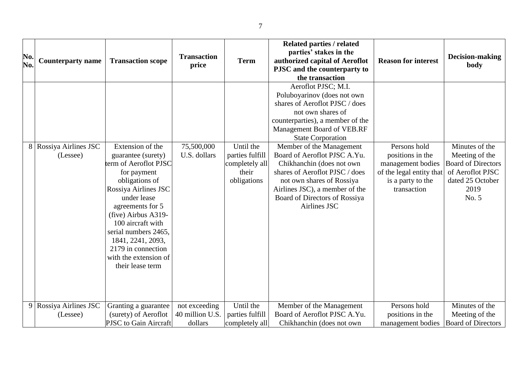| No.<br>No.     | <b>Counterparty name</b>           | <b>Transaction scope</b>                                                                                                                                                                                                                                                                                                | <b>Transaction</b><br>price                 | <b>Term</b>                                                            | <b>Related parties / related</b><br>parties' stakes in the<br>authorized capital of Aeroflot<br>PJSC and the counterparty to<br>the transaction                                                                                                                                                                                                                                                                                                    | <b>Reason for interest</b>                                                                                            | Decision-making<br>body                                                                                                |
|----------------|------------------------------------|-------------------------------------------------------------------------------------------------------------------------------------------------------------------------------------------------------------------------------------------------------------------------------------------------------------------------|---------------------------------------------|------------------------------------------------------------------------|----------------------------------------------------------------------------------------------------------------------------------------------------------------------------------------------------------------------------------------------------------------------------------------------------------------------------------------------------------------------------------------------------------------------------------------------------|-----------------------------------------------------------------------------------------------------------------------|------------------------------------------------------------------------------------------------------------------------|
|                | 8 Rossiya Airlines JSC<br>(Lessee) | Extension of the<br>guarantee (surety)<br>term of Aeroflot PJSC<br>for payment<br>obligations of<br>Rossiya Airlines JSC<br>under lease<br>agreements for 5<br>(five) Airbus A319-<br>100 aircraft with<br>serial numbers 2465,<br>1841, 2241, 2093,<br>2179 in connection<br>with the extension of<br>their lease term | 75,500,000<br>U.S. dollars                  | Until the<br>parties fulfill<br>completely all<br>their<br>obligations | Aeroflot PJSC; M.I.<br>Poluboyarinov (does not own<br>shares of Aeroflot PJSC / does<br>not own shares of<br>counterparties), a member of the<br>Management Board of VEB.RF<br><b>State Corporation</b><br>Member of the Management<br>Board of Aeroflot PJSC A.Yu.<br>Chikhanchin (does not own<br>shares of Aeroflot PJSC / does<br>not own shares of Rossiya<br>Airlines JSC), a member of the<br>Board of Directors of Rossiya<br>Airlines JSC | Persons hold<br>positions in the<br>management bodies<br>of the legal entity that<br>is a party to the<br>transaction | Minutes of the<br>Meeting of the<br><b>Board of Directors</b><br>of Aeroflot PJSC<br>dated 25 October<br>2019<br>No. 5 |
| 9 <sup>1</sup> | Rossiya Airlines JSC<br>(Lessee)   | Granting a guarantee<br>(surety) of Aeroflot<br>PJSC to Gain Aircraft                                                                                                                                                                                                                                                   | not exceeding<br>40 million U.S.<br>dollars | Until the<br>parties fulfill<br>completely all                         | Member of the Management<br>Board of Aeroflot PJSC A.Yu.<br>Chikhanchin (does not own                                                                                                                                                                                                                                                                                                                                                              | Persons hold<br>positions in the<br>management bodies                                                                 | Minutes of the<br>Meeting of the<br><b>Board of Directors</b>                                                          |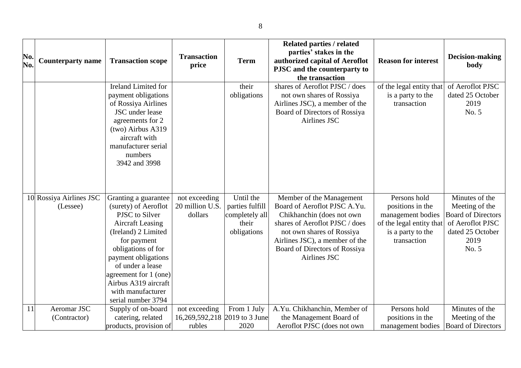| No.<br>No. | <b>Counterparty name</b>            | <b>Transaction scope</b>                                                                                                                                                                                                                                                                     | <b>Transaction</b><br>price                              | <b>Term</b>                                                            | <b>Related parties / related</b><br>parties' stakes in the<br>authorized capital of Aeroflot<br>PJSC and the counterparty to                                                                                                            | <b>Reason for interest</b>                                                                                            | Decision-making<br>body                                                                                                |
|------------|-------------------------------------|----------------------------------------------------------------------------------------------------------------------------------------------------------------------------------------------------------------------------------------------------------------------------------------------|----------------------------------------------------------|------------------------------------------------------------------------|-----------------------------------------------------------------------------------------------------------------------------------------------------------------------------------------------------------------------------------------|-----------------------------------------------------------------------------------------------------------------------|------------------------------------------------------------------------------------------------------------------------|
|            |                                     | Ireland Limited for<br>payment obligations<br>of Rossiya Airlines<br>JSC under lease<br>agreements for 2<br>(two) Airbus A319<br>aircraft with<br>manufacturer serial<br>numbers<br>3942 and 3998                                                                                            |                                                          | their<br>obligations                                                   | the transaction<br>shares of Aeroflot PJSC / does<br>not own shares of Rossiya<br>Airlines JSC), a member of the<br>Board of Directors of Rossiya<br>Airlines JSC                                                                       | of the legal entity that<br>is a party to the<br>transaction                                                          | of Aeroflot PJSC<br>dated 25 October<br>2019<br>No. 5                                                                  |
|            | 10 Rossiya Airlines JSC<br>(Lessee) | Granting a guarantee<br>(surety) of Aeroflot<br>PJSC to Silver<br><b>Aircraft Leasing</b><br>(Ireland) 2 Limited<br>for payment<br>obligations of for<br>payment obligations<br>of under a lease<br>agreement for 1 (one)<br>Airbus A319 aircraft<br>with manufacturer<br>serial number 3794 | not exceeding<br>20 million U.S.<br>dollars              | Until the<br>parties fulfill<br>completely all<br>their<br>obligations | Member of the Management<br>Board of Aeroflot PJSC A.Yu.<br>Chikhanchin (does not own<br>shares of Aeroflot PJSC / does<br>not own shares of Rossiya<br>Airlines JSC), a member of the<br>Board of Directors of Rossiya<br>Airlines JSC | Persons hold<br>positions in the<br>management bodies<br>of the legal entity that<br>is a party to the<br>transaction | Minutes of the<br>Meeting of the<br><b>Board of Directors</b><br>of Aeroflot PJSC<br>dated 25 October<br>2019<br>No. 5 |
| 11         | Aeromar JSC<br>(Contractor)         | Supply of on-board<br>catering, related<br>products, provision of                                                                                                                                                                                                                            | not exceeding<br>16,269,592,218 2019 to 3 June<br>rubles | From 1 July<br>2020                                                    | A.Yu. Chikhanchin, Member of<br>the Management Board of<br>Aeroflot PJSC (does not own                                                                                                                                                  | Persons hold<br>positions in the<br>management bodies                                                                 | Minutes of the<br>Meeting of the<br><b>Board of Directors</b>                                                          |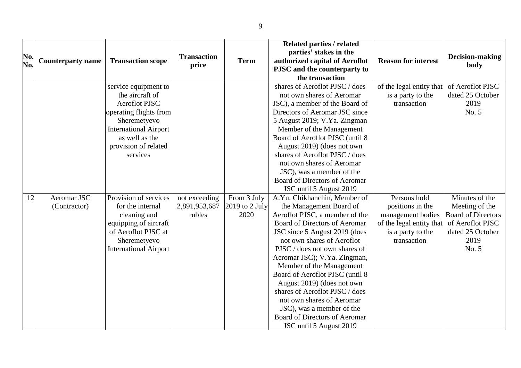| No.<br>No. | <b>Counterparty name</b>    | <b>Transaction scope</b>                                                                                                                                                                        | <b>Transaction</b><br>price              | <b>Term</b>                           | <b>Related parties / related</b><br>parties' stakes in the<br>authorized capital of Aeroflot<br>PJSC and the counterparty to<br>the transaction                                                                                                                                                                                                                                                                                                                                                                 | <b>Reason for interest</b>                                                                                            | <b>Decision-making</b><br>body                                                                                         |
|------------|-----------------------------|-------------------------------------------------------------------------------------------------------------------------------------------------------------------------------------------------|------------------------------------------|---------------------------------------|-----------------------------------------------------------------------------------------------------------------------------------------------------------------------------------------------------------------------------------------------------------------------------------------------------------------------------------------------------------------------------------------------------------------------------------------------------------------------------------------------------------------|-----------------------------------------------------------------------------------------------------------------------|------------------------------------------------------------------------------------------------------------------------|
|            |                             | service equipment to<br>the aircraft of<br><b>Aeroflot PJSC</b><br>operating flights from<br>Sheremetyevo<br><b>International Airport</b><br>as well as the<br>provision of related<br>services |                                          |                                       | shares of Aeroflot PJSC / does<br>not own shares of Aeromar<br>JSC), a member of the Board of<br>Directors of Aeromar JSC since<br>5 August 2019; V.Ya. Zingman<br>Member of the Management<br>Board of Aeroflot PJSC (until 8<br>August 2019) (does not own<br>shares of Aeroflot PJSC / does<br>not own shares of Aeromar<br>JSC), was a member of the<br>Board of Directors of Aeromar<br>JSC until 5 August 2019                                                                                            | of the legal entity that<br>is a party to the<br>transaction                                                          | of Aeroflot PJSC<br>dated 25 October<br>2019<br>No. 5                                                                  |
| 12         | Aeromar JSC<br>(Contractor) | Provision of services<br>for the internal<br>cleaning and<br>equipping of aircraft<br>of Aeroflot PJSC at<br>Sheremetyevo<br><b>International Airport</b>                                       | not exceeding<br>2,891,953,687<br>rubles | From 3 July<br>2019 to 2 July<br>2020 | A.Yu. Chikhanchin, Member of<br>the Management Board of<br>Aeroflot PJSC, a member of the<br>Board of Directors of Aeromar<br>JSC since 5 August 2019 (does<br>not own shares of Aeroflot<br>PJSC / does not own shares of<br>Aeromar JSC); V.Ya. Zingman,<br>Member of the Management<br>Board of Aeroflot PJSC (until 8<br>August 2019) (does not own<br>shares of Aeroflot PJSC / does<br>not own shares of Aeromar<br>JSC), was a member of the<br>Board of Directors of Aeromar<br>JSC until 5 August 2019 | Persons hold<br>positions in the<br>management bodies<br>of the legal entity that<br>is a party to the<br>transaction | Minutes of the<br>Meeting of the<br><b>Board of Directors</b><br>of Aeroflot PJSC<br>dated 25 October<br>2019<br>No. 5 |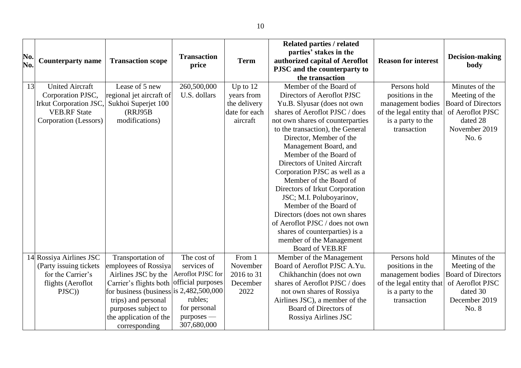|     |                          |                                           |                    |               | <b>Related parties / related</b> |                            |                           |
|-----|--------------------------|-------------------------------------------|--------------------|---------------|----------------------------------|----------------------------|---------------------------|
|     |                          |                                           |                    |               | parties' stakes in the           |                            |                           |
| No. | <b>Counterparty name</b> | <b>Transaction scope</b>                  | <b>Transaction</b> | <b>Term</b>   | authorized capital of Aeroflot   | <b>Reason for interest</b> | Decision-making           |
| No. |                          |                                           | price              |               | PJSC and the counterparty to     |                            | body                      |
|     |                          |                                           |                    |               | the transaction                  |                            |                           |
| 13  | <b>United Aircraft</b>   | Lease of 5 new                            | 260,500,000        | Up to $12$    | Member of the Board of           | Persons hold               | Minutes of the            |
|     | Corporation PJSC,        | regional jet aircraft of                  | U.S. dollars       | years from    | Directors of Aeroflot PJSC       | positions in the           | Meeting of the            |
|     | Irkut Corporation JSC,   | Sukhoi Superjet 100                       |                    | the delivery  | Yu.B. Slyusar (does not own      | management bodies          | <b>Board of Directors</b> |
|     | <b>VEB.RF</b> State      | (RRJ95B                                   |                    | date for each | shares of Aeroflot PJSC / does   | of the legal entity that   | of Aeroflot PJSC          |
|     | Corporation (Lessors)    | modifications)                            |                    | aircraft      | not own shares of counterparties | is a party to the          | dated 28                  |
|     |                          |                                           |                    |               | to the transaction), the General | transaction                | November 2019             |
|     |                          |                                           |                    |               | Director, Member of the          |                            | No. $6$                   |
|     |                          |                                           |                    |               | Management Board, and            |                            |                           |
|     |                          |                                           |                    |               | Member of the Board of           |                            |                           |
|     |                          |                                           |                    |               | Directors of United Aircraft     |                            |                           |
|     |                          |                                           |                    |               | Corporation PJSC as well as a    |                            |                           |
|     |                          |                                           |                    |               | Member of the Board of           |                            |                           |
|     |                          |                                           |                    |               | Directors of Irkut Corporation   |                            |                           |
|     |                          |                                           |                    |               | JSC; M.I. Poluboyarinov,         |                            |                           |
|     |                          |                                           |                    |               | Member of the Board of           |                            |                           |
|     |                          |                                           |                    |               | Directors (does not own shares   |                            |                           |
|     |                          |                                           |                    |               | of Aeroflot PJSC / does not own  |                            |                           |
|     |                          |                                           |                    |               | shares of counterparties) is a   |                            |                           |
|     |                          |                                           |                    |               | member of the Management         |                            |                           |
|     |                          |                                           |                    |               | Board of VEB.RF                  |                            |                           |
|     | 14 Rossiya Airlines JSC  | Transportation of                         | The cost of        | From 1        | Member of the Management         | Persons hold               | Minutes of the            |
|     | (Party issuing tickets)  | employees of Rossiya                      | services of        | November      | Board of Aeroflot PJSC A.Yu.     | positions in the           | Meeting of the            |
|     | for the Carrier's        | Airlines JSC by the                       | Aeroflot PJSC for  | 2016 to 31    | Chikhanchin (does not own        | management bodies          | <b>Board of Directors</b> |
|     | flights (Aeroflot        | Carrier's flights both official purposes  |                    | December      | shares of Aeroflot PJSC / does   | of the legal entity that   | of Aeroflot PJSC          |
|     | PJSC))                   | for business (business is $2,482,500,000$ |                    | 2022          | not own shares of Rossiya        | is a party to the          | dated 30                  |
|     |                          | trips) and personal                       | rubles;            |               | Airlines JSC), a member of the   | transaction                | December 2019             |
|     |                          | purposes subject to                       | for personal       |               | Board of Directors of            |                            | No. 8                     |
|     |                          | the application of the                    | purposes —         |               | Rossiya Airlines JSC             |                            |                           |
|     |                          | corresponding                             | 307,680,000        |               |                                  |                            |                           |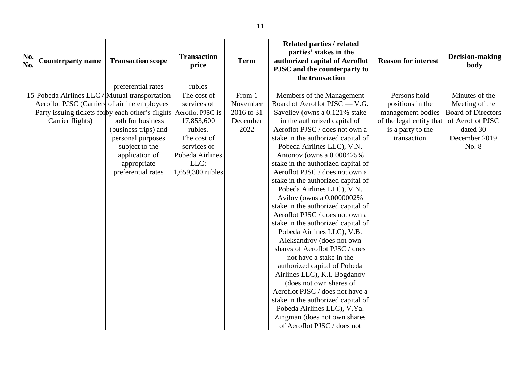| No.<br>No. | <b>Counterparty name</b>                          | <b>Transaction scope</b> | <b>Transaction</b><br>price | <b>Term</b> | <b>Related parties / related</b><br>parties' stakes in the<br>authorized capital of Aeroflot<br>PJSC and the counterparty to<br>the transaction | <b>Reason for interest</b> | Decision-making<br>body   |
|------------|---------------------------------------------------|--------------------------|-----------------------------|-------------|-------------------------------------------------------------------------------------------------------------------------------------------------|----------------------------|---------------------------|
|            |                                                   | preferential rates       | rubles                      |             |                                                                                                                                                 |                            |                           |
|            | 15 Pobeda Airlines LLC / Mutual transportation    |                          | The cost of                 | From 1      | Members of the Management                                                                                                                       | Persons hold               | Minutes of the            |
|            | Aeroflot PJSC (Carrier) of airline employees      |                          | services of                 | November    | Board of Aeroflot PJSC - V.G.                                                                                                                   | positions in the           | Meeting of the            |
|            | Party issuing tickets for by each other's flights |                          | Aeroflot PJSC is            | 2016 to 31  | Saveliev (owns a 0.121% stake                                                                                                                   | management bodies          | <b>Board of Directors</b> |
|            | Carrier flights)                                  | both for business        | 17,853,600                  | December    | in the authorized capital of                                                                                                                    | of the legal entity that   | of Aeroflot PJSC          |
|            |                                                   | (business trips) and     | rubles.                     | 2022        | Aeroflot PJSC / does not own a                                                                                                                  | is a party to the          | dated 30                  |
|            |                                                   | personal purposes        | The cost of                 |             | stake in the authorized capital of                                                                                                              | transaction                | December 2019             |
|            |                                                   | subject to the           | services of                 |             | Pobeda Airlines LLC), V.N.                                                                                                                      |                            | No. 8                     |
|            |                                                   | application of           | Pobeda Airlines             |             | Antonov (owns a 0.000425%                                                                                                                       |                            |                           |
|            |                                                   | appropriate              | LLC:                        |             | stake in the authorized capital of                                                                                                              |                            |                           |
|            |                                                   | preferential rates       | 1,659,300 rubles            |             | Aeroflot PJSC / does not own a                                                                                                                  |                            |                           |
|            |                                                   |                          |                             |             | stake in the authorized capital of                                                                                                              |                            |                           |
|            |                                                   |                          |                             |             | Pobeda Airlines LLC), V.N.                                                                                                                      |                            |                           |
|            |                                                   |                          |                             |             | Avilov (owns a 0.0000002%                                                                                                                       |                            |                           |
|            |                                                   |                          |                             |             | stake in the authorized capital of                                                                                                              |                            |                           |
|            |                                                   |                          |                             |             | Aeroflot PJSC / does not own a                                                                                                                  |                            |                           |
|            |                                                   |                          |                             |             | stake in the authorized capital of                                                                                                              |                            |                           |
|            |                                                   |                          |                             |             | Pobeda Airlines LLC), V.B.                                                                                                                      |                            |                           |
|            |                                                   |                          |                             |             | Aleksandrov (does not own                                                                                                                       |                            |                           |
|            |                                                   |                          |                             |             | shares of Aeroflot PJSC / does                                                                                                                  |                            |                           |
|            |                                                   |                          |                             |             | not have a stake in the                                                                                                                         |                            |                           |
|            |                                                   |                          |                             |             | authorized capital of Pobeda                                                                                                                    |                            |                           |
|            |                                                   |                          |                             |             | Airlines LLC), K.I. Bogdanov                                                                                                                    |                            |                           |
|            |                                                   |                          |                             |             | (does not own shares of                                                                                                                         |                            |                           |
|            |                                                   |                          |                             |             | Aeroflot PJSC / does not have a                                                                                                                 |                            |                           |
|            |                                                   |                          |                             |             | stake in the authorized capital of                                                                                                              |                            |                           |
|            |                                                   |                          |                             |             | Pobeda Airlines LLC), V.Ya.                                                                                                                     |                            |                           |
|            |                                                   |                          |                             |             | Zingman (does not own shares                                                                                                                    |                            |                           |
|            |                                                   |                          |                             |             | of Aeroflot PJSC / does not                                                                                                                     |                            |                           |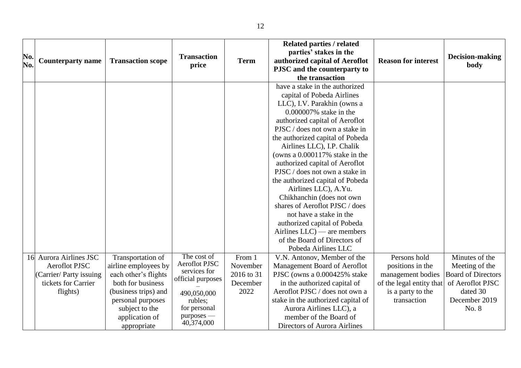| No.<br>No. | <b>Counterparty name</b>                                                                                  | <b>Transaction scope</b>                                                                                                                                                               | <b>Transaction</b><br>price                                                                                                             | <b>Term</b>                                          | <b>Related parties / related</b><br>parties' stakes in the<br>authorized capital of Aeroflot<br>PJSC and the counterparty to<br>the transaction                                                                                                                                                                                                                                                                                                                                                                                                                                                                                                   | <b>Reason for interest</b>                                                                                            | Decision-making<br>body                                                                                                 |
|------------|-----------------------------------------------------------------------------------------------------------|----------------------------------------------------------------------------------------------------------------------------------------------------------------------------------------|-----------------------------------------------------------------------------------------------------------------------------------------|------------------------------------------------------|---------------------------------------------------------------------------------------------------------------------------------------------------------------------------------------------------------------------------------------------------------------------------------------------------------------------------------------------------------------------------------------------------------------------------------------------------------------------------------------------------------------------------------------------------------------------------------------------------------------------------------------------------|-----------------------------------------------------------------------------------------------------------------------|-------------------------------------------------------------------------------------------------------------------------|
|            |                                                                                                           |                                                                                                                                                                                        |                                                                                                                                         |                                                      | have a stake in the authorized<br>capital of Pobeda Airlines<br>LLC), I.V. Parakhin (owns a<br>0.000007% stake in the<br>authorized capital of Aeroflot<br>PJSC / does not own a stake in<br>the authorized capital of Pobeda<br>Airlines LLC), I.P. Chalik<br>(owns a $0.000117\%$ stake in the<br>authorized capital of Aeroflot<br>PJSC / does not own a stake in<br>the authorized capital of Pobeda<br>Airlines LLC), A.Yu.<br>Chikhanchin (does not own<br>shares of Aeroflot PJSC / does<br>not have a stake in the<br>authorized capital of Pobeda<br>Airlines $LLC$ — are members<br>of the Board of Directors of<br>Pobeda Airlines LLC |                                                                                                                       |                                                                                                                         |
| 16         | Aurora Airlines JSC<br><b>Aeroflot PJSC</b><br>(Carrier/Party issuing)<br>tickets for Carrier<br>flights) | Transportation of<br>airline employees by<br>each other's flights<br>both for business<br>(business trips) and<br>personal purposes<br>subject to the<br>application of<br>appropriate | The cost of<br>Aeroflot PJSC<br>services for<br>official purposes<br>490,050,000<br>rubles;<br>for personal<br>purposes —<br>40,374,000 | From 1<br>November<br>2016 to 31<br>December<br>2022 | V.N. Antonov, Member of the<br>Management Board of Aeroflot<br>PJSC (owns a 0.000425% stake<br>in the authorized capital of<br>Aeroflot PJSC / does not own a<br>stake in the authorized capital of<br>Aurora Airlines LLC), a<br>member of the Board of<br>Directors of Aurora Airlines                                                                                                                                                                                                                                                                                                                                                          | Persons hold<br>positions in the<br>management bodies<br>of the legal entity that<br>is a party to the<br>transaction | Minutes of the<br>Meeting of the<br><b>Board of Directors</b><br>of Aeroflot PJSC<br>dated 30<br>December 2019<br>No. 8 |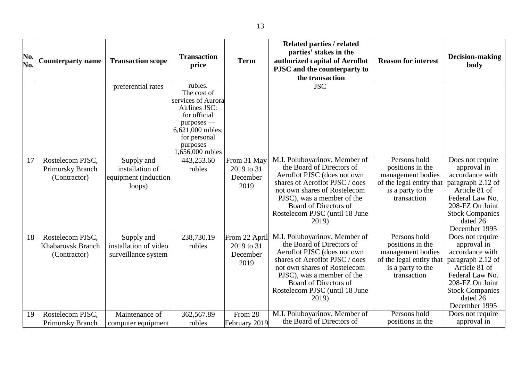| No.<br>No. | <b>Counterparty name</b>                                     | <b>Transaction scope</b>                                        | <b>Transaction</b><br>price                                                                                                                                          | <b>Term</b>                                     | <b>Related parties / related</b><br>parties' stakes in the<br>authorized capital of Aeroflot<br>PJSC and the counterparty to<br>the transaction                                                                                                               | <b>Reason for interest</b>                                                                                            | Decision-making<br>body                                                                                                                                                               |
|------------|--------------------------------------------------------------|-----------------------------------------------------------------|----------------------------------------------------------------------------------------------------------------------------------------------------------------------|-------------------------------------------------|---------------------------------------------------------------------------------------------------------------------------------------------------------------------------------------------------------------------------------------------------------------|-----------------------------------------------------------------------------------------------------------------------|---------------------------------------------------------------------------------------------------------------------------------------------------------------------------------------|
|            |                                                              | preferential rates                                              | rubles.<br>The cost of<br>services of Aurora<br>Airlines JSC:<br>for official<br>purposes —<br>6,621,000 rubles;<br>for personal<br>$purposes$ —<br>1,656,000 rubles |                                                 | <b>JSC</b>                                                                                                                                                                                                                                                    |                                                                                                                       |                                                                                                                                                                                       |
| 17         | Rostelecom PJSC,<br>Primorsky Branch<br>(Contractor)         | Supply and<br>installation of<br>equipment (induction<br>loops) | 443,253.60<br>rubles                                                                                                                                                 | From 31 May<br>2019 to 31<br>December<br>2019   | M.I. Poluboyarinov, Member of<br>the Board of Directors of<br>Aeroflot PJSC (does not own<br>shares of Aeroflot PJSC / does<br>not own shares of Rostelecom<br>PJSC), was a member of the<br>Board of Directors of<br>Rostelecom PJSC (until 18 June<br>2019) | Persons hold<br>positions in the<br>management bodies<br>of the legal entity that<br>is a party to the<br>transaction | Does not require<br>approval in<br>accordance with<br>paragraph 2.12 of<br>Article 81 of<br>Federal Law No.<br>208-FZ On Joint<br><b>Stock Companies</b><br>dated 26<br>December 1995 |
| 18         | Rostelecom PJSC,<br><b>Khabarovsk Branch</b><br>(Contractor) | Supply and<br>installation of video<br>surveillance system      | 238,730.19<br>rubles                                                                                                                                                 | From 22 April<br>2019 to 31<br>December<br>2019 | M.I. Poluboyarinov, Member of<br>the Board of Directors of<br>Aeroflot PJSC (does not own<br>shares of Aeroflot PJSC / does<br>not own shares of Rostelecom<br>PJSC), was a member of the<br>Board of Directors of<br>Rostelecom PJSC (until 18 June<br>2019) | Persons hold<br>positions in the<br>management bodies<br>of the legal entity that<br>is a party to the<br>transaction | Does not require<br>approval in<br>accordance with<br>paragraph 2.12 of<br>Article 81 of<br>Federal Law No.<br>208-FZ On Joint<br><b>Stock Companies</b><br>dated 26<br>December 1995 |
| 19         | Rostelecom PJSC,<br>Primorsky Branch                         | Maintenance of<br>computer equipment                            | 362,567.89<br>rubles                                                                                                                                                 | From $2\overline{8}$<br>February 2019           | M.I. Poluboyarinov, Member of<br>the Board of Directors of                                                                                                                                                                                                    | Persons hold<br>positions in the                                                                                      | Does not require<br>approval in                                                                                                                                                       |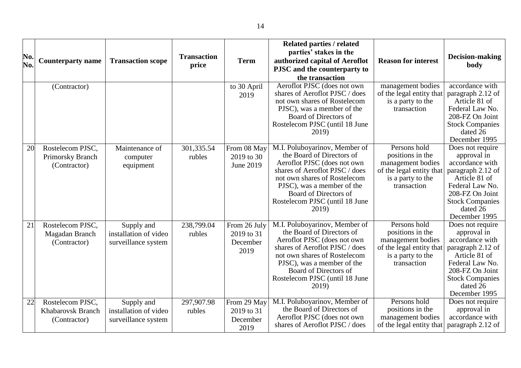| No.<br>No. | <b>Counterparty name</b>                                     | <b>Transaction scope</b>                                   | <b>Transaction</b><br>price | <b>Term</b>                                    | <b>Related parties / related</b><br>parties' stakes in the<br>authorized capital of Aeroflot<br>PJSC and the counterparty to<br>the transaction                                                                                                               | <b>Reason for interest</b>                                                                                            | Decision-making<br>body                                                                                                                                                               |
|------------|--------------------------------------------------------------|------------------------------------------------------------|-----------------------------|------------------------------------------------|---------------------------------------------------------------------------------------------------------------------------------------------------------------------------------------------------------------------------------------------------------------|-----------------------------------------------------------------------------------------------------------------------|---------------------------------------------------------------------------------------------------------------------------------------------------------------------------------------|
|            | (Contractor)                                                 |                                                            |                             | to 30 April<br>2019                            | Aeroflot PJSC (does not own<br>shares of Aeroflot PJSC / does<br>not own shares of Rostelecom<br>PJSC), was a member of the<br>Board of Directors of<br>Rostelecom PJSC (until 18 June<br>2019)                                                               | management bodies<br>of the legal entity that<br>is a party to the<br>transaction                                     | accordance with<br>paragraph 2.12 of<br>Article 81 of<br>Federal Law No.<br>208-FZ On Joint<br><b>Stock Companies</b><br>dated 26<br>December 1995                                    |
| 20         | Rostelecom PJSC,<br>Primorsky Branch<br>(Contractor)         | Maintenance of<br>computer<br>equipment                    | 301,335.54<br>rubles        | From 08 May<br>2019 to 30<br>June 2019         | M.I. Poluboyarinov, Member of<br>the Board of Directors of<br>Aeroflot PJSC (does not own<br>shares of Aeroflot PJSC / does<br>not own shares of Rostelecom<br>PJSC), was a member of the<br>Board of Directors of<br>Rostelecom PJSC (until 18 June<br>2019) | Persons hold<br>positions in the<br>management bodies<br>of the legal entity that<br>is a party to the<br>transaction | Does not require<br>approval in<br>accordance with<br>paragraph 2.12 of<br>Article 81 of<br>Federal Law No.<br>208-FZ On Joint<br><b>Stock Companies</b><br>dated 26<br>December 1995 |
| 21         | Rostelecom PJSC,<br>Magadan Branch<br>(Contractor)           | Supply and<br>installation of video<br>surveillance system | 238,799.04<br>rubles        | From 26 July<br>2019 to 31<br>December<br>2019 | M.I. Poluboyarinov, Member of<br>the Board of Directors of<br>Aeroflot PJSC (does not own<br>shares of Aeroflot PJSC / does<br>not own shares of Rostelecom<br>PJSC), was a member of the<br>Board of Directors of<br>Rostelecom PJSC (until 18 June<br>2019) | Persons hold<br>positions in the<br>management bodies<br>of the legal entity that<br>is a party to the<br>transaction | Does not require<br>approval in<br>accordance with<br>paragraph 2.12 of<br>Article 81 of<br>Federal Law No.<br>208-FZ On Joint<br><b>Stock Companies</b><br>dated 26<br>December 1995 |
| 22         | Rostelecom PJSC,<br><b>Khabarovsk Branch</b><br>(Contractor) | Supply and<br>installation of video<br>surveillance system | 297,907.98<br>rubles        | From 29 May<br>2019 to 31<br>December<br>2019  | M.I. Poluboyarinov, Member of<br>the Board of Directors of<br>Aeroflot PJSC (does not own<br>shares of Aeroflot PJSC / does                                                                                                                                   | Persons hold<br>positions in the<br>management bodies<br>of the legal entity that                                     | Does not require<br>approval in<br>accordance with<br>paragraph 2.12 of                                                                                                               |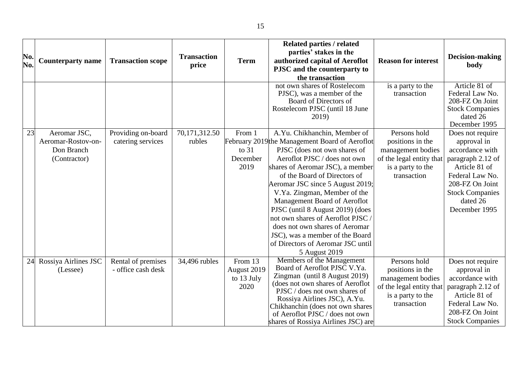| No.<br>No. | <b>Counterparty name</b>                                         | <b>Transaction scope</b>                 | <b>Transaction</b><br>price | <b>Term</b>                                  | <b>Related parties / related</b><br>parties' stakes in the<br>authorized capital of Aeroflot<br>PJSC and the counterparty to<br>the transaction<br>not own shares of Rostelecom<br>PJSC), was a member of the                                                                                                                                                                                                                                                                                                            | <b>Reason for interest</b><br>is a party to the<br>transaction                                                        | Decision-making<br>body<br>Article 81 of<br>Federal Law No.                                                                                                                           |
|------------|------------------------------------------------------------------|------------------------------------------|-----------------------------|----------------------------------------------|--------------------------------------------------------------------------------------------------------------------------------------------------------------------------------------------------------------------------------------------------------------------------------------------------------------------------------------------------------------------------------------------------------------------------------------------------------------------------------------------------------------------------|-----------------------------------------------------------------------------------------------------------------------|---------------------------------------------------------------------------------------------------------------------------------------------------------------------------------------|
|            |                                                                  |                                          |                             |                                              | Board of Directors of<br>Rostelecom PJSC (until 18 June<br>2019)                                                                                                                                                                                                                                                                                                                                                                                                                                                         |                                                                                                                       | 208-FZ On Joint<br><b>Stock Companies</b><br>dated 26<br>December 1995                                                                                                                |
| 23         | Aeromar JSC,<br>Aeromar-Rostov-on-<br>Don Branch<br>(Contractor) | Providing on-board<br>catering services  | 70,171,312.50<br>rubles     | From 1<br>to $31$<br>December<br>2019        | A.Yu. Chikhanchin, Member of<br>February 2019 the Management Board of Aeroflot<br>PJSC (does not own shares of<br>Aeroflot PJSC / does not own<br>shares of Aeromar JSC), a member<br>of the Board of Directors of<br>Aeromar JSC since 5 August 2019;<br>V.Ya. Zingman, Member of the<br>Management Board of Aeroflot<br>PJSC (until 8 August 2019) (does<br>not own shares of Aeroflot PJSC<br>does not own shares of Aeromar<br>JSC), was a member of the Board<br>of Directors of Aeromar JSC until<br>5 August 2019 | Persons hold<br>positions in the<br>management bodies<br>of the legal entity that<br>is a party to the<br>transaction | Does not require<br>approval in<br>accordance with<br>paragraph 2.12 of<br>Article 81 of<br>Federal Law No.<br>208-FZ On Joint<br><b>Stock Companies</b><br>dated 26<br>December 1995 |
| 24         | Rossiya Airlines JSC<br>(Lessee)                                 | Rental of premises<br>- office cash desk | 34,496 rubles               | From 13<br>August 2019<br>to 13 July<br>2020 | Members of the Management<br>Board of Aeroflot PJSC V.Ya.<br>Zingman (until 8 August 2019)<br>(does not own shares of Aeroflot<br>PJSC / does not own shares of<br>Rossiya Airlines JSC), A.Yu.<br>Chikhanchin (does not own shares<br>of Aeroflot PJSC / does not own<br>shares of Rossiya Airlines JSC) are                                                                                                                                                                                                            | Persons hold<br>positions in the<br>management bodies<br>of the legal entity that<br>is a party to the<br>transaction | Does not require<br>approval in<br>accordance with<br>paragraph 2.12 of<br>Article 81 of<br>Federal Law No.<br>208-FZ On Joint<br><b>Stock Companies</b>                              |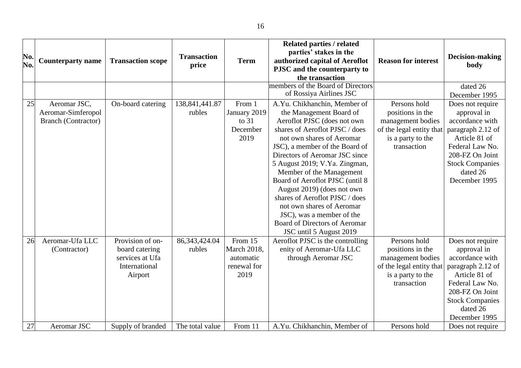|     |                            |                          |                    |                    | <b>Related parties / related</b>  |                            |                        |
|-----|----------------------------|--------------------------|--------------------|--------------------|-----------------------------------|----------------------------|------------------------|
|     |                            |                          |                    |                    | parties' stakes in the            |                            |                        |
| No. | <b>Counterparty name</b>   | <b>Transaction scope</b> | <b>Transaction</b> | <b>Term</b>        | authorized capital of Aeroflot    | <b>Reason for interest</b> | Decision-making        |
| No. |                            |                          | price              |                    | PJSC and the counterparty to      |                            | body                   |
|     |                            |                          |                    |                    | the transaction                   |                            |                        |
|     |                            |                          |                    |                    | members of the Board of Directors |                            | dated 26               |
|     |                            |                          |                    |                    | of Rossiya Airlines JSC           |                            | December 1995          |
| 25  | Aeromar JSC,               | On-board catering        | 138, 841, 441. 87  | From 1             | A.Yu. Chikhanchin, Member of      | Persons hold               | Does not require       |
|     | Aeromar-Simferopol         |                          | rubles             | January 2019       | the Management Board of           | positions in the           | approval in            |
|     | <b>Branch (Contractor)</b> |                          |                    | to $31$            | Aeroflot PJSC (does not own       | management bodies          | accordance with        |
|     |                            |                          |                    | December           | shares of Aeroflot PJSC / does    | of the legal entity that   | paragraph 2.12 of      |
|     |                            |                          |                    | 2019               | not own shares of Aeromar         | is a party to the          | Article 81 of          |
|     |                            |                          |                    |                    | JSC), a member of the Board of    | transaction                | Federal Law No.        |
|     |                            |                          |                    |                    | Directors of Aeromar JSC since    |                            | 208-FZ On Joint        |
|     |                            |                          |                    |                    | 5 August 2019; V.Ya. Zingman,     |                            | <b>Stock Companies</b> |
|     |                            |                          |                    |                    | Member of the Management          |                            | dated 26               |
|     |                            |                          |                    |                    | Board of Aeroflot PJSC (until 8   |                            | December 1995          |
|     |                            |                          |                    |                    | August 2019) (does not own        |                            |                        |
|     |                            |                          |                    |                    | shares of Aeroflot PJSC / does    |                            |                        |
|     |                            |                          |                    |                    | not own shares of Aeromar         |                            |                        |
|     |                            |                          |                    |                    | JSC), was a member of the         |                            |                        |
|     |                            |                          |                    |                    | Board of Directors of Aeromar     |                            |                        |
|     |                            |                          |                    |                    | JSC until 5 August 2019           |                            |                        |
| 26  | Aeromar-Ufa LLC            | Provision of on-         | 86, 343, 424.04    | From 15            | Aeroflot PJSC is the controlling  | Persons hold               | Does not require       |
|     | (Contractor)               | board catering           | rubles             | <b>March 2018,</b> | enity of Aeromar-Ufa LLC          | positions in the           | approval in            |
|     |                            | services at Ufa          |                    | automatic          | through Aeromar JSC               | management bodies          | accordance with        |
|     |                            | International            |                    | renewal for        |                                   | of the legal entity that   | paragraph 2.12 of      |
|     |                            | Airport                  |                    | 2019               |                                   | is a party to the          | Article 81 of          |
|     |                            |                          |                    |                    |                                   | transaction                | Federal Law No.        |
|     |                            |                          |                    |                    |                                   |                            | 208-FZ On Joint        |
|     |                            |                          |                    |                    |                                   |                            | <b>Stock Companies</b> |
|     |                            |                          |                    |                    |                                   |                            | dated 26               |
|     |                            |                          |                    |                    |                                   |                            | December 1995          |
| 27  | Aeromar JSC                | Supply of branded        | The total value    | From 11            | A.Yu. Chikhanchin, Member of      | Persons hold               | Does not require       |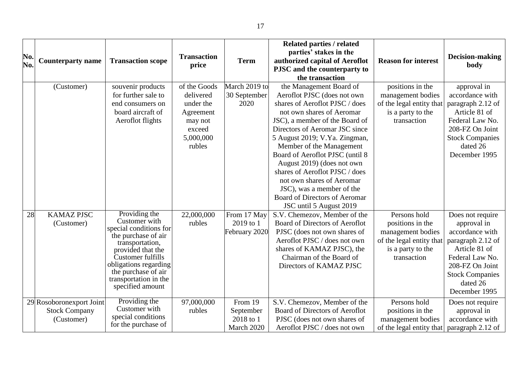| No.<br>No. | <b>Counterparty name</b>                                       | <b>Transaction scope</b>                                                                                                                                                                                                                  | <b>Transaction</b><br>price                                                                     | <b>Term</b>                                     | <b>Related parties / related</b><br>parties' stakes in the<br>authorized capital of Aeroflot<br>PJSC and the counterparty to<br>the transaction                                                                                                                                                                                                                                                                                                                                 | <b>Reason for interest</b>                                                                                            | Decision-making<br>body                                                                                                                                                               |
|------------|----------------------------------------------------------------|-------------------------------------------------------------------------------------------------------------------------------------------------------------------------------------------------------------------------------------------|-------------------------------------------------------------------------------------------------|-------------------------------------------------|---------------------------------------------------------------------------------------------------------------------------------------------------------------------------------------------------------------------------------------------------------------------------------------------------------------------------------------------------------------------------------------------------------------------------------------------------------------------------------|-----------------------------------------------------------------------------------------------------------------------|---------------------------------------------------------------------------------------------------------------------------------------------------------------------------------------|
|            | (Customer)                                                     | souvenir products<br>for further sale to<br>end consumers on<br>board aircraft of<br>Aeroflot flights                                                                                                                                     | of the Goods<br>delivered<br>under the<br>Agreement<br>may not<br>exceed<br>5,000,000<br>rubles | March 2019 to<br>30 September<br>2020           | the Management Board of<br>Aeroflot PJSC (does not own<br>shares of Aeroflot PJSC / does<br>not own shares of Aeromar<br>JSC), a member of the Board of<br>Directors of Aeromar JSC since<br>5 August 2019; V.Ya. Zingman,<br>Member of the Management<br>Board of Aeroflot PJSC (until 8<br>August 2019) (does not own<br>shares of Aeroflot PJSC / does<br>not own shares of Aeromar<br>JSC), was a member of the<br>Board of Directors of Aeromar<br>JSC until 5 August 2019 | positions in the<br>management bodies<br>of the legal entity that<br>is a party to the<br>transaction                 | approval in<br>accordance with<br>paragraph 2.12 of<br>Article 81 of<br>Federal Law No.<br>208-FZ On Joint<br><b>Stock Companies</b><br>dated 26<br>December 1995                     |
| 28         | <b>KAMAZ PJSC</b><br>(Customer)                                | Providing the<br>Customer with<br>special conditions for<br>the purchase of air<br>transportation,<br>provided that the<br>Customer fulfills<br>obligations regarding<br>the purchase of air<br>transportation in the<br>specified amount | 22,000,000<br>rubles                                                                            | From 17 May<br>2019 to 1<br>February 2020       | S.V. Chemezov, Member of the<br>Board of Directors of Aeroflot<br>PJSC (does not own shares of<br>Aeroflot PJSC / does not own<br>shares of KAMAZ PJSC), the<br>Chairman of the Board of<br>Directors of KAMAZ PJSC                                                                                                                                                                                                                                                             | Persons hold<br>positions in the<br>management bodies<br>of the legal entity that<br>is a party to the<br>transaction | Does not require<br>approval in<br>accordance with<br>paragraph 2.12 of<br>Article 81 of<br>Federal Law No.<br>208-FZ On Joint<br><b>Stock Companies</b><br>dated 26<br>December 1995 |
|            | 29 Rosoboronexport Joint<br><b>Stock Company</b><br>(Customer) | Providing the<br>Customer with<br>special conditions<br>for the purchase of                                                                                                                                                               | 97,000,000<br>rubles                                                                            | From 19<br>September<br>2018 to 1<br>March 2020 | S.V. Chemezov, Member of the<br>Board of Directors of Aeroflot<br>PJSC (does not own shares of<br>Aeroflot PJSC / does not own                                                                                                                                                                                                                                                                                                                                                  | Persons hold<br>positions in the<br>management bodies<br>of the legal entity that                                     | Does not require<br>approval in<br>accordance with<br>paragraph 2.12 of                                                                                                               |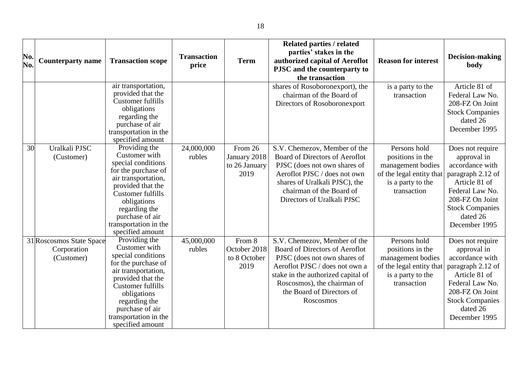| No.<br>No. | <b>Counterparty name</b>                              | <b>Transaction scope</b>                                                                                                                                                                                                                     | <b>Transaction</b><br>price | <b>Term</b>                                      | <b>Related parties / related</b><br>parties' stakes in the<br>authorized capital of Aeroflot<br>PJSC and the counterparty to<br>the transaction                                                                                                 | <b>Reason for interest</b>                                                                                            | Decision-making<br>body                                                                                                                                                               |
|------------|-------------------------------------------------------|----------------------------------------------------------------------------------------------------------------------------------------------------------------------------------------------------------------------------------------------|-----------------------------|--------------------------------------------------|-------------------------------------------------------------------------------------------------------------------------------------------------------------------------------------------------------------------------------------------------|-----------------------------------------------------------------------------------------------------------------------|---------------------------------------------------------------------------------------------------------------------------------------------------------------------------------------|
|            |                                                       | air transportation,<br>provided that the<br>Customer fulfills<br>obligations<br>regarding the<br>purchase of air<br>transportation in the<br>specified amount                                                                                |                             |                                                  | shares of Rosoboronexport), the<br>chairman of the Board of<br>Directors of Rosoboronexport                                                                                                                                                     | is a party to the<br>transaction                                                                                      | Article 81 of<br>Federal Law No.<br>208-FZ On Joint<br><b>Stock Companies</b><br>dated 26<br>December 1995                                                                            |
| 30         | Uralkali PJSC<br>(Customer)                           | Providing the<br>Customer with<br>special conditions<br>for the purchase of<br>air transportation,<br>provided that the<br>Customer fulfills<br>obligations<br>regarding the<br>purchase of air<br>transportation in the<br>specified amount | 24,000,000<br>rubles        | From 26<br>January 2018<br>to 26 January<br>2019 | S.V. Chemezov, Member of the<br>Board of Directors of Aeroflot<br>PJSC (does not own shares of<br>Aeroflot PJSC / does not own<br>shares of Uralkali PJSC), the<br>chairman of the Board of<br>Directors of Uralkali PJSC                       | Persons hold<br>positions in the<br>management bodies<br>of the legal entity that<br>is a party to the<br>transaction | Does not require<br>approval in<br>accordance with<br>paragraph 2.12 of<br>Article 81 of<br>Federal Law No.<br>208-FZ On Joint<br><b>Stock Companies</b><br>dated 26<br>December 1995 |
|            | 31 Roscosmos State Space<br>Corporation<br>(Customer) | Providing the<br>Customer with<br>special conditions<br>for the purchase of<br>air transportation,<br>provided that the<br>Customer fulfills<br>obligations<br>regarding the<br>purchase of air<br>transportation in the<br>specified amount | 45,000,000<br>rubles        | From 8<br>October 2018<br>to 8 October<br>2019   | S.V. Chemezov, Member of the<br>Board of Directors of Aeroflot<br>PJSC (does not own shares of<br>Aeroflot PJSC / does not own a<br>stake in the authorized capital of<br>Roscosmos), the chairman of<br>the Board of Directors of<br>Roscosmos | Persons hold<br>positions in the<br>management bodies<br>of the legal entity that<br>is a party to the<br>transaction | Does not require<br>approval in<br>accordance with<br>paragraph 2.12 of<br>Article 81 of<br>Federal Law No.<br>208-FZ On Joint<br><b>Stock Companies</b><br>dated 26<br>December 1995 |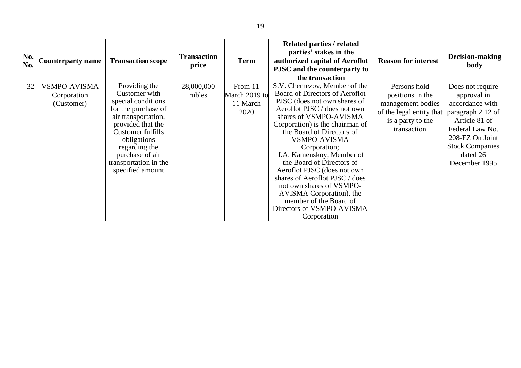| No.<br>No. | <b>Counterparty name</b>                         | <b>Transaction scope</b>                                                                                                                                                                                                                     | <b>Transaction</b><br>price | <b>Term</b>                                  | Related parties / related<br>parties' stakes in the<br>authorized capital of Aeroflot<br>PJSC and the counterparty to<br>the transaction                                                                                                                                                                                                                                                                                                                                                                                 | <b>Reason for interest</b>                                                                                            | Decision-making<br>body                                                                                                                                                               |
|------------|--------------------------------------------------|----------------------------------------------------------------------------------------------------------------------------------------------------------------------------------------------------------------------------------------------|-----------------------------|----------------------------------------------|--------------------------------------------------------------------------------------------------------------------------------------------------------------------------------------------------------------------------------------------------------------------------------------------------------------------------------------------------------------------------------------------------------------------------------------------------------------------------------------------------------------------------|-----------------------------------------------------------------------------------------------------------------------|---------------------------------------------------------------------------------------------------------------------------------------------------------------------------------------|
| 32         | <b>VSMPO-AVISMA</b><br>Corporation<br>(Customer) | Providing the<br>Customer with<br>special conditions<br>for the purchase of<br>air transportation,<br>provided that the<br>Customer fulfills<br>obligations<br>regarding the<br>purchase of air<br>transportation in the<br>specified amount | 28,000,000<br>rubles        | From 11<br>March 2019 to<br>11 March<br>2020 | S.V. Chemezov, Member of the<br>Board of Directors of Aeroflot<br>PJSC (does not own shares of<br>Aeroflot PJSC / does not own<br>shares of VSMPO-AVISMA<br>Corporation) is the chairman of<br>the Board of Directors of<br><b>VSMPO-AVISMA</b><br>Corporation;<br>I.A. Kamenskoy, Member of<br>the Board of Directors of<br>Aeroflot PJSC (does not own<br>shares of Aeroflot PJSC / does<br>not own shares of VSMPO-<br>AVISMA Corporation), the<br>member of the Board of<br>Directors of VSMPO-AVISMA<br>Corporation | Persons hold<br>positions in the<br>management bodies<br>of the legal entity that<br>is a party to the<br>transaction | Does not require<br>approval in<br>accordance with<br>paragraph 2.12 of<br>Article 81 of<br>Federal Law No.<br>208-FZ On Joint<br><b>Stock Companies</b><br>dated 26<br>December 1995 |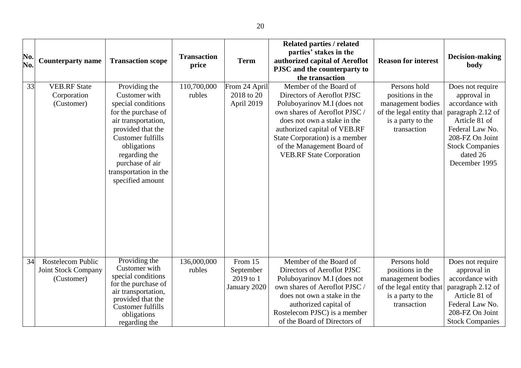| No.<br>No. | <b>Counterparty name</b>                                             | <b>Transaction scope</b>                                                                                                                                                                                                                            | <b>Transaction</b><br>price | <b>Term</b>                                       | <b>Related parties / related</b><br>parties' stakes in the<br>authorized capital of Aeroflot<br>PJSC and the counterparty to<br>the transaction                                                                                                                                        | <b>Reason for interest</b>                                                                                            | Decision-making<br>body                                                                                                                                                               |
|------------|----------------------------------------------------------------------|-----------------------------------------------------------------------------------------------------------------------------------------------------------------------------------------------------------------------------------------------------|-----------------------------|---------------------------------------------------|----------------------------------------------------------------------------------------------------------------------------------------------------------------------------------------------------------------------------------------------------------------------------------------|-----------------------------------------------------------------------------------------------------------------------|---------------------------------------------------------------------------------------------------------------------------------------------------------------------------------------|
| 33         | <b>VEB.RF State</b><br>Corporation<br>(Customer)                     | Providing the<br>Customer with<br>special conditions<br>for the purchase of<br>air transportation,<br>provided that the<br><b>Customer fulfills</b><br>obligations<br>regarding the<br>purchase of air<br>transportation in the<br>specified amount | 110,700,000<br>rubles       | From 24 April<br>2018 to 20<br>April 2019         | Member of the Board of<br>Directors of Aeroflot PJSC<br>Poluboyarinov M.I (does not<br>own shares of Aeroflot PJSC /<br>does not own a stake in the<br>authorized capital of VEB.RF<br>State Corporation) is a member<br>of the Management Board of<br><b>VEB.RF State Corporation</b> | Persons hold<br>positions in the<br>management bodies<br>of the legal entity that<br>is a party to the<br>transaction | Does not require<br>approval in<br>accordance with<br>paragraph 2.12 of<br>Article 81 of<br>Federal Law No.<br>208-FZ On Joint<br><b>Stock Companies</b><br>dated 26<br>December 1995 |
| 34         | <b>Rostelecom Public</b><br><b>Joint Stock Company</b><br>(Customer) | Providing the<br>Customer with<br>special conditions<br>for the purchase of<br>air transportation,<br>provided that the<br>Customer fulfills<br>obligations<br>regarding the                                                                        | 136,000,000<br>rubles       | From 15<br>September<br>2019 to 1<br>January 2020 | Member of the Board of<br>Directors of Aeroflot PJSC<br>Poluboyarinov M.I (does not<br>own shares of Aeroflot PJSC/<br>does not own a stake in the<br>authorized capital of<br>Rostelecom PJSC) is a member<br>of the Board of Directors of                                            | Persons hold<br>positions in the<br>management bodies<br>of the legal entity that<br>is a party to the<br>transaction | Does not require<br>approval in<br>accordance with<br>paragraph 2.12 of<br>Article 81 of<br>Federal Law No.<br>208-FZ On Joint<br><b>Stock Companies</b>                              |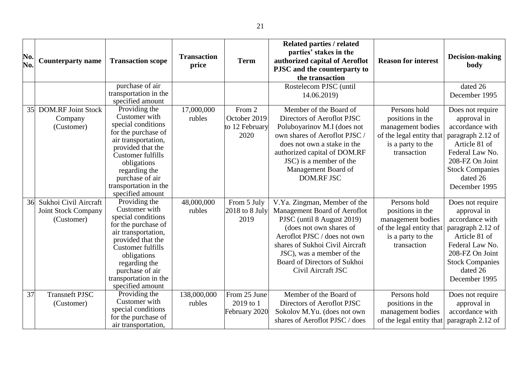| No. |                            |                                          | <b>Transaction</b> |                  | <b>Related parties / related</b><br>parties' stakes in the |                            | <b>Decision-making</b> |
|-----|----------------------------|------------------------------------------|--------------------|------------------|------------------------------------------------------------|----------------------------|------------------------|
| No. | <b>Counterparty name</b>   | <b>Transaction scope</b>                 | price              | <b>Term</b>      | authorized capital of Aeroflot                             | <b>Reason for interest</b> | body                   |
|     |                            |                                          |                    |                  | PJSC and the counterparty to                               |                            |                        |
|     |                            |                                          |                    |                  | the transaction                                            |                            |                        |
|     |                            | purchase of air                          |                    |                  | Rostelecom PJSC (until                                     |                            | dated 26               |
|     |                            | transportation in the                    |                    |                  | 14.06.2019)                                                |                            | December 1995          |
|     |                            | specified amount                         |                    |                  |                                                            |                            |                        |
| 35  | <b>DOM.RF Joint Stock</b>  | Providing the<br>Customer with           | 17,000,000         | From 2           | Member of the Board of                                     | Persons hold               | Does not require       |
|     | Company                    | special conditions                       | rubles             | October 2019     | Directors of Aeroflot PJSC                                 | positions in the           | approval in            |
|     | (Customer)                 | for the purchase of                      |                    | to 12 February   | Poluboyarinov M.I (does not                                | management bodies          | accordance with        |
|     |                            | air transportation,                      |                    | 2020             | own shares of Aeroflot PJSC /                              | of the legal entity that   | paragraph 2.12 of      |
|     |                            | provided that the                        |                    |                  | does not own a stake in the                                | is a party to the          | Article 81 of          |
|     |                            | <b>Customer fulfills</b>                 |                    |                  | authorized capital of DOM.RF                               | transaction                | Federal Law No.        |
|     |                            | obligations                              |                    |                  | JSC) is a member of the                                    |                            | 208-FZ On Joint        |
|     |                            | regarding the                            |                    |                  | Management Board of                                        |                            | <b>Stock Companies</b> |
|     |                            | purchase of air                          |                    |                  | <b>DOM.RF JSC</b>                                          |                            | dated 26               |
|     |                            | transportation in the                    |                    |                  |                                                            |                            | December 1995          |
|     |                            | specified amount                         |                    |                  |                                                            |                            |                        |
| 36  | Sukhoi Civil Aircraft      | Providing the                            | 48,000,000         | From 5 July      | V.Ya. Zingman, Member of the                               | Persons hold               | Does not require       |
|     | <b>Joint Stock Company</b> | Customer with                            | rubles             | $2018$ to 8 July | Management Board of Aeroflot                               | positions in the           | approval in            |
|     | (Customer)                 | special conditions                       |                    | 2019             | PJSC (until 8 August 2019)                                 | management bodies          | accordance with        |
|     |                            | for the purchase of                      |                    |                  | (does not own shares of                                    | of the legal entity that   | paragraph 2.12 of      |
|     |                            | air transportation,<br>provided that the |                    |                  | Aeroflot PJSC / does not own                               | is a party to the          | Article 81 of          |
|     |                            | <b>Customer fulfills</b>                 |                    |                  | shares of Sukhoi Civil Aircraft                            | transaction                | Federal Law No.        |
|     |                            | obligations                              |                    |                  | JSC), was a member of the                                  |                            | 208-FZ On Joint        |
|     |                            | regarding the                            |                    |                  | Board of Directors of Sukhoi                               |                            | <b>Stock Companies</b> |
|     |                            | purchase of air                          |                    |                  | Civil Aircraft JSC                                         |                            | dated 26               |
|     |                            | transportation in the                    |                    |                  |                                                            |                            | December 1995          |
|     |                            | specified amount                         |                    |                  |                                                            |                            |                        |
| 37  | <b>Transneft PJSC</b>      | Providing the                            | 138,000,000        | From 25 June     | Member of the Board of                                     | Persons hold               | Does not require       |
|     | (Customer)                 | Customer with                            | rubles             | 2019 to 1        | Directors of Aeroflot PJSC                                 | positions in the           | approval in            |
|     |                            | special conditions                       |                    | February 2020    | Sokolov M.Yu. (does not own                                | management bodies          | accordance with        |
|     |                            | for the purchase of                      |                    |                  | shares of Aeroflot PJSC / does                             | of the legal entity that   | paragraph 2.12 of      |
|     |                            | air transportation,                      |                    |                  |                                                            |                            |                        |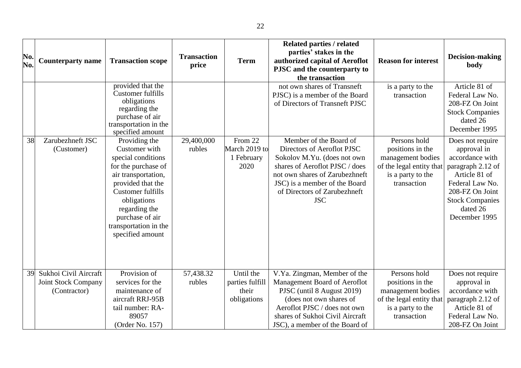| No.<br>No. | <b>Counterparty name</b>                                            | <b>Transaction scope</b>                                                                                                                                                                                                           | <b>Transaction</b><br>price | <b>Term</b>                                          | <b>Related parties / related</b><br>parties' stakes in the<br>authorized capital of Aeroflot<br>PJSC and the counterparty to<br>the transaction                                                                            | <b>Reason for interest</b>                                                                                            | <b>Decision-making</b><br>body                                                                                                                                    |
|------------|---------------------------------------------------------------------|------------------------------------------------------------------------------------------------------------------------------------------------------------------------------------------------------------------------------------|-----------------------------|------------------------------------------------------|----------------------------------------------------------------------------------------------------------------------------------------------------------------------------------------------------------------------------|-----------------------------------------------------------------------------------------------------------------------|-------------------------------------------------------------------------------------------------------------------------------------------------------------------|
| 38         | Zarubezhneft JSC                                                    | provided that the<br>Customer fulfills<br>obligations<br>regarding the<br>purchase of air<br>transportation in the<br>specified amount<br>Providing the                                                                            | 29,400,000                  | From 22                                              | not own shares of Transneft<br>PJSC) is a member of the Board<br>of Directors of Transneft PJSC<br>Member of the Board of                                                                                                  | is a party to the<br>transaction<br>Persons hold                                                                      | Article 81 of<br>Federal Law No.<br>208-FZ On Joint<br><b>Stock Companies</b><br>dated 26<br>December 1995<br>Does not require                                    |
|            | (Customer)                                                          | Customer with<br>special conditions<br>for the purchase of<br>air transportation,<br>provided that the<br><b>Customer fulfills</b><br>obligations<br>regarding the<br>purchase of air<br>transportation in the<br>specified amount | rubles                      | March 2019 to<br>1 February<br>2020                  | Directors of Aeroflot PJSC<br>Sokolov M.Yu. (does not own<br>shares of Aeroflot PJSC / does<br>not own shares of Zarubezhneft<br>JSC) is a member of the Board<br>of Directors of Zarubezhneft<br><b>JSC</b>               | positions in the<br>management bodies<br>of the legal entity that<br>is a party to the<br>transaction                 | approval in<br>accordance with<br>paragraph 2.12 of<br>Article 81 of<br>Federal Law No.<br>208-FZ On Joint<br><b>Stock Companies</b><br>dated 26<br>December 1995 |
| 39         | Sukhoi Civil Aircraft<br><b>Joint Stock Company</b><br>(Contractor) | Provision of<br>services for the<br>maintenance of<br>aircraft RRJ-95B<br>tail number: RA-<br>89057<br>(Order No. 157)                                                                                                             | 57,438.32<br>rubles         | Until the<br>parties fulfill<br>their<br>obligations | V.Ya. Zingman, Member of the<br>Management Board of Aeroflot<br>PJSC (until 8 August 2019)<br>(does not own shares of<br>Aeroflot PJSC / does not own<br>shares of Sukhoi Civil Aircraft<br>JSC), a member of the Board of | Persons hold<br>positions in the<br>management bodies<br>of the legal entity that<br>is a party to the<br>transaction | Does not require<br>approval in<br>accordance with<br>paragraph 2.12 of<br>Article 81 of<br>Federal Law No.<br>208-FZ On Joint                                    |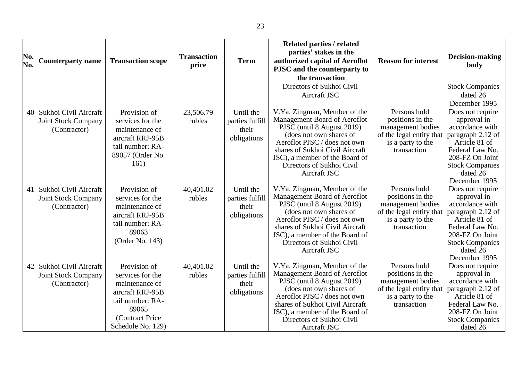| No.<br>No. | <b>Counterparty name</b>                                            | <b>Transaction scope</b>                                                                                                                     | <b>Transaction</b><br>price | <b>Term</b>                                          | <b>Related parties / related</b><br>parties' stakes in the<br>authorized capital of Aeroflot<br>PJSC and the counterparty to<br>the transaction                                                                                                                         | <b>Reason for interest</b>                                                                                            | Decision-making<br>body                                                                                                                                                               |
|------------|---------------------------------------------------------------------|----------------------------------------------------------------------------------------------------------------------------------------------|-----------------------------|------------------------------------------------------|-------------------------------------------------------------------------------------------------------------------------------------------------------------------------------------------------------------------------------------------------------------------------|-----------------------------------------------------------------------------------------------------------------------|---------------------------------------------------------------------------------------------------------------------------------------------------------------------------------------|
|            |                                                                     |                                                                                                                                              |                             |                                                      | Directors of Sukhoi Civil<br>Aircraft JSC                                                                                                                                                                                                                               |                                                                                                                       | <b>Stock Companies</b><br>dated 26<br>December 1995                                                                                                                                   |
| 40         | Sukhoi Civil Aircraft<br><b>Joint Stock Company</b><br>(Contractor) | Provision of<br>services for the<br>maintenance of<br>aircraft RRJ-95B<br>tail number: RA-<br>89057 (Order No.<br>161)                       | 23,506.79<br>rubles         | Until the<br>parties fulfill<br>their<br>obligations | V.Ya. Zingman, Member of the<br>Management Board of Aeroflot<br>PJSC (until 8 August 2019)<br>(does not own shares of<br>Aeroflot PJSC / does not own<br>shares of Sukhoi Civil Aircraft<br>JSC), a member of the Board of<br>Directors of Sukhoi Civil<br>Aircraft JSC | Persons hold<br>positions in the<br>management bodies<br>of the legal entity that<br>is a party to the<br>transaction | Does not require<br>approval in<br>accordance with<br>paragraph 2.12 of<br>Article 81 of<br>Federal Law No.<br>208-FZ On Joint<br><b>Stock Companies</b><br>dated 26<br>December 1995 |
| 41         | Sukhoi Civil Aircraft<br><b>Joint Stock Company</b><br>(Contractor) | Provision of<br>services for the<br>maintenance of<br>aircraft RRJ-95B<br>tail number: RA-<br>89063<br>(Order No. 143)                       | 40,401.02<br>rubles         | Until the<br>parties fulfill<br>their<br>obligations | V.Ya. Zingman, Member of the<br>Management Board of Aeroflot<br>PJSC (until 8 August 2019)<br>(does not own shares of<br>Aeroflot PJSC / does not own<br>shares of Sukhoi Civil Aircraft<br>JSC), a member of the Board of<br>Directors of Sukhoi Civil<br>Aircraft JSC | Persons hold<br>positions in the<br>management bodies<br>of the legal entity that<br>is a party to the<br>transaction | Does not require<br>approval in<br>accordance with<br>paragraph 2.12 of<br>Article 81 of<br>Federal Law No.<br>208-FZ On Joint<br><b>Stock Companies</b><br>dated 26<br>December 1995 |
| 42         | Sukhoi Civil Aircraft<br><b>Joint Stock Company</b><br>(Contractor) | Provision of<br>services for the<br>maintenance of<br>aircraft RRJ-95B<br>tail number: RA-<br>89065<br>(Contract Price)<br>Schedule No. 129) | 40,401.02<br>rubles         | Until the<br>parties fulfill<br>their<br>obligations | V.Ya. Zingman, Member of the<br>Management Board of Aeroflot<br>PJSC (until 8 August 2019)<br>(does not own shares of<br>Aeroflot PJSC / does not own<br>shares of Sukhoi Civil Aircraft<br>JSC), a member of the Board of<br>Directors of Sukhoi Civil<br>Aircraft JSC | Persons hold<br>positions in the<br>management bodies<br>of the legal entity that<br>is a party to the<br>transaction | Does not require<br>approval in<br>accordance with<br>paragraph 2.12 of<br>Article 81 of<br>Federal Law No.<br>208-FZ On Joint<br><b>Stock Companies</b><br>dated 26                  |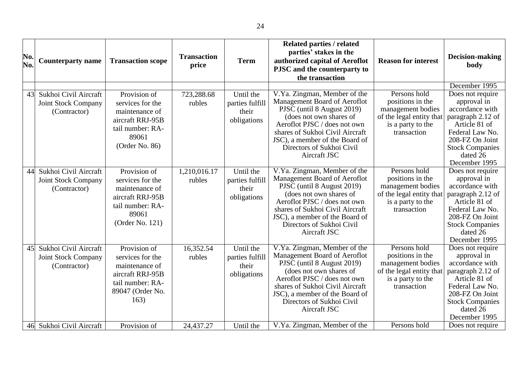| No.<br>No. | <b>Counterparty name</b>                                            | <b>Transaction scope</b>                                                                                               | <b>Transaction</b><br>price | <b>Term</b>                                          | <b>Related parties / related</b><br>parties' stakes in the<br>authorized capital of Aeroflot<br>PJSC and the counterparty to<br>the transaction                                                                                                                         | <b>Reason for interest</b>                                                                                            | Decision-making<br>body                                                                                                                                                                                |
|------------|---------------------------------------------------------------------|------------------------------------------------------------------------------------------------------------------------|-----------------------------|------------------------------------------------------|-------------------------------------------------------------------------------------------------------------------------------------------------------------------------------------------------------------------------------------------------------------------------|-----------------------------------------------------------------------------------------------------------------------|--------------------------------------------------------------------------------------------------------------------------------------------------------------------------------------------------------|
| 43         | Sukhoi Civil Aircraft<br>Joint Stock Company<br>(Contractor)        | Provision of<br>services for the<br>maintenance of<br>aircraft RRJ-95B<br>tail number: RA-<br>89061<br>(Order No. 86)  | 723,288.68<br>rubles        | Until the<br>parties fulfill<br>their<br>obligations | V.Ya. Zingman, Member of the<br>Management Board of Aeroflot<br>PJSC (until 8 August 2019)<br>(does not own shares of<br>Aeroflot PJSC / does not own<br>shares of Sukhoi Civil Aircraft<br>JSC), a member of the Board of<br>Directors of Sukhoi Civil<br>Aircraft JSC | Persons hold<br>positions in the<br>management bodies<br>of the legal entity that<br>is a party to the<br>transaction | December 1995<br>Does not require<br>approval in<br>accordance with<br>paragraph 2.12 of<br>Article 81 of<br>Federal Law No.<br>208-FZ On Joint<br><b>Stock Companies</b><br>dated 26<br>December 1995 |
| 44         | Sukhoi Civil Aircraft<br><b>Joint Stock Company</b><br>(Contractor) | Provision of<br>services for the<br>maintenance of<br>aircraft RRJ-95B<br>tail number: RA-<br>89061<br>(Order No. 121) | 1,210,016.17<br>rubles      | Until the<br>parties fulfill<br>their<br>obligations | V.Ya. Zingman, Member of the<br>Management Board of Aeroflot<br>PJSC (until 8 August 2019)<br>(does not own shares of<br>Aeroflot PJSC / does not own<br>shares of Sukhoi Civil Aircraft<br>JSC), a member of the Board of<br>Directors of Sukhoi Civil<br>Aircraft JSC | Persons hold<br>positions in the<br>management bodies<br>of the legal entity that<br>is a party to the<br>transaction | Does not require<br>approval in<br>accordance with<br>paragraph 2.12 of<br>Article 81 of<br>Federal Law No.<br>208-FZ On Joint<br><b>Stock Companies</b><br>dated 26<br>December 1995                  |
| 45         | Sukhoi Civil Aircraft<br><b>Joint Stock Company</b><br>(Contractor) | Provision of<br>services for the<br>maintenance of<br>aircraft RRJ-95B<br>tail number: RA-<br>89047 (Order No.<br>163) | 16,352.54<br>rubles         | Until the<br>parties fulfill<br>their<br>obligations | V.Ya. Zingman, Member of the<br>Management Board of Aeroflot<br>PJSC (until 8 August 2019)<br>(does not own shares of<br>Aeroflot PJSC / does not own<br>shares of Sukhoi Civil Aircraft<br>JSC), a member of the Board of<br>Directors of Sukhoi Civil<br>Aircraft JSC | Persons hold<br>positions in the<br>management bodies<br>of the legal entity that<br>is a party to the<br>transaction | Does not require<br>approval in<br>accordance with<br>paragraph 2.12 of<br>Article 81 of<br>Federal Law No.<br>208-FZ On Joint<br><b>Stock Companies</b><br>dated 26<br>December 1995                  |
| 46         | Sukhoi Civil Aircraft                                               | Provision of                                                                                                           | 24,437.27                   | Until the                                            | V.Ya. Zingman, Member of the                                                                                                                                                                                                                                            | Persons hold                                                                                                          | Does not require                                                                                                                                                                                       |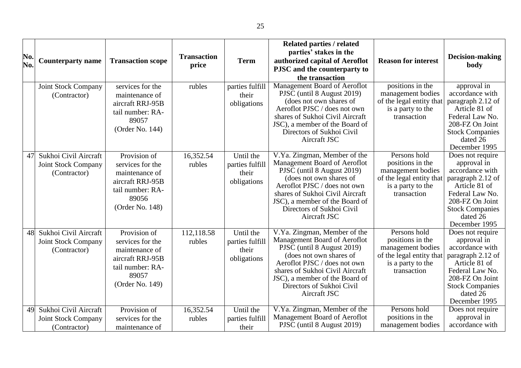| No.<br>No. | <b>Counterparty name</b>                                            | <b>Transaction scope</b>                                                                                               | <b>Transaction</b><br>price | <b>Term</b>                                          | <b>Related parties / related</b><br>parties' stakes in the<br>authorized capital of Aeroflot<br>PJSC and the counterparty to<br>the transaction                                                                                                                         | <b>Reason for interest</b>                                                                                            | <b>Decision-making</b><br>body                                                                                                                                                        |
|------------|---------------------------------------------------------------------|------------------------------------------------------------------------------------------------------------------------|-----------------------------|------------------------------------------------------|-------------------------------------------------------------------------------------------------------------------------------------------------------------------------------------------------------------------------------------------------------------------------|-----------------------------------------------------------------------------------------------------------------------|---------------------------------------------------------------------------------------------------------------------------------------------------------------------------------------|
|            | Joint Stock Company<br>(Contractor)                                 | services for the<br>maintenance of<br>aircraft RRJ-95B<br>tail number: RA-<br>89057<br>(Order No. 144)                 | rubles                      | parties fulfill<br>their<br>obligations              | Management Board of Aeroflot<br>PJSC (until 8 August 2019)<br>(does not own shares of<br>Aeroflot PJSC / does not own<br>shares of Sukhoi Civil Aircraft<br>JSC), a member of the Board of<br>Directors of Sukhoi Civil<br>Aircraft JSC                                 | positions in the<br>management bodies<br>of the legal entity that<br>is a party to the<br>transaction                 | approval in<br>accordance with<br>paragraph 2.12 of<br>Article 81 of<br>Federal Law No.<br>208-FZ On Joint<br><b>Stock Companies</b><br>dated 26<br>December 1995                     |
| 47         | Sukhoi Civil Aircraft<br><b>Joint Stock Company</b><br>(Contractor) | Provision of<br>services for the<br>maintenance of<br>aircraft RRJ-95B<br>tail number: RA-<br>89056<br>(Order No. 148) | 16,352.54<br>rubles         | Until the<br>parties fulfill<br>their<br>obligations | V.Ya. Zingman, Member of the<br>Management Board of Aeroflot<br>PJSC (until 8 August 2019)<br>(does not own shares of<br>Aeroflot PJSC / does not own<br>shares of Sukhoi Civil Aircraft<br>JSC), a member of the Board of<br>Directors of Sukhoi Civil<br>Aircraft JSC | Persons hold<br>positions in the<br>management bodies<br>of the legal entity that<br>is a party to the<br>transaction | Does not require<br>approval in<br>accordance with<br>paragraph 2.12 of<br>Article 81 of<br>Federal Law No.<br>208-FZ On Joint<br><b>Stock Companies</b><br>dated 26<br>December 1995 |
| 48         | Sukhoi Civil Aircraft<br><b>Joint Stock Company</b><br>(Contractor) | Provision of<br>services for the<br>maintenance of<br>aircraft RRJ-95B<br>tail number: RA-<br>89057<br>(Order No. 149) | 112,118.58<br>rubles        | Until the<br>parties fulfill<br>their<br>obligations | V.Ya. Zingman, Member of the<br>Management Board of Aeroflot<br>PJSC (until 8 August 2019)<br>(does not own shares of<br>Aeroflot PJSC / does not own<br>shares of Sukhoi Civil Aircraft<br>JSC), a member of the Board of<br>Directors of Sukhoi Civil<br>Aircraft JSC | Persons hold<br>positions in the<br>management bodies<br>of the legal entity that<br>is a party to the<br>transaction | Does not require<br>approval in<br>accordance with<br>paragraph 2.12 of<br>Article 81 of<br>Federal Law No.<br>208-FZ On Joint<br><b>Stock Companies</b><br>dated 26<br>December 1995 |
| 49         | Sukhoi Civil Aircraft<br><b>Joint Stock Company</b><br>(Contractor) | Provision of<br>services for the<br>maintenance of                                                                     | 16,352.54<br>rubles         | Until the<br>parties fulfill<br>their                | V.Ya. Zingman, Member of the<br>Management Board of Aeroflot<br>PJSC (until 8 August 2019)                                                                                                                                                                              | Persons hold<br>positions in the<br>management bodies                                                                 | Does not require<br>approval in<br>accordance with                                                                                                                                    |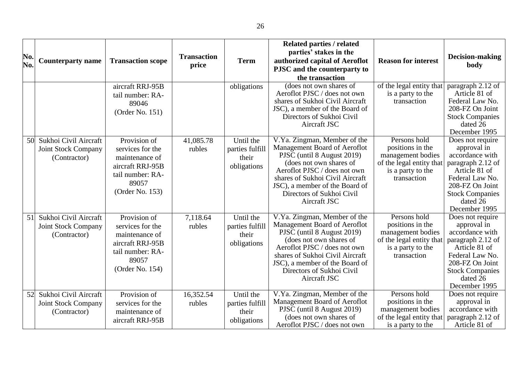|     |                                                                     |                                                                                                                        |                     |                                                      | <b>Related parties / related</b><br>parties' stakes in the                                                                                                                                                                                                              |                                                                                                                       |                                                                                                                                                                                       |
|-----|---------------------------------------------------------------------|------------------------------------------------------------------------------------------------------------------------|---------------------|------------------------------------------------------|-------------------------------------------------------------------------------------------------------------------------------------------------------------------------------------------------------------------------------------------------------------------------|-----------------------------------------------------------------------------------------------------------------------|---------------------------------------------------------------------------------------------------------------------------------------------------------------------------------------|
| No. | <b>Counterparty name</b>                                            | <b>Transaction scope</b>                                                                                               | <b>Transaction</b>  | <b>Term</b>                                          | authorized capital of Aeroflot                                                                                                                                                                                                                                          | <b>Reason for interest</b>                                                                                            | Decision-making                                                                                                                                                                       |
| No. |                                                                     |                                                                                                                        | price               |                                                      | PJSC and the counterparty to                                                                                                                                                                                                                                            |                                                                                                                       | body                                                                                                                                                                                  |
|     |                                                                     |                                                                                                                        |                     |                                                      | the transaction                                                                                                                                                                                                                                                         |                                                                                                                       |                                                                                                                                                                                       |
|     |                                                                     | aircraft RRJ-95B<br>tail number: RA-<br>89046<br>(Order No. 151)                                                       |                     | obligations                                          | (does not own shares of<br>Aeroflot PJSC / does not own<br>shares of Sukhoi Civil Aircraft<br>JSC), a member of the Board of                                                                                                                                            | of the legal entity that<br>is a party to the<br>transaction                                                          | paragraph 2.12 of<br>Article 81 of<br>Federal Law No.<br>208-FZ On Joint                                                                                                              |
|     |                                                                     |                                                                                                                        |                     |                                                      | Directors of Sukhoi Civil<br>Aircraft JSC                                                                                                                                                                                                                               |                                                                                                                       | <b>Stock Companies</b><br>dated 26<br>December 1995                                                                                                                                   |
| 50  | Sukhoi Civil Aircraft<br><b>Joint Stock Company</b><br>(Contractor) | Provision of<br>services for the<br>maintenance of<br>aircraft RRJ-95B<br>tail number: RA-<br>89057<br>(Order No. 153) | 41,085.78<br>rubles | Until the<br>parties fulfill<br>their<br>obligations | V.Ya. Zingman, Member of the<br>Management Board of Aeroflot<br>PJSC (until 8 August 2019)<br>(does not own shares of<br>Aeroflot PJSC / does not own<br>shares of Sukhoi Civil Aircraft<br>JSC), a member of the Board of<br>Directors of Sukhoi Civil<br>Aircraft JSC | Persons hold<br>positions in the<br>management bodies<br>of the legal entity that<br>is a party to the<br>transaction | Does not require<br>approval in<br>accordance with<br>paragraph 2.12 of<br>Article 81 of<br>Federal Law No.<br>208-FZ On Joint<br><b>Stock Companies</b><br>dated 26<br>December 1995 |
| 51  | Sukhoi Civil Aircraft<br>Joint Stock Company<br>(Contractor)        | Provision of<br>services for the<br>maintenance of<br>aircraft RRJ-95B<br>tail number: RA-<br>89057<br>(Order No. 154) | 7,118.64<br>rubles  | Until the<br>parties fulfill<br>their<br>obligations | V.Ya. Zingman, Member of the<br>Management Board of Aeroflot<br>PJSC (until 8 August 2019)<br>(does not own shares of<br>Aeroflot PJSC / does not own<br>shares of Sukhoi Civil Aircraft<br>JSC), a member of the Board of<br>Directors of Sukhoi Civil<br>Aircraft JSC | Persons hold<br>positions in the<br>management bodies<br>of the legal entity that<br>is a party to the<br>transaction | Does not require<br>approval in<br>accordance with<br>paragraph 2.12 of<br>Article 81 of<br>Federal Law No.<br>208-FZ On Joint<br><b>Stock Companies</b><br>dated 26<br>December 1995 |
| 52  | Sukhoi Civil Aircraft<br>Joint Stock Company<br>(Contractor)        | Provision of<br>services for the<br>maintenance of<br>aircraft RRJ-95B                                                 | 16,352.54<br>rubles | Until the<br>parties fulfill<br>their<br>obligations | V.Ya. Zingman, Member of the<br>Management Board of Aeroflot<br>PJSC (until 8 August 2019)<br>(does not own shares of<br>Aeroflot PJSC / does not own                                                                                                                   | Persons hold<br>positions in the<br>management bodies<br>of the legal entity that<br>is a party to the                | Does not require<br>approval in<br>accordance with<br>paragraph 2.12 of<br>Article 81 of                                                                                              |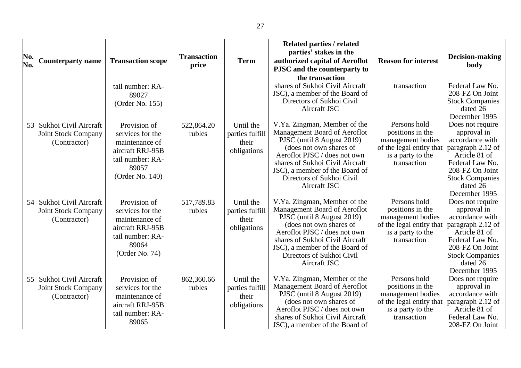| No.<br>No. | <b>Counterparty name</b>                                            | <b>Transaction scope</b>                                                                                               | <b>Transaction</b><br>price | <b>Term</b>                                          | <b>Related parties / related</b><br>parties' stakes in the<br>authorized capital of Aeroflot<br>PJSC and the counterparty to<br>the transaction                                                                                                                         | <b>Reason for interest</b>                                                                                            | Decision-making<br>body                                                                                                                                                               |
|------------|---------------------------------------------------------------------|------------------------------------------------------------------------------------------------------------------------|-----------------------------|------------------------------------------------------|-------------------------------------------------------------------------------------------------------------------------------------------------------------------------------------------------------------------------------------------------------------------------|-----------------------------------------------------------------------------------------------------------------------|---------------------------------------------------------------------------------------------------------------------------------------------------------------------------------------|
|            |                                                                     | tail number: RA-<br>89027<br>(Order No. 155)                                                                           |                             |                                                      | shares of Sukhoi Civil Aircraft<br>JSC), a member of the Board of<br>Directors of Sukhoi Civil<br>Aircraft JSC                                                                                                                                                          | transaction                                                                                                           | Federal Law No.<br>208-FZ On Joint<br><b>Stock Companies</b><br>dated 26<br>December 1995                                                                                             |
| 53         | Sukhoi Civil Aircraft<br><b>Joint Stock Company</b><br>(Contractor) | Provision of<br>services for the<br>maintenance of<br>aircraft RRJ-95B<br>tail number: RA-<br>89057<br>(Order No. 140) | 522,864.20<br>rubles        | Until the<br>parties fulfill<br>their<br>obligations | V.Ya. Zingman, Member of the<br>Management Board of Aeroflot<br>PJSC (until 8 August 2019)<br>(does not own shares of<br>Aeroflot PJSC / does not own<br>shares of Sukhoi Civil Aircraft<br>JSC), a member of the Board of<br>Directors of Sukhoi Civil<br>Aircraft JSC | Persons hold<br>positions in the<br>management bodies<br>of the legal entity that<br>is a party to the<br>transaction | Does not require<br>approval in<br>accordance with<br>paragraph 2.12 of<br>Article 81 of<br>Federal Law No.<br>208-FZ On Joint<br><b>Stock Companies</b><br>dated 26<br>December 1995 |
| 54         | Sukhoi Civil Aircraft<br><b>Joint Stock Company</b><br>(Contractor) | Provision of<br>services for the<br>maintenance of<br>aircraft RRJ-95B<br>tail number: RA-<br>89064<br>(Order No. 74)  | 517,789.83<br>rubles        | Until the<br>parties fulfill<br>their<br>obligations | V.Ya. Zingman, Member of the<br>Management Board of Aeroflot<br>PJSC (until 8 August 2019)<br>(does not own shares of<br>Aeroflot PJSC / does not own<br>shares of Sukhoi Civil Aircraft<br>JSC), a member of the Board of<br>Directors of Sukhoi Civil<br>Aircraft JSC | Persons hold<br>positions in the<br>management bodies<br>of the legal entity that<br>is a party to the<br>transaction | Does not require<br>approval in<br>accordance with<br>paragraph 2.12 of<br>Article 81 of<br>Federal Law No.<br>208-FZ On Joint<br><b>Stock Companies</b><br>dated 26<br>December 1995 |
| 55         | Sukhoi Civil Aircraft<br><b>Joint Stock Company</b><br>(Contractor) | Provision of<br>services for the<br>maintenance of<br>aircraft RRJ-95B<br>tail number: RA-<br>89065                    | 862,360.66<br>rubles        | Until the<br>parties fulfill<br>their<br>obligations | V.Ya. Zingman, Member of the<br>Management Board of Aeroflot<br>PJSC (until 8 August 2019)<br>(does not own shares of<br>Aeroflot PJSC / does not own<br>shares of Sukhoi Civil Aircraft<br>JSC), a member of the Board of                                              | Persons hold<br>positions in the<br>management bodies<br>of the legal entity that<br>is a party to the<br>transaction | Does not require<br>approval in<br>accordance with<br>paragraph 2.12 of<br>Article 81 of<br>Federal Law No.<br>208-FZ On Joint                                                        |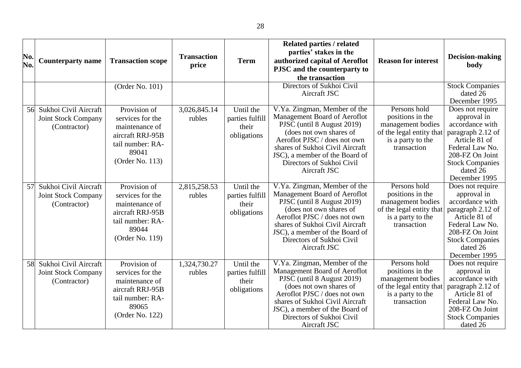| No.<br>No. | <b>Counterparty name</b>                                            | <b>Transaction scope</b>                                                                                               | <b>Transaction</b><br>price | <b>Term</b>                                          | <b>Related parties / related</b><br>parties' stakes in the<br>authorized capital of Aeroflot<br>PJSC and the counterparty to<br>the transaction                                                                                                                         | <b>Reason for interest</b>                                                                                            | Decision-making<br>body                                                                                                                                                               |
|------------|---------------------------------------------------------------------|------------------------------------------------------------------------------------------------------------------------|-----------------------------|------------------------------------------------------|-------------------------------------------------------------------------------------------------------------------------------------------------------------------------------------------------------------------------------------------------------------------------|-----------------------------------------------------------------------------------------------------------------------|---------------------------------------------------------------------------------------------------------------------------------------------------------------------------------------|
|            |                                                                     | (Order No. 101)                                                                                                        |                             |                                                      | Directors of Sukhoi Civil<br>Aircraft JSC                                                                                                                                                                                                                               |                                                                                                                       | <b>Stock Companies</b><br>dated 26<br>December 1995                                                                                                                                   |
| 56         | Sukhoi Civil Aircraft<br><b>Joint Stock Company</b><br>(Contractor) | Provision of<br>services for the<br>maintenance of<br>aircraft RRJ-95B<br>tail number: RA-<br>89041<br>(Order No. 113) | 3,026,845.14<br>rubles      | Until the<br>parties fulfill<br>their<br>obligations | V.Ya. Zingman, Member of the<br>Management Board of Aeroflot<br>PJSC (until 8 August 2019)<br>(does not own shares of<br>Aeroflot PJSC / does not own<br>shares of Sukhoi Civil Aircraft<br>JSC), a member of the Board of<br>Directors of Sukhoi Civil<br>Aircraft JSC | Persons hold<br>positions in the<br>management bodies<br>of the legal entity that<br>is a party to the<br>transaction | Does not require<br>approval in<br>accordance with<br>paragraph 2.12 of<br>Article 81 of<br>Federal Law No.<br>208-FZ On Joint<br><b>Stock Companies</b><br>dated 26<br>December 1995 |
| 57         | Sukhoi Civil Aircraft<br><b>Joint Stock Company</b><br>(Contractor) | Provision of<br>services for the<br>maintenance of<br>aircraft RRJ-95B<br>tail number: RA-<br>89044<br>(Order No. 119) | 2,815,258.53<br>rubles      | Until the<br>parties fulfill<br>their<br>obligations | V.Ya. Zingman, Member of the<br>Management Board of Aeroflot<br>PJSC (until 8 August 2019)<br>(does not own shares of<br>Aeroflot PJSC / does not own<br>shares of Sukhoi Civil Aircraft<br>JSC), a member of the Board of<br>Directors of Sukhoi Civil<br>Aircraft JSC | Persons hold<br>positions in the<br>management bodies<br>of the legal entity that<br>is a party to the<br>transaction | Does not require<br>approval in<br>accordance with<br>paragraph 2.12 of<br>Article 81 of<br>Federal Law No.<br>208-FZ On Joint<br><b>Stock Companies</b><br>dated 26<br>December 1995 |
| 58         | Sukhoi Civil Aircraft<br><b>Joint Stock Company</b><br>(Contractor) | Provision of<br>services for the<br>maintenance of<br>aircraft RRJ-95B<br>tail number: RA-<br>89065<br>(Order No. 122) | 1,324,730.27<br>rubles      | Until the<br>parties fulfill<br>their<br>obligations | V.Ya. Zingman, Member of the<br>Management Board of Aeroflot<br>PJSC (until 8 August 2019)<br>(does not own shares of<br>Aeroflot PJSC / does not own<br>shares of Sukhoi Civil Aircraft<br>JSC), a member of the Board of<br>Directors of Sukhoi Civil<br>Aircraft JSC | Persons hold<br>positions in the<br>management bodies<br>of the legal entity that<br>is a party to the<br>transaction | Does not require<br>approval in<br>accordance with<br>paragraph 2.12 of<br>Article 81 of<br>Federal Law No.<br>208-FZ On Joint<br><b>Stock Companies</b><br>dated 26                  |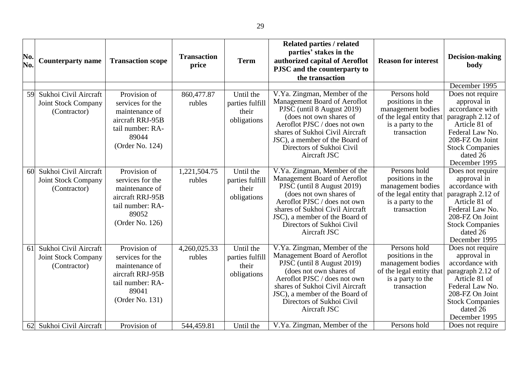| No.<br>No. | <b>Counterparty name</b>                                            | <b>Transaction scope</b>                                                                                               | <b>Transaction</b><br>price | <b>Term</b>                                          | <b>Related parties / related</b><br>parties' stakes in the<br>authorized capital of Aeroflot<br>PJSC and the counterparty to<br>the transaction                                                                                                                         | <b>Reason for interest</b>                                                                                            | Decision-making<br>body<br>December 1995                                                                                                                                              |
|------------|---------------------------------------------------------------------|------------------------------------------------------------------------------------------------------------------------|-----------------------------|------------------------------------------------------|-------------------------------------------------------------------------------------------------------------------------------------------------------------------------------------------------------------------------------------------------------------------------|-----------------------------------------------------------------------------------------------------------------------|---------------------------------------------------------------------------------------------------------------------------------------------------------------------------------------|
| 59         | Sukhoi Civil Aircraft<br>Joint Stock Company<br>(Contractor)        | Provision of<br>services for the<br>maintenance of<br>aircraft RRJ-95B<br>tail number: RA-<br>89044<br>(Order No. 124) | 860,477.87<br>rubles        | Until the<br>parties fulfill<br>their<br>obligations | V.Ya. Zingman, Member of the<br>Management Board of Aeroflot<br>PJSC (until 8 August 2019)<br>(does not own shares of<br>Aeroflot PJSC / does not own<br>shares of Sukhoi Civil Aircraft<br>JSC), a member of the Board of<br>Directors of Sukhoi Civil<br>Aircraft JSC | Persons hold<br>positions in the<br>management bodies<br>of the legal entity that<br>is a party to the<br>transaction | Does not require<br>approval in<br>accordance with<br>paragraph 2.12 of<br>Article 81 of<br>Federal Law No.<br>208-FZ On Joint<br><b>Stock Companies</b><br>dated 26<br>December 1995 |
| 60         | Sukhoi Civil Aircraft<br><b>Joint Stock Company</b><br>(Contractor) | Provision of<br>services for the<br>maintenance of<br>aircraft RRJ-95B<br>tail number: RA-<br>89052<br>(Order No. 126) | 1,221,504.75<br>rubles      | Until the<br>parties fulfill<br>their<br>obligations | V.Ya. Zingman, Member of the<br>Management Board of Aeroflot<br>PJSC (until 8 August 2019)<br>(does not own shares of<br>Aeroflot PJSC / does not own<br>shares of Sukhoi Civil Aircraft<br>JSC), a member of the Board of<br>Directors of Sukhoi Civil<br>Aircraft JSC | Persons hold<br>positions in the<br>management bodies<br>of the legal entity that<br>is a party to the<br>transaction | Does not require<br>approval in<br>accordance with<br>paragraph 2.12 of<br>Article 81 of<br>Federal Law No.<br>208-FZ On Joint<br><b>Stock Companies</b><br>dated 26<br>December 1995 |
| 61         | Sukhoi Civil Aircraft<br><b>Joint Stock Company</b><br>(Contractor) | Provision of<br>services for the<br>maintenance of<br>aircraft RRJ-95B<br>tail number: RA-<br>89041<br>(Order No. 131) | 4,260,025.33<br>rubles      | Until the<br>parties fulfill<br>their<br>obligations | V.Ya. Zingman, Member of the<br>Management Board of Aeroflot<br>PJSC (until 8 August 2019)<br>(does not own shares of<br>Aeroflot PJSC / does not own<br>shares of Sukhoi Civil Aircraft<br>JSC), a member of the Board of<br>Directors of Sukhoi Civil<br>Aircraft JSC | Persons hold<br>positions in the<br>management bodies<br>of the legal entity that<br>is a party to the<br>transaction | Does not require<br>approval in<br>accordance with<br>paragraph 2.12 of<br>Article 81 of<br>Federal Law No.<br>208-FZ On Joint<br><b>Stock Companies</b><br>dated 26<br>December 1995 |
| 62         | Sukhoi Civil Aircraft                                               | Provision of                                                                                                           | 544,459.81                  | Until the                                            | V.Ya. Zingman, Member of the                                                                                                                                                                                                                                            | Persons hold                                                                                                          | Does not require                                                                                                                                                                      |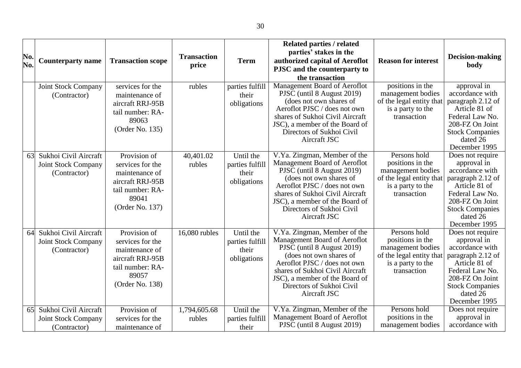| No.<br>No. | <b>Counterparty name</b>                                            | <b>Transaction scope</b>                                                                                               | <b>Transaction</b><br>price | <b>Term</b>                                          | <b>Related parties / related</b><br>parties' stakes in the<br>authorized capital of Aeroflot<br>PJSC and the counterparty to<br>the transaction                                                                                                                         | <b>Reason for interest</b>                                                                                            | <b>Decision-making</b><br>body                                                                                                                                                        |
|------------|---------------------------------------------------------------------|------------------------------------------------------------------------------------------------------------------------|-----------------------------|------------------------------------------------------|-------------------------------------------------------------------------------------------------------------------------------------------------------------------------------------------------------------------------------------------------------------------------|-----------------------------------------------------------------------------------------------------------------------|---------------------------------------------------------------------------------------------------------------------------------------------------------------------------------------|
|            | Joint Stock Company<br>(Contractor)                                 | services for the<br>maintenance of<br>aircraft RRJ-95B<br>tail number: RA-<br>89063<br>(Order No. 135)                 | rubles                      | parties fulfill<br>their<br>obligations              | Management Board of Aeroflot<br>PJSC (until 8 August 2019)<br>(does not own shares of<br>Aeroflot PJSC / does not own<br>shares of Sukhoi Civil Aircraft<br>JSC), a member of the Board of<br>Directors of Sukhoi Civil<br>Aircraft JSC                                 | positions in the<br>management bodies<br>of the legal entity that<br>is a party to the<br>transaction                 | approval in<br>accordance with<br>paragraph 2.12 of<br>Article 81 of<br>Federal Law No.<br>208-FZ On Joint<br><b>Stock Companies</b><br>dated 26<br>December 1995                     |
| 63         | Sukhoi Civil Aircraft<br><b>Joint Stock Company</b><br>(Contractor) | Provision of<br>services for the<br>maintenance of<br>aircraft RRJ-95B<br>tail number: RA-<br>89041<br>(Order No. 137) | 40,401.02<br>rubles         | Until the<br>parties fulfill<br>their<br>obligations | V.Ya. Zingman, Member of the<br>Management Board of Aeroflot<br>PJSC (until 8 August 2019)<br>(does not own shares of<br>Aeroflot PJSC / does not own<br>shares of Sukhoi Civil Aircraft<br>JSC), a member of the Board of<br>Directors of Sukhoi Civil<br>Aircraft JSC | Persons hold<br>positions in the<br>management bodies<br>of the legal entity that<br>is a party to the<br>transaction | Does not require<br>approval in<br>accordance with<br>paragraph 2.12 of<br>Article 81 of<br>Federal Law No.<br>208-FZ On Joint<br><b>Stock Companies</b><br>dated 26<br>December 1995 |
| 64         | Sukhoi Civil Aircraft<br><b>Joint Stock Company</b><br>(Contractor) | Provision of<br>services for the<br>maintenance of<br>aircraft RRJ-95B<br>tail number: RA-<br>89057<br>(Order No. 138) | 16,080 rubles               | Until the<br>parties fulfill<br>their<br>obligations | V.Ya. Zingman, Member of the<br>Management Board of Aeroflot<br>PJSC (until 8 August 2019)<br>(does not own shares of<br>Aeroflot PJSC / does not own<br>shares of Sukhoi Civil Aircraft<br>JSC), a member of the Board of<br>Directors of Sukhoi Civil<br>Aircraft JSC | Persons hold<br>positions in the<br>management bodies<br>of the legal entity that<br>is a party to the<br>transaction | Does not require<br>approval in<br>accordance with<br>paragraph 2.12 of<br>Article 81 of<br>Federal Law No.<br>208-FZ On Joint<br><b>Stock Companies</b><br>dated 26<br>December 1995 |
| 65         | Sukhoi Civil Aircraft<br><b>Joint Stock Company</b><br>(Contractor) | Provision of<br>services for the<br>maintenance of                                                                     | 1,794,605.68<br>rubles      | Until the<br>parties fulfill<br>their                | V.Ya. Zingman, Member of the<br>Management Board of Aeroflot<br>PJSC (until 8 August 2019)                                                                                                                                                                              | Persons hold<br>positions in the<br>management bodies                                                                 | Does not require<br>approval in<br>accordance with                                                                                                                                    |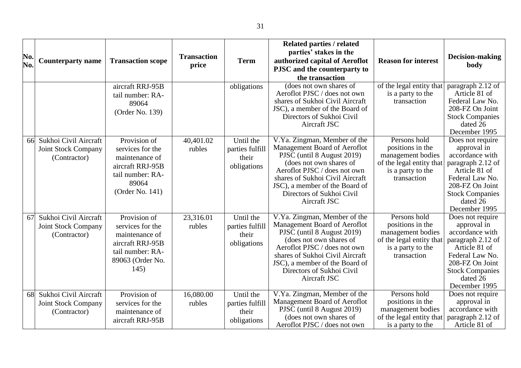|     |                            |                          |                    |                 | <b>Related parties / related</b>                                  |                            |                                    |
|-----|----------------------------|--------------------------|--------------------|-----------------|-------------------------------------------------------------------|----------------------------|------------------------------------|
| No. |                            |                          | <b>Transaction</b> |                 | parties' stakes in the                                            |                            | Decision-making                    |
| No. | <b>Counterparty name</b>   | <b>Transaction scope</b> | price              | <b>Term</b>     | authorized capital of Aeroflot                                    | <b>Reason for interest</b> |                                    |
|     |                            |                          |                    |                 | PJSC and the counterparty to                                      |                            | body                               |
|     |                            |                          |                    |                 | the transaction                                                   |                            |                                    |
|     |                            | aircraft RRJ-95B         |                    | obligations     | (does not own shares of                                           | of the legal entity that   | paragraph 2.12 of                  |
|     |                            | tail number: RA-         |                    |                 | Aeroflot PJSC / does not own                                      | is a party to the          | Article 81 of                      |
|     |                            | 89064                    |                    |                 | shares of Sukhoi Civil Aircraft                                   | transaction                | Federal Law No.                    |
|     |                            | (Order No. 139)          |                    |                 | JSC), a member of the Board of                                    |                            | 208-FZ On Joint                    |
|     |                            |                          |                    |                 | Directors of Sukhoi Civil                                         |                            | <b>Stock Companies</b>             |
|     |                            |                          |                    |                 | Aircraft JSC                                                      |                            | dated 26                           |
|     |                            |                          |                    |                 |                                                                   | Persons hold               | December 1995                      |
| 66  | Sukhoi Civil Aircraft      | Provision of             | 40,401.02          | Until the       | V.Ya. Zingman, Member of the<br>Management Board of Aeroflot      | positions in the           | Does not require<br>approval in    |
|     | <b>Joint Stock Company</b> | services for the         | rubles             | parties fulfill | PJSC (until 8 August 2019)                                        | management bodies          | accordance with                    |
|     | (Contractor)               | maintenance of           |                    | their           | (does not own shares of                                           | of the legal entity that   | paragraph 2.12 of                  |
|     |                            | aircraft RRJ-95B         |                    | obligations     | Aeroflot PJSC / does not own                                      | is a party to the          | Article 81 of                      |
|     |                            | tail number: RA-         |                    |                 | shares of Sukhoi Civil Aircraft                                   | transaction                | Federal Law No.                    |
|     |                            | 89064                    |                    |                 | JSC), a member of the Board of                                    |                            | 208-FZ On Joint                    |
|     |                            | (Order No. 141)          |                    |                 | Directors of Sukhoi Civil                                         |                            | <b>Stock Companies</b>             |
|     |                            |                          |                    |                 | Aircraft JSC                                                      |                            | dated 26                           |
|     |                            |                          |                    |                 |                                                                   |                            | December 1995                      |
| 67  | Sukhoi Civil Aircraft      | Provision of             | 23,316.01          | Until the       | V.Ya. Zingman, Member of the                                      | Persons hold               | Does not require                   |
|     | Joint Stock Company        | services for the         | rubles             | parties fulfill | Management Board of Aeroflot                                      | positions in the           | approval in                        |
|     | (Contractor)               | maintenance of           |                    | their           | PJSC (until 8 August 2019)                                        | management bodies          | accordance with                    |
|     |                            | aircraft RRJ-95B         |                    | obligations     | (does not own shares of                                           | of the legal entity that   | paragraph 2.12 of                  |
|     |                            | tail number: RA-         |                    |                 | Aeroflot PJSC / does not own                                      | is a party to the          | Article 81 of                      |
|     |                            | 89063 (Order No.         |                    |                 | shares of Sukhoi Civil Aircraft<br>JSC), a member of the Board of | transaction                | Federal Law No.<br>208-FZ On Joint |
|     |                            | 145)                     |                    |                 | Directors of Sukhoi Civil                                         |                            | <b>Stock Companies</b>             |
|     |                            |                          |                    |                 | Aircraft JSC                                                      |                            | dated 26                           |
|     |                            |                          |                    |                 |                                                                   |                            | December 1995                      |
| 68  | Sukhoi Civil Aircraft      | Provision of             | 16,080.00          | Until the       | V.Ya. Zingman, Member of the                                      | Persons hold               | Does not require                   |
|     | Joint Stock Company        | services for the         | rubles             | parties fulfill | Management Board of Aeroflot                                      | positions in the           | approval in                        |
|     | (Contractor)               | maintenance of           |                    | their           | PJSC (until 8 August 2019)                                        | management bodies          | accordance with                    |
|     |                            | aircraft RRJ-95B         |                    | obligations     | (does not own shares of                                           | of the legal entity that   | paragraph 2.12 of                  |
|     |                            |                          |                    |                 | Aeroflot PJSC / does not own                                      | is a party to the          | Article 81 of                      |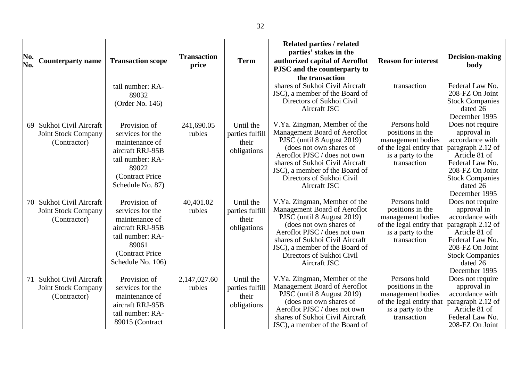| No.<br>No. | <b>Counterparty name</b>                                            | <b>Transaction scope</b>                                                                                                                    | <b>Transaction</b><br>price | <b>Term</b>                                          | <b>Related parties / related</b><br>parties' stakes in the<br>authorized capital of Aeroflot<br>PJSC and the counterparty to<br>the transaction                                                                                                                         | <b>Reason for interest</b>                                                                                            | Decision-making<br>body                                                                                                                                                               |
|------------|---------------------------------------------------------------------|---------------------------------------------------------------------------------------------------------------------------------------------|-----------------------------|------------------------------------------------------|-------------------------------------------------------------------------------------------------------------------------------------------------------------------------------------------------------------------------------------------------------------------------|-----------------------------------------------------------------------------------------------------------------------|---------------------------------------------------------------------------------------------------------------------------------------------------------------------------------------|
|            |                                                                     | tail number: RA-<br>89032<br>(Order No. 146)                                                                                                |                             |                                                      | shares of Sukhoi Civil Aircraft<br>JSC), a member of the Board of<br>Directors of Sukhoi Civil<br>Aircraft JSC                                                                                                                                                          | transaction                                                                                                           | Federal Law No.<br>208-FZ On Joint<br><b>Stock Companies</b><br>dated 26<br>December 1995                                                                                             |
| 69         | Sukhoi Civil Aircraft<br><b>Joint Stock Company</b><br>(Contractor) | Provision of<br>services for the<br>maintenance of<br>aircraft RRJ-95B<br>tail number: RA-<br>89022<br>(Contract Price<br>Schedule No. 87)  | 241,690.05<br>rubles        | Until the<br>parties fulfill<br>their<br>obligations | V.Ya. Zingman, Member of the<br>Management Board of Aeroflot<br>PJSC (until 8 August 2019)<br>(does not own shares of<br>Aeroflot PJSC / does not own<br>shares of Sukhoi Civil Aircraft<br>JSC), a member of the Board of<br>Directors of Sukhoi Civil<br>Aircraft JSC | Persons hold<br>positions in the<br>management bodies<br>of the legal entity that<br>is a party to the<br>transaction | Does not require<br>approval in<br>accordance with<br>paragraph 2.12 of<br>Article 81 of<br>Federal Law No.<br>208-FZ On Joint<br><b>Stock Companies</b><br>dated 26<br>December 1995 |
| 70         | Sukhoi Civil Aircraft<br><b>Joint Stock Company</b><br>(Contractor) | Provision of<br>services for the<br>maintenance of<br>aircraft RRJ-95B<br>tail number: RA-<br>89061<br>(Contract Price<br>Schedule No. 106) | 40,401.02<br>rubles         | Until the<br>parties fulfill<br>their<br>obligations | V.Ya. Zingman, Member of the<br>Management Board of Aeroflot<br>PJSC (until 8 August 2019)<br>(does not own shares of<br>Aeroflot PJSC / does not own<br>shares of Sukhoi Civil Aircraft<br>JSC), a member of the Board of<br>Directors of Sukhoi Civil<br>Aircraft JSC | Persons hold<br>positions in the<br>management bodies<br>of the legal entity that<br>is a party to the<br>transaction | Does not require<br>approval in<br>accordance with<br>paragraph 2.12 of<br>Article 81 of<br>Federal Law No.<br>208-FZ On Joint<br><b>Stock Companies</b><br>dated 26<br>December 1995 |
| 71         | Sukhoi Civil Aircraft<br><b>Joint Stock Company</b><br>(Contractor) | Provision of<br>services for the<br>maintenance of<br>aircraft RRJ-95B<br>tail number: RA-<br>89015 (Contract                               | 2,147,027.60<br>rubles      | Until the<br>parties fulfill<br>their<br>obligations | V.Ya. Zingman, Member of the<br>Management Board of Aeroflot<br>PJSC (until 8 August 2019)<br>(does not own shares of<br>Aeroflot PJSC / does not own<br>shares of Sukhoi Civil Aircraft<br>JSC), a member of the Board of                                              | Persons hold<br>positions in the<br>management bodies<br>of the legal entity that<br>is a party to the<br>transaction | Does not require<br>approval in<br>accordance with<br>paragraph 2.12 of<br>Article 81 of<br>Federal Law No.<br>208-FZ On Joint                                                        |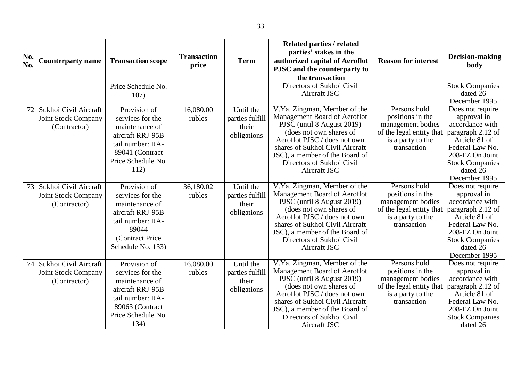| No.<br>No. | <b>Counterparty name</b>                                            | <b>Transaction scope</b>                                                                                                                    | <b>Transaction</b><br>price | <b>Term</b>                                          | Related parties / related<br>parties' stakes in the<br>authorized capital of Aeroflot<br>PJSC and the counterparty to<br>the transaction                                                                                                                                | <b>Reason for interest</b>                                                                                            | Decision-making<br>body                                                                                                                                                               |
|------------|---------------------------------------------------------------------|---------------------------------------------------------------------------------------------------------------------------------------------|-----------------------------|------------------------------------------------------|-------------------------------------------------------------------------------------------------------------------------------------------------------------------------------------------------------------------------------------------------------------------------|-----------------------------------------------------------------------------------------------------------------------|---------------------------------------------------------------------------------------------------------------------------------------------------------------------------------------|
|            |                                                                     | Price Schedule No.<br>107)                                                                                                                  |                             |                                                      | Directors of Sukhoi Civil<br>Aircraft JSC                                                                                                                                                                                                                               |                                                                                                                       | <b>Stock Companies</b><br>dated 26<br>December 1995                                                                                                                                   |
| 72         | Sukhoi Civil Aircraft<br><b>Joint Stock Company</b><br>(Contractor) | Provision of<br>services for the<br>maintenance of<br>aircraft RRJ-95B<br>tail number: RA-<br>89041 (Contract<br>Price Schedule No.<br>112) | 16,080.00<br>rubles         | Until the<br>parties fulfill<br>their<br>obligations | V.Ya. Zingman, Member of the<br>Management Board of Aeroflot<br>PJSC (until 8 August 2019)<br>(does not own shares of<br>Aeroflot PJSC / does not own<br>shares of Sukhoi Civil Aircraft<br>JSC), a member of the Board of<br>Directors of Sukhoi Civil<br>Aircraft JSC | Persons hold<br>positions in the<br>management bodies<br>of the legal entity that<br>is a party to the<br>transaction | Does not require<br>approval in<br>accordance with<br>paragraph 2.12 of<br>Article 81 of<br>Federal Law No.<br>208-FZ On Joint<br><b>Stock Companies</b><br>dated 26<br>December 1995 |
| 73         | Sukhoi Civil Aircraft<br>Joint Stock Company<br>(Contractor)        | Provision of<br>services for the<br>maintenance of<br>aircraft RRJ-95B<br>tail number: RA-<br>89044<br>(Contract Price<br>Schedule No. 133) | 36,180.02<br>rubles         | Until the<br>parties fulfill<br>their<br>obligations | V.Ya. Zingman, Member of the<br>Management Board of Aeroflot<br>PJSC (until 8 August 2019)<br>(does not own shares of<br>Aeroflot PJSC / does not own<br>shares of Sukhoi Civil Aircraft<br>JSC), a member of the Board of<br>Directors of Sukhoi Civil<br>Aircraft JSC | Persons hold<br>positions in the<br>management bodies<br>of the legal entity that<br>is a party to the<br>transaction | Does not require<br>approval in<br>accordance with<br>paragraph 2.12 of<br>Article 81 of<br>Federal Law No.<br>208-FZ On Joint<br><b>Stock Companies</b><br>dated 26<br>December 1995 |
| 74         | Sukhoi Civil Aircraft<br><b>Joint Stock Company</b><br>(Contractor) | Provision of<br>services for the<br>maintenance of<br>aircraft RRJ-95B<br>tail number: RA-<br>89063 (Contract<br>Price Schedule No.<br>134) | 16,080.00<br>rubles         | Until the<br>parties fulfill<br>their<br>obligations | V.Ya. Zingman, Member of the<br>Management Board of Aeroflot<br>PJSC (until 8 August 2019)<br>(does not own shares of<br>Aeroflot PJSC / does not own<br>shares of Sukhoi Civil Aircraft<br>JSC), a member of the Board of<br>Directors of Sukhoi Civil<br>Aircraft JSC | Persons hold<br>positions in the<br>management bodies<br>of the legal entity that<br>is a party to the<br>transaction | Does not require<br>approval in<br>accordance with<br>paragraph 2.12 of<br>Article 81 of<br>Federal Law No.<br>208-FZ On Joint<br><b>Stock Companies</b><br>dated 26                  |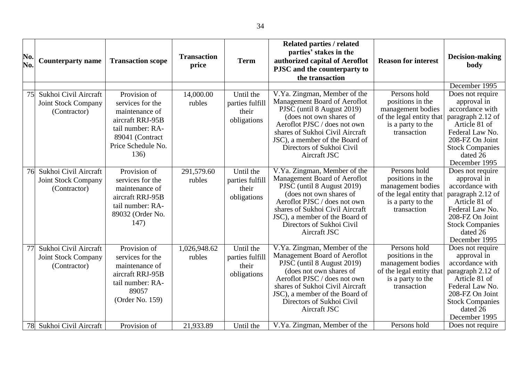| No.<br>No. | <b>Counterparty name</b>                                            | <b>Transaction scope</b>                                                                                                                    | <b>Transaction</b><br>price | <b>Term</b>                                          | <b>Related parties / related</b><br>parties' stakes in the<br>authorized capital of Aeroflot<br>PJSC and the counterparty to<br>the transaction                                                                                                                         | <b>Reason for interest</b>                                                                                            | <b>Decision-making</b><br>body                                                                                                                                                                         |
|------------|---------------------------------------------------------------------|---------------------------------------------------------------------------------------------------------------------------------------------|-----------------------------|------------------------------------------------------|-------------------------------------------------------------------------------------------------------------------------------------------------------------------------------------------------------------------------------------------------------------------------|-----------------------------------------------------------------------------------------------------------------------|--------------------------------------------------------------------------------------------------------------------------------------------------------------------------------------------------------|
| 75         | Sukhoi Civil Aircraft<br><b>Joint Stock Company</b><br>(Contractor) | Provision of<br>services for the<br>maintenance of<br>aircraft RRJ-95B<br>tail number: RA-<br>89041 (Contract<br>Price Schedule No.<br>136) | 14,000.00<br>rubles         | Until the<br>parties fulfill<br>their<br>obligations | V.Ya. Zingman, Member of the<br>Management Board of Aeroflot<br>PJSC (until 8 August 2019)<br>(does not own shares of<br>Aeroflot PJSC / does not own<br>shares of Sukhoi Civil Aircraft<br>JSC), a member of the Board of<br>Directors of Sukhoi Civil<br>Aircraft JSC | Persons hold<br>positions in the<br>management bodies<br>of the legal entity that<br>is a party to the<br>transaction | December 1995<br>Does not require<br>approval in<br>accordance with<br>paragraph 2.12 of<br>Article 81 of<br>Federal Law No.<br>208-FZ On Joint<br><b>Stock Companies</b><br>dated 26<br>December 1995 |
| 76         | Sukhoi Civil Aircraft<br><b>Joint Stock Company</b><br>(Contractor) | Provision of<br>services for the<br>maintenance of<br>aircraft RRJ-95B<br>tail number: RA-<br>89032 (Order No.<br>147)                      | 291,579.60<br>rubles        | Until the<br>parties fulfill<br>their<br>obligations | V.Ya. Zingman, Member of the<br>Management Board of Aeroflot<br>PJSC (until 8 August 2019)<br>(does not own shares of<br>Aeroflot PJSC / does not own<br>shares of Sukhoi Civil Aircraft<br>JSC), a member of the Board of<br>Directors of Sukhoi Civil<br>Aircraft JSC | Persons hold<br>positions in the<br>management bodies<br>of the legal entity that<br>is a party to the<br>transaction | Does not require<br>approval in<br>accordance with<br>paragraph 2.12 of<br>Article 81 of<br>Federal Law No.<br>208-FZ On Joint<br><b>Stock Companies</b><br>dated 26<br>December 1995                  |
| 77         | Sukhoi Civil Aircraft<br><b>Joint Stock Company</b><br>(Contractor) | Provision of<br>services for the<br>maintenance of<br>aircraft RRJ-95B<br>tail number: RA-<br>89057<br>(Order No. 159)                      | 1,026,948.62<br>rubles      | Until the<br>parties fulfill<br>their<br>obligations | V.Ya. Zingman, Member of the<br>Management Board of Aeroflot<br>PJSC (until 8 August 2019)<br>(does not own shares of<br>Aeroflot PJSC / does not own<br>shares of Sukhoi Civil Aircraft<br>JSC), a member of the Board of<br>Directors of Sukhoi Civil<br>Aircraft JSC | Persons hold<br>positions in the<br>management bodies<br>of the legal entity that<br>is a party to the<br>transaction | Does not require<br>approval in<br>accordance with<br>paragraph 2.12 of<br>Article 81 of<br>Federal Law No.<br>208-FZ On Joint<br><b>Stock Companies</b><br>dated 26<br>December 1995                  |
| 78         | Sukhoi Civil Aircraft                                               | Provision of                                                                                                                                | 21,933.89                   | Until the                                            | V.Ya. Zingman, Member of the                                                                                                                                                                                                                                            | Persons hold                                                                                                          | Does not require                                                                                                                                                                                       |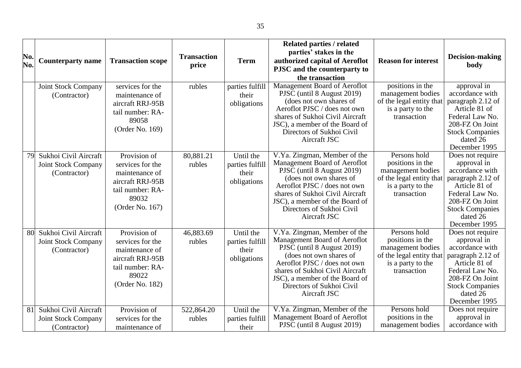| No.<br>No. | <b>Counterparty name</b>                                            | <b>Transaction scope</b>                                                                                               | <b>Transaction</b><br>price | <b>Term</b>                                          | <b>Related parties / related</b><br>parties' stakes in the<br>authorized capital of Aeroflot<br>PJSC and the counterparty to<br>the transaction                                                                                                                         | <b>Reason for interest</b>                                                                                            | <b>Decision-making</b><br>body                                                                                                                                                        |
|------------|---------------------------------------------------------------------|------------------------------------------------------------------------------------------------------------------------|-----------------------------|------------------------------------------------------|-------------------------------------------------------------------------------------------------------------------------------------------------------------------------------------------------------------------------------------------------------------------------|-----------------------------------------------------------------------------------------------------------------------|---------------------------------------------------------------------------------------------------------------------------------------------------------------------------------------|
|            | Joint Stock Company<br>(Contractor)                                 | services for the<br>maintenance of<br>aircraft RRJ-95B<br>tail number: RA-<br>89058<br>(Order No. 169)                 | rubles                      | parties fulfill<br>their<br>obligations              | Management Board of Aeroflot<br>PJSC (until 8 August 2019)<br>(does not own shares of<br>Aeroflot PJSC / does not own<br>shares of Sukhoi Civil Aircraft<br>JSC), a member of the Board of<br>Directors of Sukhoi Civil<br>Aircraft JSC                                 | positions in the<br>management bodies<br>of the legal entity that<br>is a party to the<br>transaction                 | approval in<br>accordance with<br>paragraph 2.12 of<br>Article 81 of<br>Federal Law No.<br>208-FZ On Joint<br><b>Stock Companies</b><br>dated 26<br>December 1995                     |
| 79         | Sukhoi Civil Aircraft<br><b>Joint Stock Company</b><br>(Contractor) | Provision of<br>services for the<br>maintenance of<br>aircraft RRJ-95B<br>tail number: RA-<br>89032<br>(Order No. 167) | 80,881.21<br>rubles         | Until the<br>parties fulfill<br>their<br>obligations | V.Ya. Zingman, Member of the<br>Management Board of Aeroflot<br>PJSC (until 8 August 2019)<br>(does not own shares of<br>Aeroflot PJSC / does not own<br>shares of Sukhoi Civil Aircraft<br>JSC), a member of the Board of<br>Directors of Sukhoi Civil<br>Aircraft JSC | Persons hold<br>positions in the<br>management bodies<br>of the legal entity that<br>is a party to the<br>transaction | Does not require<br>approval in<br>accordance with<br>paragraph 2.12 of<br>Article 81 of<br>Federal Law No.<br>208-FZ On Joint<br><b>Stock Companies</b><br>dated 26<br>December 1995 |
| 80         | Sukhoi Civil Aircraft<br><b>Joint Stock Company</b><br>(Contractor) | Provision of<br>services for the<br>maintenance of<br>aircraft RRJ-95B<br>tail number: RA-<br>89022<br>(Order No. 182) | 46,883.69<br>rubles         | Until the<br>parties fulfill<br>their<br>obligations | V.Ya. Zingman, Member of the<br>Management Board of Aeroflot<br>PJSC (until 8 August 2019)<br>(does not own shares of<br>Aeroflot PJSC / does not own<br>shares of Sukhoi Civil Aircraft<br>JSC), a member of the Board of<br>Directors of Sukhoi Civil<br>Aircraft JSC | Persons hold<br>positions in the<br>management bodies<br>of the legal entity that<br>is a party to the<br>transaction | Does not require<br>approval in<br>accordance with<br>paragraph 2.12 of<br>Article 81 of<br>Federal Law No.<br>208-FZ On Joint<br><b>Stock Companies</b><br>dated 26<br>December 1995 |
| 81         | Sukhoi Civil Aircraft<br><b>Joint Stock Company</b><br>(Contractor) | Provision of<br>services for the<br>maintenance of                                                                     | 522,864.20<br>rubles        | Until the<br>parties fulfill<br>their                | V.Ya. Zingman, Member of the<br>Management Board of Aeroflot<br>PJSC (until 8 August 2019)                                                                                                                                                                              | Persons hold<br>positions in the<br>management bodies                                                                 | Does not require<br>approval in<br>accordance with                                                                                                                                    |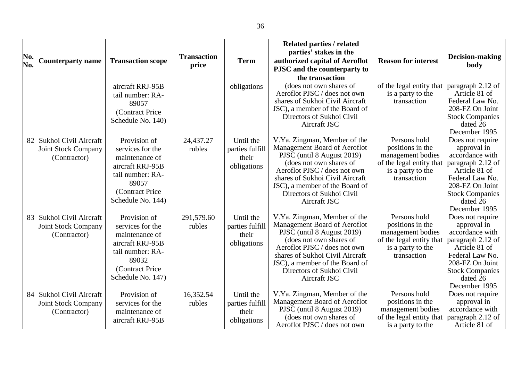|     |                            |                          |                    |                 | <b>Related parties / related</b>                      |                                               |                                    |
|-----|----------------------------|--------------------------|--------------------|-----------------|-------------------------------------------------------|-----------------------------------------------|------------------------------------|
| No. |                            |                          | <b>Transaction</b> |                 | parties' stakes in the                                |                                               | Decision-making                    |
| No. | <b>Counterparty name</b>   | <b>Transaction scope</b> | price              | <b>Term</b>     | authorized capital of Aeroflot                        | <b>Reason for interest</b>                    | body                               |
|     |                            |                          |                    |                 | PJSC and the counterparty to                          |                                               |                                    |
|     |                            |                          |                    |                 | the transaction                                       |                                               |                                    |
|     |                            | aircraft RRJ-95B         |                    | obligations     | (does not own shares of                               | of the legal entity that                      | paragraph 2.12 of                  |
|     |                            | tail number: RA-         |                    |                 | Aeroflot PJSC / does not own                          | is a party to the                             | Article 81 of                      |
|     |                            | 89057                    |                    |                 | shares of Sukhoi Civil Aircraft                       | transaction                                   | Federal Law No.                    |
|     |                            | (Contract Price          |                    |                 | JSC), a member of the Board of                        |                                               | 208-FZ On Joint                    |
|     |                            | Schedule No. 140)        |                    |                 | Directors of Sukhoi Civil                             |                                               | <b>Stock Companies</b>             |
|     |                            |                          |                    |                 | Aircraft JSC                                          |                                               | dated 26<br>December 1995          |
| 82  | Sukhoi Civil Aircraft      | Provision of             | 24,437.27          | Until the       | V.Ya. Zingman, Member of the                          | Persons hold                                  | Does not require                   |
|     |                            | services for the         | rubles             | parties fulfill | Management Board of Aeroflot                          | positions in the                              | approval in                        |
|     | <b>Joint Stock Company</b> | maintenance of           |                    |                 | PJSC (until 8 August 2019)                            | management bodies                             | accordance with                    |
|     | (Contractor)               |                          |                    | their           | (does not own shares of                               | of the legal entity that                      | paragraph 2.12 of                  |
|     |                            | aircraft RRJ-95B         |                    | obligations     | Aeroflot PJSC / does not own                          | is a party to the                             | Article 81 of                      |
|     |                            | tail number: RA-         |                    |                 | shares of Sukhoi Civil Aircraft                       | transaction                                   | Federal Law No.                    |
|     |                            | 89057                    |                    |                 | JSC), a member of the Board of                        |                                               | 208-FZ On Joint                    |
|     |                            | (Contract Price          |                    |                 | Directors of Sukhoi Civil                             |                                               | <b>Stock Companies</b>             |
|     |                            | Schedule No. 144)        |                    |                 | Aircraft JSC                                          |                                               | dated 26                           |
|     |                            |                          |                    |                 |                                                       |                                               | December 1995                      |
| 83  | Sukhoi Civil Aircraft      | Provision of             | 291,579.60         | Until the       | V.Ya. Zingman, Member of the                          | Persons hold                                  | Does not require                   |
|     | Joint Stock Company        | services for the         | rubles             | parties fulfill | Management Board of Aeroflot                          | positions in the                              | approval in                        |
|     | (Contractor)               | maintenance of           |                    | their           | PJSC (until 8 August 2019)<br>(does not own shares of | management bodies                             | accordance with                    |
|     |                            | aircraft RRJ-95B         |                    | obligations     | Aeroflot PJSC / does not own                          | of the legal entity that<br>is a party to the | paragraph 2.12 of<br>Article 81 of |
|     |                            | tail number: RA-         |                    |                 | shares of Sukhoi Civil Aircraft                       | transaction                                   | Federal Law No.                    |
|     |                            | 89032                    |                    |                 | JSC), a member of the Board of                        |                                               | 208-FZ On Joint                    |
|     |                            | (Contract Price          |                    |                 | Directors of Sukhoi Civil                             |                                               | <b>Stock Companies</b>             |
|     |                            | Schedule No. 147)        |                    |                 | Aircraft JSC                                          |                                               | dated 26                           |
|     |                            |                          |                    |                 |                                                       |                                               | December 1995                      |
| 84  | Sukhoi Civil Aircraft      | Provision of             | 16,352.54          | Until the       | V.Ya. Zingman, Member of the                          | Persons hold                                  | Does not require                   |
|     | Joint Stock Company        | services for the         | rubles             | parties fulfill | Management Board of Aeroflot                          | positions in the                              | approval in                        |
|     | (Contractor)               | maintenance of           |                    | their           | PJSC (until 8 August 2019)                            | management bodies                             | accordance with                    |
|     |                            | aircraft RRJ-95B         |                    | obligations     | (does not own shares of                               | of the legal entity that                      | paragraph 2.12 of                  |
|     |                            |                          |                    |                 | Aeroflot PJSC / does not own                          | is a party to the                             | Article 81 of                      |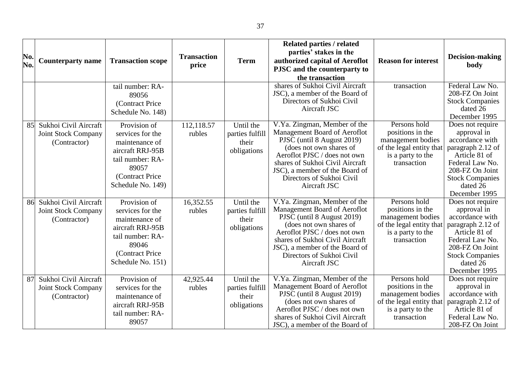| No. | <b>Counterparty name</b>                                            | <b>Transaction scope</b>                                                                                                                     | <b>Transaction</b>   | <b>Term</b>                                          | <b>Related parties / related</b><br>parties' stakes in the<br>authorized capital of Aeroflot                                                                                                                                                                            | <b>Reason for interest</b>                                                                                            | Decision-making                                                                                                                                                                       |
|-----|---------------------------------------------------------------------|----------------------------------------------------------------------------------------------------------------------------------------------|----------------------|------------------------------------------------------|-------------------------------------------------------------------------------------------------------------------------------------------------------------------------------------------------------------------------------------------------------------------------|-----------------------------------------------------------------------------------------------------------------------|---------------------------------------------------------------------------------------------------------------------------------------------------------------------------------------|
| No. |                                                                     |                                                                                                                                              | price                |                                                      | PJSC and the counterparty to                                                                                                                                                                                                                                            |                                                                                                                       | body                                                                                                                                                                                  |
|     |                                                                     |                                                                                                                                              |                      |                                                      | the transaction                                                                                                                                                                                                                                                         |                                                                                                                       |                                                                                                                                                                                       |
|     |                                                                     | tail number: RA-<br>89056<br>(Contract Price)<br>Schedule No. 148)                                                                           |                      |                                                      | shares of Sukhoi Civil Aircraft<br>JSC), a member of the Board of<br>Directors of Sukhoi Civil<br>Aircraft JSC                                                                                                                                                          | transaction                                                                                                           | Federal Law No.<br>208-FZ On Joint<br><b>Stock Companies</b><br>dated 26<br>December 1995                                                                                             |
| 85  | Sukhoi Civil Aircraft<br><b>Joint Stock Company</b><br>(Contractor) | Provision of<br>services for the<br>maintenance of<br>aircraft RRJ-95B<br>tail number: RA-<br>89057<br>(Contract Price)<br>Schedule No. 149) | 112,118.57<br>rubles | Until the<br>parties fulfill<br>their<br>obligations | V.Ya. Zingman, Member of the<br>Management Board of Aeroflot<br>PJSC (until 8 August 2019)<br>(does not own shares of<br>Aeroflot PJSC / does not own<br>shares of Sukhoi Civil Aircraft<br>JSC), a member of the Board of<br>Directors of Sukhoi Civil<br>Aircraft JSC | Persons hold<br>positions in the<br>management bodies<br>of the legal entity that<br>is a party to the<br>transaction | Does not require<br>approval in<br>accordance with<br>paragraph 2.12 of<br>Article 81 of<br>Federal Law No.<br>208-FZ On Joint<br><b>Stock Companies</b><br>dated 26<br>December 1995 |
| 86  | Sukhoi Civil Aircraft<br><b>Joint Stock Company</b><br>(Contractor) | Provision of<br>services for the<br>maintenance of<br>aircraft RRJ-95B<br>tail number: RA-<br>89046<br>(Contract Price)<br>Schedule No. 151) | 16,352.55<br>rubles  | Until the<br>parties fulfill<br>their<br>obligations | V.Ya. Zingman, Member of the<br>Management Board of Aeroflot<br>PJSC (until 8 August 2019)<br>(does not own shares of<br>Aeroflot PJSC / does not own<br>shares of Sukhoi Civil Aircraft<br>JSC), a member of the Board of<br>Directors of Sukhoi Civil<br>Aircraft JSC | Persons hold<br>positions in the<br>management bodies<br>of the legal entity that<br>is a party to the<br>transaction | Does not require<br>approval in<br>accordance with<br>paragraph 2.12 of<br>Article 81 of<br>Federal Law No.<br>208-FZ On Joint<br><b>Stock Companies</b><br>dated 26<br>December 1995 |
| 87  | Sukhoi Civil Aircraft<br><b>Joint Stock Company</b><br>(Contractor) | Provision of<br>services for the<br>maintenance of<br>aircraft RRJ-95B<br>tail number: RA-<br>89057                                          | 42,925.44<br>rubles  | Until the<br>parties fulfill<br>their<br>obligations | V.Ya. Zingman, Member of the<br>Management Board of Aeroflot<br>PJSC (until 8 August 2019)<br>(does not own shares of<br>Aeroflot PJSC / does not own<br>shares of Sukhoi Civil Aircraft<br>JSC), a member of the Board of                                              | Persons hold<br>positions in the<br>management bodies<br>of the legal entity that<br>is a party to the<br>transaction | Does not require<br>approval in<br>accordance with<br>paragraph 2.12 of<br>Article 81 of<br>Federal Law No.<br>208-FZ On Joint                                                        |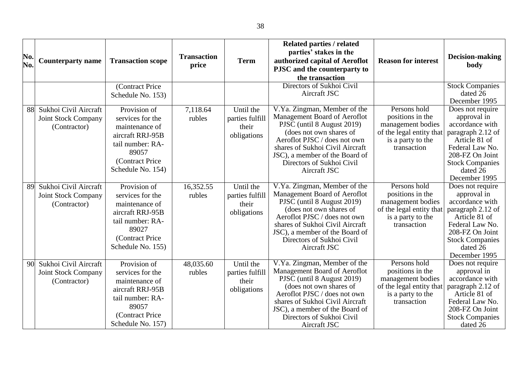| No.<br>No. | <b>Counterparty name</b>                                            | <b>Transaction scope</b><br>(Contract Price                                                                                                                       | <b>Transaction</b><br>price | <b>Term</b>                                          | <b>Related parties / related</b><br>parties' stakes in the<br>authorized capital of Aeroflot<br>PJSC and the counterparty to<br>the transaction<br>Directors of Sukhoi Civil<br>Aircraft JSC                                                                            | <b>Reason for interest</b>                                                                                            | <b>Decision-making</b><br>body<br><b>Stock Companies</b><br>dated 26                                                                                                                                   |
|------------|---------------------------------------------------------------------|-------------------------------------------------------------------------------------------------------------------------------------------------------------------|-----------------------------|------------------------------------------------------|-------------------------------------------------------------------------------------------------------------------------------------------------------------------------------------------------------------------------------------------------------------------------|-----------------------------------------------------------------------------------------------------------------------|--------------------------------------------------------------------------------------------------------------------------------------------------------------------------------------------------------|
| 88         | Sukhoi Civil Aircraft<br><b>Joint Stock Company</b><br>(Contractor) | Schedule No. 153)<br>Provision of<br>services for the<br>maintenance of<br>aircraft RRJ-95B<br>tail number: RA-<br>89057<br>(Contract Price)<br>Schedule No. 154) | 7,118.64<br>rubles          | Until the<br>parties fulfill<br>their<br>obligations | V.Ya. Zingman, Member of the<br>Management Board of Aeroflot<br>PJSC (until 8 August 2019)<br>(does not own shares of<br>Aeroflot PJSC / does not own<br>shares of Sukhoi Civil Aircraft<br>JSC), a member of the Board of<br>Directors of Sukhoi Civil<br>Aircraft JSC | Persons hold<br>positions in the<br>management bodies<br>of the legal entity that<br>is a party to the<br>transaction | December 1995<br>Does not require<br>approval in<br>accordance with<br>paragraph 2.12 of<br>Article 81 of<br>Federal Law No.<br>208-FZ On Joint<br><b>Stock Companies</b><br>dated 26<br>December 1995 |
| 89         | Sukhoi Civil Aircraft<br><b>Joint Stock Company</b><br>(Contractor) | Provision of<br>services for the<br>maintenance of<br>aircraft RRJ-95B<br>tail number: RA-<br>89027<br>(Contract Price<br>Schedule No. 155)                       | 16,352.55<br>rubles         | Until the<br>parties fulfill<br>their<br>obligations | V.Ya. Zingman, Member of the<br>Management Board of Aeroflot<br>PJSC (until 8 August 2019)<br>(does not own shares of<br>Aeroflot PJSC / does not own<br>shares of Sukhoi Civil Aircraft<br>JSC), a member of the Board of<br>Directors of Sukhoi Civil<br>Aircraft JSC | Persons hold<br>positions in the<br>management bodies<br>of the legal entity that<br>is a party to the<br>transaction | Does not require<br>approval in<br>accordance with<br>paragraph 2.12 of<br>Article 81 of<br>Federal Law No.<br>208-FZ On Joint<br><b>Stock Companies</b><br>dated 26<br>December 1995                  |
| 90         | Sukhoi Civil Aircraft<br><b>Joint Stock Company</b><br>(Contractor) | Provision of<br>services for the<br>maintenance of<br>aircraft RRJ-95B<br>tail number: RA-<br>89057<br>(Contract Price<br>Schedule No. 157)                       | 48,035.60<br>rubles         | Until the<br>parties fulfill<br>their<br>obligations | V.Ya. Zingman, Member of the<br>Management Board of Aeroflot<br>PJSC (until 8 August 2019)<br>(does not own shares of<br>Aeroflot PJSC / does not own<br>shares of Sukhoi Civil Aircraft<br>JSC), a member of the Board of<br>Directors of Sukhoi Civil<br>Aircraft JSC | Persons hold<br>positions in the<br>management bodies<br>of the legal entity that<br>is a party to the<br>transaction | Does not require<br>approval in<br>accordance with<br>paragraph 2.12 of<br>Article 81 of<br>Federal Law No.<br>208-FZ On Joint<br><b>Stock Companies</b><br>dated 26                                   |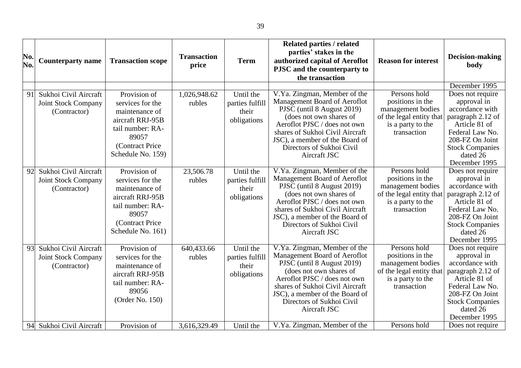| No.<br>No. | <b>Counterparty name</b>                                            | <b>Transaction scope</b>                                                                                                                     | <b>Transaction</b><br>price | <b>Term</b>                                          | Related parties / related<br>parties' stakes in the<br>authorized capital of Aeroflot<br>PJSC and the counterparty to<br>the transaction                                                                                                                                | <b>Reason for interest</b>                                                                                            | <b>Decision-making</b><br>body<br>December 1995                                                                                                                                       |
|------------|---------------------------------------------------------------------|----------------------------------------------------------------------------------------------------------------------------------------------|-----------------------------|------------------------------------------------------|-------------------------------------------------------------------------------------------------------------------------------------------------------------------------------------------------------------------------------------------------------------------------|-----------------------------------------------------------------------------------------------------------------------|---------------------------------------------------------------------------------------------------------------------------------------------------------------------------------------|
| 91         | Sukhoi Civil Aircraft<br>Joint Stock Company<br>(Contractor)        | Provision of<br>services for the<br>maintenance of<br>aircraft RRJ-95B<br>tail number: RA-<br>89057<br>(Contract Price)<br>Schedule No. 159) | 1,026,948.62<br>rubles      | Until the<br>parties fulfill<br>their<br>obligations | V.Ya. Zingman, Member of the<br>Management Board of Aeroflot<br>PJSC (until 8 August 2019)<br>(does not own shares of<br>Aeroflot PJSC / does not own<br>shares of Sukhoi Civil Aircraft<br>JSC), a member of the Board of<br>Directors of Sukhoi Civil<br>Aircraft JSC | Persons hold<br>positions in the<br>management bodies<br>of the legal entity that<br>is a party to the<br>transaction | Does not require<br>approval in<br>accordance with<br>paragraph 2.12 of<br>Article 81 of<br>Federal Law No.<br>208-FZ On Joint<br><b>Stock Companies</b><br>dated 26<br>December 1995 |
| 92         | Sukhoi Civil Aircraft<br><b>Joint Stock Company</b><br>(Contractor) | Provision of<br>services for the<br>maintenance of<br>aircraft RRJ-95B<br>tail number: RA-<br>89057<br>(Contract Price)<br>Schedule No. 161) | 23,506.78<br>rubles         | Until the<br>parties fulfill<br>their<br>obligations | V.Ya. Zingman, Member of the<br>Management Board of Aeroflot<br>PJSC (until 8 August 2019)<br>(does not own shares of<br>Aeroflot PJSC / does not own<br>shares of Sukhoi Civil Aircraft<br>JSC), a member of the Board of<br>Directors of Sukhoi Civil<br>Aircraft JSC | Persons hold<br>positions in the<br>management bodies<br>of the legal entity that<br>is a party to the<br>transaction | Does not require<br>approval in<br>accordance with<br>paragraph 2.12 of<br>Article 81 of<br>Federal Law No.<br>208-FZ On Joint<br><b>Stock Companies</b><br>dated 26<br>December 1995 |
| 93         | Sukhoi Civil Aircraft<br><b>Joint Stock Company</b><br>(Contractor) | Provision of<br>services for the<br>maintenance of<br>aircraft RRJ-95B<br>tail number: RA-<br>89056<br>(Order No. 150)                       | 640,433.66<br>rubles        | Until the<br>parties fulfill<br>their<br>obligations | V.Ya. Zingman, Member of the<br>Management Board of Aeroflot<br>PJSC (until 8 August 2019)<br>(does not own shares of<br>Aeroflot PJSC / does not own<br>shares of Sukhoi Civil Aircraft<br>JSC), a member of the Board of<br>Directors of Sukhoi Civil<br>Aircraft JSC | Persons hold<br>positions in the<br>management bodies<br>of the legal entity that<br>is a party to the<br>transaction | Does not require<br>approval in<br>accordance with<br>paragraph 2.12 of<br>Article 81 of<br>Federal Law No.<br>208-FZ On Joint<br><b>Stock Companies</b><br>dated 26<br>December 1995 |
| 94         | Sukhoi Civil Aircraft                                               | Provision of                                                                                                                                 | 3,616,329.49                | Until the                                            | V.Ya. Zingman, Member of the                                                                                                                                                                                                                                            | Persons hold                                                                                                          | Does not require                                                                                                                                                                      |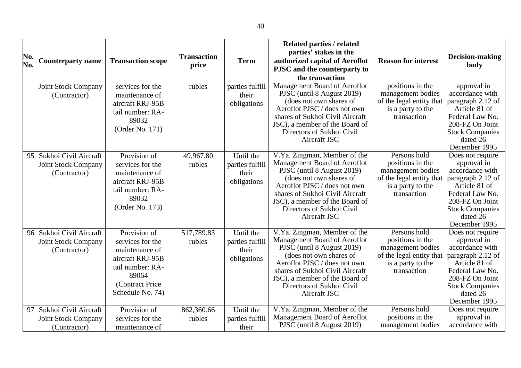| No.<br>No. | <b>Counterparty name</b>                                            | <b>Transaction scope</b>                                                                                                                    | <b>Transaction</b><br>price | <b>Term</b>                                          | <b>Related parties / related</b><br>parties' stakes in the<br>authorized capital of Aeroflot<br>PJSC and the counterparty to<br>the transaction                                                                                                                         | <b>Reason for interest</b>                                                                                            | <b>Decision-making</b><br>body                                                                                                                                                        |
|------------|---------------------------------------------------------------------|---------------------------------------------------------------------------------------------------------------------------------------------|-----------------------------|------------------------------------------------------|-------------------------------------------------------------------------------------------------------------------------------------------------------------------------------------------------------------------------------------------------------------------------|-----------------------------------------------------------------------------------------------------------------------|---------------------------------------------------------------------------------------------------------------------------------------------------------------------------------------|
|            | Joint Stock Company<br>(Contractor)                                 | services for the<br>maintenance of<br>aircraft RRJ-95B<br>tail number: RA-<br>89032<br>(Order No. 171)                                      | rubles                      | parties fulfill<br>their<br>obligations              | Management Board of Aeroflot<br>PJSC (until 8 August 2019)<br>(does not own shares of<br>Aeroflot PJSC / does not own<br>shares of Sukhoi Civil Aircraft<br>JSC), a member of the Board of<br>Directors of Sukhoi Civil<br>Aircraft JSC                                 | positions in the<br>management bodies<br>of the legal entity that<br>is a party to the<br>transaction                 | approval in<br>accordance with<br>paragraph 2.12 of<br>Article 81 of<br>Federal Law No.<br>208-FZ On Joint<br><b>Stock Companies</b><br>dated 26<br>December 1995                     |
| 95         | Sukhoi Civil Aircraft<br><b>Joint Stock Company</b><br>(Contractor) | Provision of<br>services for the<br>maintenance of<br>aircraft RRJ-95B<br>tail number: RA-<br>89032<br>(Order No. 173)                      | 49,967.80<br>rubles         | Until the<br>parties fulfill<br>their<br>obligations | V.Ya. Zingman, Member of the<br>Management Board of Aeroflot<br>PJSC (until 8 August 2019)<br>(does not own shares of<br>Aeroflot PJSC / does not own<br>shares of Sukhoi Civil Aircraft<br>JSC), a member of the Board of<br>Directors of Sukhoi Civil<br>Aircraft JSC | Persons hold<br>positions in the<br>management bodies<br>of the legal entity that<br>is a party to the<br>transaction | Does not require<br>approval in<br>accordance with<br>paragraph 2.12 of<br>Article 81 of<br>Federal Law No.<br>208-FZ On Joint<br><b>Stock Companies</b><br>dated 26<br>December 1995 |
| 96         | Sukhoi Civil Aircraft<br><b>Joint Stock Company</b><br>(Contractor) | Provision of<br>services for the<br>maintenance of<br>aircraft RRJ-95B<br>tail number: RA-<br>89064<br>(Contract Price)<br>Schedule No. 74) | 517,789.83<br>rubles        | Until the<br>parties fulfill<br>their<br>obligations | V.Ya. Zingman, Member of the<br>Management Board of Aeroflot<br>PJSC (until 8 August 2019)<br>(does not own shares of<br>Aeroflot PJSC / does not own<br>shares of Sukhoi Civil Aircraft<br>JSC), a member of the Board of<br>Directors of Sukhoi Civil<br>Aircraft JSC | Persons hold<br>positions in the<br>management bodies<br>of the legal entity that<br>is a party to the<br>transaction | Does not require<br>approval in<br>accordance with<br>paragraph 2.12 of<br>Article 81 of<br>Federal Law No.<br>208-FZ On Joint<br><b>Stock Companies</b><br>dated 26<br>December 1995 |
| 97         | Sukhoi Civil Aircraft<br><b>Joint Stock Company</b><br>(Contractor) | Provision of<br>services for the<br>maintenance of                                                                                          | 862,360.66<br>rubles        | Until the<br>parties fulfill<br>their                | V.Ya. Zingman, Member of the<br>Management Board of Aeroflot<br>PJSC (until 8 August 2019)                                                                                                                                                                              | Persons hold<br>positions in the<br>management bodies                                                                 | Does not require<br>approval in<br>accordance with                                                                                                                                    |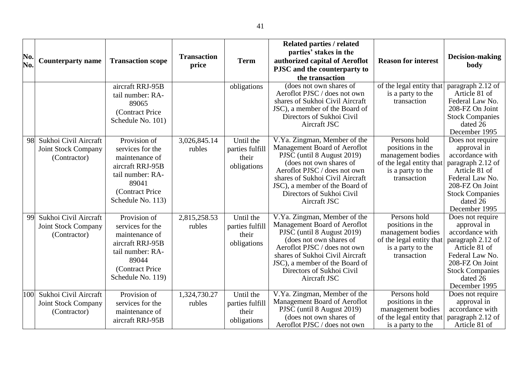| No.<br>No. | <b>Counterparty name</b>                                            | <b>Transaction scope</b>                                                                                                                    | <b>Transaction</b><br>price | <b>Term</b>                                          | Related parties / related<br>parties' stakes in the<br>authorized capital of Aeroflot<br>PJSC and the counterparty to<br>the transaction                                                                                                                                | <b>Reason for interest</b>                                                                                            | Decision-making<br>body                                                                                                                                                               |
|------------|---------------------------------------------------------------------|---------------------------------------------------------------------------------------------------------------------------------------------|-----------------------------|------------------------------------------------------|-------------------------------------------------------------------------------------------------------------------------------------------------------------------------------------------------------------------------------------------------------------------------|-----------------------------------------------------------------------------------------------------------------------|---------------------------------------------------------------------------------------------------------------------------------------------------------------------------------------|
|            |                                                                     | aircraft RRJ-95B<br>tail number: RA-<br>89065<br>(Contract Price<br>Schedule No. 101)                                                       |                             | obligations                                          | (does not own shares of<br>Aeroflot PJSC / does not own<br>shares of Sukhoi Civil Aircraft<br>JSC), a member of the Board of<br>Directors of Sukhoi Civil<br>Aircraft JSC                                                                                               | of the legal entity that<br>is a party to the<br>transaction                                                          | paragraph 2.12 of<br>Article 81 of<br>Federal Law No.<br>208-FZ On Joint<br><b>Stock Companies</b><br>dated 26<br>December 1995                                                       |
| 98         | Sukhoi Civil Aircraft<br><b>Joint Stock Company</b><br>(Contractor) | Provision of<br>services for the<br>maintenance of<br>aircraft RRJ-95B<br>tail number: RA-<br>89041<br>(Contract Price<br>Schedule No. 113) | 3,026,845.14<br>rubles      | Until the<br>parties fulfill<br>their<br>obligations | V.Ya. Zingman, Member of the<br>Management Board of Aeroflot<br>PJSC (until 8 August 2019)<br>(does not own shares of<br>Aeroflot PJSC / does not own<br>shares of Sukhoi Civil Aircraft<br>JSC), a member of the Board of<br>Directors of Sukhoi Civil<br>Aircraft JSC | Persons hold<br>positions in the<br>management bodies<br>of the legal entity that<br>is a party to the<br>transaction | Does not require<br>approval in<br>accordance with<br>paragraph 2.12 of<br>Article 81 of<br>Federal Law No.<br>208-FZ On Joint<br><b>Stock Companies</b><br>dated 26<br>December 1995 |
| 99         | Sukhoi Civil Aircraft<br><b>Joint Stock Company</b><br>(Contractor) | Provision of<br>services for the<br>maintenance of<br>aircraft RRJ-95B<br>tail number: RA-<br>89044<br>(Contract Price<br>Schedule No. 119) | 2,815,258.53<br>rubles      | Until the<br>parties fulfill<br>their<br>obligations | V.Ya. Zingman, Member of the<br>Management Board of Aeroflot<br>PJSC (until 8 August 2019)<br>(does not own shares of<br>Aeroflot PJSC / does not own<br>shares of Sukhoi Civil Aircraft<br>JSC), a member of the Board of<br>Directors of Sukhoi Civil<br>Aircraft JSC | Persons hold<br>positions in the<br>management bodies<br>of the legal entity that<br>is a party to the<br>transaction | Does not require<br>approval in<br>accordance with<br>paragraph 2.12 of<br>Article 81 of<br>Federal Law No.<br>208-FZ On Joint<br><b>Stock Companies</b><br>dated 26<br>December 1995 |
| 100        | Sukhoi Civil Aircraft<br><b>Joint Stock Company</b><br>(Contractor) | Provision of<br>services for the<br>maintenance of<br>aircraft RRJ-95B                                                                      | 1,324,730.27<br>rubles      | Until the<br>parties fulfill<br>their<br>obligations | V.Ya. Zingman, Member of the<br>Management Board of Aeroflot<br>PJSC (until 8 August 2019)<br>(does not own shares of<br>Aeroflot PJSC / does not own                                                                                                                   | Persons hold<br>positions in the<br>management bodies<br>of the legal entity that<br>is a party to the                | Does not require<br>approval in<br>accordance with<br>paragraph 2.12 of<br>Article 81 of                                                                                              |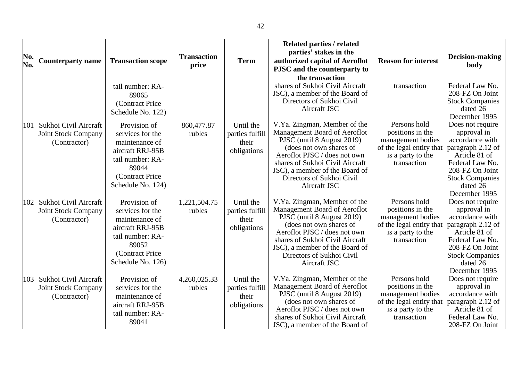| No.<br>No. | <b>Counterparty name</b>                                            | <b>Transaction scope</b>                                                                                                                    | <b>Transaction</b><br>price | <b>Term</b>                                          | Related parties / related<br>parties' stakes in the<br>authorized capital of Aeroflot<br>PJSC and the counterparty to<br>the transaction                                                                                                                                | <b>Reason for interest</b>                                                                                            | Decision-making<br>body                                                                                                                                                               |
|------------|---------------------------------------------------------------------|---------------------------------------------------------------------------------------------------------------------------------------------|-----------------------------|------------------------------------------------------|-------------------------------------------------------------------------------------------------------------------------------------------------------------------------------------------------------------------------------------------------------------------------|-----------------------------------------------------------------------------------------------------------------------|---------------------------------------------------------------------------------------------------------------------------------------------------------------------------------------|
|            |                                                                     | tail number: RA-<br>89065<br>(Contract Price<br>Schedule No. 122)                                                                           |                             |                                                      | shares of Sukhoi Civil Aircraft<br>JSC), a member of the Board of<br>Directors of Sukhoi Civil<br>Aircraft JSC                                                                                                                                                          | transaction                                                                                                           | Federal Law No.<br>208-FZ On Joint<br><b>Stock Companies</b><br>dated 26<br>December 1995                                                                                             |
| 101        | Sukhoi Civil Aircraft<br>Joint Stock Company<br>(Contractor)        | Provision of<br>services for the<br>maintenance of<br>aircraft RRJ-95B<br>tail number: RA-<br>89044<br>(Contract Price<br>Schedule No. 124) | 860,477.87<br>rubles        | Until the<br>parties fulfill<br>their<br>obligations | V.Ya. Zingman, Member of the<br>Management Board of Aeroflot<br>PJSC (until 8 August 2019)<br>(does not own shares of<br>Aeroflot PJSC / does not own<br>shares of Sukhoi Civil Aircraft<br>JSC), a member of the Board of<br>Directors of Sukhoi Civil<br>Aircraft JSC | Persons hold<br>positions in the<br>management bodies<br>of the legal entity that<br>is a party to the<br>transaction | Does not require<br>approval in<br>accordance with<br>paragraph 2.12 of<br>Article 81 of<br>Federal Law No.<br>208-FZ On Joint<br><b>Stock Companies</b><br>dated 26<br>December 1995 |
| 102        | Sukhoi Civil Aircraft<br><b>Joint Stock Company</b><br>(Contractor) | Provision of<br>services for the<br>maintenance of<br>aircraft RRJ-95B<br>tail number: RA-<br>89052<br>(Contract Price<br>Schedule No. 126) | 1,221,504.75<br>rubles      | Until the<br>parties fulfill<br>their<br>obligations | V.Ya. Zingman, Member of the<br>Management Board of Aeroflot<br>PJSC (until 8 August 2019)<br>(does not own shares of<br>Aeroflot PJSC / does not own<br>shares of Sukhoi Civil Aircraft<br>JSC), a member of the Board of<br>Directors of Sukhoi Civil<br>Aircraft JSC | Persons hold<br>positions in the<br>management bodies<br>of the legal entity that<br>is a party to the<br>transaction | Does not require<br>approval in<br>accordance with<br>paragraph 2.12 of<br>Article 81 of<br>Federal Law No.<br>208-FZ On Joint<br><b>Stock Companies</b><br>dated 26<br>December 1995 |
| 103        | Sukhoi Civil Aircraft<br><b>Joint Stock Company</b><br>(Contractor) | Provision of<br>services for the<br>maintenance of<br>aircraft RRJ-95B<br>tail number: RA-<br>89041                                         | 4,260,025.33<br>rubles      | Until the<br>parties fulfill<br>their<br>obligations | V.Ya. Zingman, Member of the<br>Management Board of Aeroflot<br>PJSC (until 8 August 2019)<br>(does not own shares of<br>Aeroflot PJSC / does not own<br>shares of Sukhoi Civil Aircraft<br>JSC), a member of the Board of                                              | Persons hold<br>positions in the<br>management bodies<br>of the legal entity that<br>is a party to the<br>transaction | Does not require<br>approval in<br>accordance with<br>paragraph 2.12 of<br>Article 81 of<br>Federal Law No.<br>208-FZ On Joint                                                        |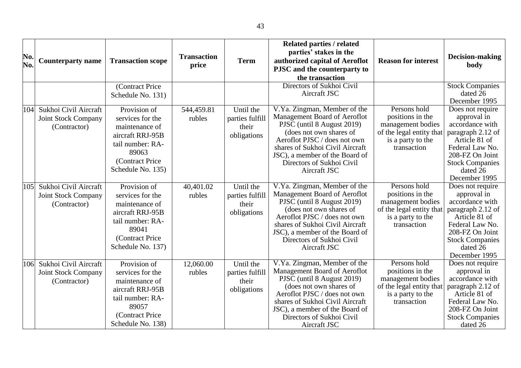| No.<br>No. | <b>Counterparty name</b>                                            | <b>Transaction scope</b>                                                                                                                    | <b>Transaction</b><br>price | <b>Term</b>                                          | <b>Related parties / related</b><br>parties' stakes in the<br>authorized capital of Aeroflot<br>PJSC and the counterparty to<br>the transaction                                                                                                                         | <b>Reason for interest</b>                                                                                            | Decision-making<br>body                                                                                                                                                               |
|------------|---------------------------------------------------------------------|---------------------------------------------------------------------------------------------------------------------------------------------|-----------------------------|------------------------------------------------------|-------------------------------------------------------------------------------------------------------------------------------------------------------------------------------------------------------------------------------------------------------------------------|-----------------------------------------------------------------------------------------------------------------------|---------------------------------------------------------------------------------------------------------------------------------------------------------------------------------------|
|            |                                                                     | (Contract Price<br>Schedule No. 131)                                                                                                        |                             |                                                      | Directors of Sukhoi Civil<br>Aircraft JSC                                                                                                                                                                                                                               |                                                                                                                       | <b>Stock Companies</b><br>dated 26<br>December 1995                                                                                                                                   |
| 104        | Sukhoi Civil Aircraft<br><b>Joint Stock Company</b><br>(Contractor) | Provision of<br>services for the<br>maintenance of<br>aircraft RRJ-95B<br>tail number: RA-<br>89063<br>(Contract Price<br>Schedule No. 135) | 544,459.81<br>rubles        | Until the<br>parties fulfill<br>their<br>obligations | V.Ya. Zingman, Member of the<br>Management Board of Aeroflot<br>PJSC (until 8 August 2019)<br>(does not own shares of<br>Aeroflot PJSC / does not own<br>shares of Sukhoi Civil Aircraft<br>JSC), a member of the Board of<br>Directors of Sukhoi Civil<br>Aircraft JSC | Persons hold<br>positions in the<br>management bodies<br>of the legal entity that<br>is a party to the<br>transaction | Does not require<br>approval in<br>accordance with<br>paragraph 2.12 of<br>Article 81 of<br>Federal Law No.<br>208-FZ On Joint<br><b>Stock Companies</b><br>dated 26<br>December 1995 |
| 105        | Sukhoi Civil Aircraft<br><b>Joint Stock Company</b><br>(Contractor) | Provision of<br>services for the<br>maintenance of<br>aircraft RRJ-95B<br>tail number: RA-<br>89041<br>(Contract Price<br>Schedule No. 137) | 40,401.02<br>rubles         | Until the<br>parties fulfill<br>their<br>obligations | V.Ya. Zingman, Member of the<br>Management Board of Aeroflot<br>PJSC (until 8 August 2019)<br>(does not own shares of<br>Aeroflot PJSC / does not own<br>shares of Sukhoi Civil Aircraft<br>JSC), a member of the Board of<br>Directors of Sukhoi Civil<br>Aircraft JSC | Persons hold<br>positions in the<br>management bodies<br>of the legal entity that<br>is a party to the<br>transaction | Does not require<br>approval in<br>accordance with<br>paragraph 2.12 of<br>Article 81 of<br>Federal Law No.<br>208-FZ On Joint<br><b>Stock Companies</b><br>dated 26<br>December 1995 |
| 106        | Sukhoi Civil Aircraft<br><b>Joint Stock Company</b><br>(Contractor) | Provision of<br>services for the<br>maintenance of<br>aircraft RRJ-95B<br>tail number: RA-<br>89057<br>(Contract Price<br>Schedule No. 138) | 12,060.00<br>rubles         | Until the<br>parties fulfill<br>their<br>obligations | V.Ya. Zingman, Member of the<br>Management Board of Aeroflot<br>PJSC (until 8 August 2019)<br>(does not own shares of<br>Aeroflot PJSC / does not own<br>shares of Sukhoi Civil Aircraft<br>JSC), a member of the Board of<br>Directors of Sukhoi Civil<br>Aircraft JSC | Persons hold<br>positions in the<br>management bodies<br>of the legal entity that<br>is a party to the<br>transaction | Does not require<br>approval in<br>accordance with<br>paragraph 2.12 of<br>Article 81 of<br>Federal Law No.<br>208-FZ On Joint<br><b>Stock Companies</b><br>dated 26                  |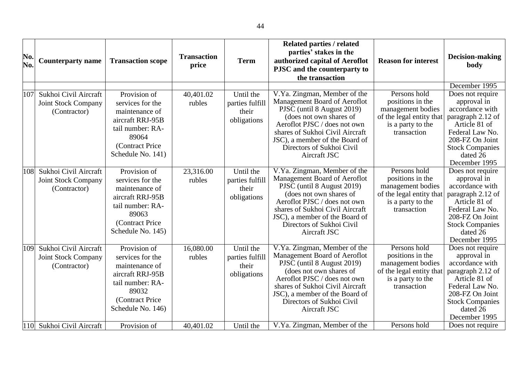| No.<br>No. | <b>Counterparty name</b>                                            | <b>Transaction scope</b>                                                                                                                     | <b>Transaction</b><br>price | <b>Term</b>                                          | <b>Related parties / related</b><br>parties' stakes in the<br>authorized capital of Aeroflot<br>PJSC and the counterparty to<br>the transaction                                                                                                                         | <b>Reason for interest</b>                                                                                            | Decision-making<br>body                                                                                                                                                                                |
|------------|---------------------------------------------------------------------|----------------------------------------------------------------------------------------------------------------------------------------------|-----------------------------|------------------------------------------------------|-------------------------------------------------------------------------------------------------------------------------------------------------------------------------------------------------------------------------------------------------------------------------|-----------------------------------------------------------------------------------------------------------------------|--------------------------------------------------------------------------------------------------------------------------------------------------------------------------------------------------------|
| 107        | Sukhoi Civil Aircraft<br><b>Joint Stock Company</b><br>(Contractor) | Provision of<br>services for the<br>maintenance of<br>aircraft RRJ-95B<br>tail number: RA-<br>89064<br>(Contract Price<br>Schedule No. 141)  | 40,401.02<br>rubles         | Until the<br>parties fulfill<br>their<br>obligations | V.Ya. Zingman, Member of the<br>Management Board of Aeroflot<br>PJSC (until 8 August 2019)<br>(does not own shares of<br>Aeroflot PJSC / does not own<br>shares of Sukhoi Civil Aircraft<br>JSC), a member of the Board of<br>Directors of Sukhoi Civil<br>Aircraft JSC | Persons hold<br>positions in the<br>management bodies<br>of the legal entity that<br>is a party to the<br>transaction | December 1995<br>Does not require<br>approval in<br>accordance with<br>paragraph 2.12 of<br>Article 81 of<br>Federal Law No.<br>208-FZ On Joint<br><b>Stock Companies</b><br>dated 26<br>December 1995 |
| 108        | Sukhoi Civil Aircraft<br>Joint Stock Company<br>(Contractor)        | Provision of<br>services for the<br>maintenance of<br>aircraft RRJ-95B<br>tail number: RA-<br>89063<br>(Contract Price<br>Schedule No. 145)  | 23,316.00<br>rubles         | Until the<br>parties fulfill<br>their<br>obligations | V.Ya. Zingman, Member of the<br>Management Board of Aeroflot<br>PJSC (until 8 August 2019)<br>(does not own shares of<br>Aeroflot PJSC / does not own<br>shares of Sukhoi Civil Aircraft<br>JSC), a member of the Board of<br>Directors of Sukhoi Civil<br>Aircraft JSC | Persons hold<br>positions in the<br>management bodies<br>of the legal entity that<br>is a party to the<br>transaction | Does not require<br>approval in<br>accordance with<br>paragraph 2.12 of<br>Article 81 of<br>Federal Law No.<br>208-FZ On Joint<br><b>Stock Companies</b><br>dated 26<br>December 1995                  |
| 109        | Sukhoi Civil Aircraft<br><b>Joint Stock Company</b><br>(Contractor) | Provision of<br>services for the<br>maintenance of<br>aircraft RRJ-95B<br>tail number: RA-<br>89032<br>(Contract Price)<br>Schedule No. 146) | 16,080.00<br>rubles         | Until the<br>parties fulfill<br>their<br>obligations | V.Ya. Zingman, Member of the<br>Management Board of Aeroflot<br>PJSC (until 8 August 2019)<br>(does not own shares of<br>Aeroflot PJSC / does not own<br>shares of Sukhoi Civil Aircraft<br>JSC), a member of the Board of<br>Directors of Sukhoi Civil<br>Aircraft JSC | Persons hold<br>positions in the<br>management bodies<br>of the legal entity that<br>is a party to the<br>transaction | Does not require<br>approval in<br>accordance with<br>paragraph 2.12 of<br>Article 81 of<br>Federal Law No.<br>208-FZ On Joint<br><b>Stock Companies</b><br>dated 26<br>December 1995                  |
| 110        | Sukhoi Civil Aircraft                                               | Provision of                                                                                                                                 | 40,401.02                   | Until the                                            | V.Ya. Zingman, Member of the                                                                                                                                                                                                                                            | Persons hold                                                                                                          | Does not require                                                                                                                                                                                       |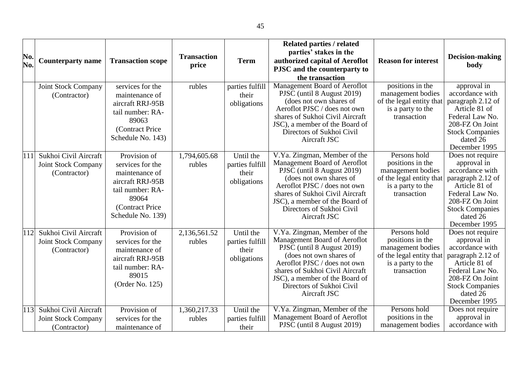| No.<br>No. | <b>Counterparty name</b>                                            | <b>Transaction scope</b>                                                                                                                     | <b>Transaction</b><br>price | <b>Term</b>                                          | <b>Related parties / related</b><br>parties' stakes in the<br>authorized capital of Aeroflot<br>PJSC and the counterparty to<br>the transaction                                                                                                                         | <b>Reason for interest</b>                                                                                            | <b>Decision-making</b><br>body                                                                                                                                                        |
|------------|---------------------------------------------------------------------|----------------------------------------------------------------------------------------------------------------------------------------------|-----------------------------|------------------------------------------------------|-------------------------------------------------------------------------------------------------------------------------------------------------------------------------------------------------------------------------------------------------------------------------|-----------------------------------------------------------------------------------------------------------------------|---------------------------------------------------------------------------------------------------------------------------------------------------------------------------------------|
|            | <b>Joint Stock Company</b><br>(Contractor)                          | services for the<br>maintenance of<br>aircraft RRJ-95B<br>tail number: RA-<br>89063<br>(Contract Price<br>Schedule No. 143)                  | rubles                      | parties fulfill<br>their<br>obligations              | Management Board of Aeroflot<br>PJSC (until 8 August 2019)<br>(does not own shares of<br>Aeroflot PJSC / does not own<br>shares of Sukhoi Civil Aircraft<br>JSC), a member of the Board of<br>Directors of Sukhoi Civil<br>Aircraft JSC                                 | positions in the<br>management bodies<br>of the legal entity that<br>is a party to the<br>transaction                 | approval in<br>accordance with<br>paragraph 2.12 of<br>Article 81 of<br>Federal Law No.<br>208-FZ On Joint<br><b>Stock Companies</b><br>dated 26<br>December 1995                     |
| 111        | Sukhoi Civil Aircraft<br><b>Joint Stock Company</b><br>(Contractor) | Provision of<br>services for the<br>maintenance of<br>aircraft RRJ-95B<br>tail number: RA-<br>89064<br>(Contract Price)<br>Schedule No. 139) | 1,794,605.68<br>rubles      | Until the<br>parties fulfill<br>their<br>obligations | V.Ya. Zingman, Member of the<br>Management Board of Aeroflot<br>PJSC (until 8 August 2019)<br>(does not own shares of<br>Aeroflot PJSC / does not own<br>shares of Sukhoi Civil Aircraft<br>JSC), a member of the Board of<br>Directors of Sukhoi Civil<br>Aircraft JSC | Persons hold<br>positions in the<br>management bodies<br>of the legal entity that<br>is a party to the<br>transaction | Does not require<br>approval in<br>accordance with<br>paragraph 2.12 of<br>Article 81 of<br>Federal Law No.<br>208-FZ On Joint<br><b>Stock Companies</b><br>dated 26<br>December 1995 |
| 112        | Sukhoi Civil Aircraft<br><b>Joint Stock Company</b><br>(Contractor) | Provision of<br>services for the<br>maintenance of<br>aircraft RRJ-95B<br>tail number: RA-<br>89015<br>(Order No. 125)                       | 2,136,561.52<br>rubles      | Until the<br>parties fulfill<br>their<br>obligations | V.Ya. Zingman, Member of the<br>Management Board of Aeroflot<br>PJSC (until 8 August 2019)<br>(does not own shares of<br>Aeroflot PJSC / does not own<br>shares of Sukhoi Civil Aircraft<br>JSC), a member of the Board of<br>Directors of Sukhoi Civil<br>Aircraft JSC | Persons hold<br>positions in the<br>management bodies<br>of the legal entity that<br>is a party to the<br>transaction | Does not require<br>approval in<br>accordance with<br>paragraph 2.12 of<br>Article 81 of<br>Federal Law No.<br>208-FZ On Joint<br><b>Stock Companies</b><br>dated 26<br>December 1995 |
| 113        | Sukhoi Civil Aircraft<br><b>Joint Stock Company</b><br>(Contractor) | Provision of<br>services for the<br>maintenance of                                                                                           | 1,360,217.33<br>rubles      | Until the<br>parties fulfill<br>their                | V.Ya. Zingman, Member of the<br>Management Board of Aeroflot<br>PJSC (until 8 August 2019)                                                                                                                                                                              | Persons hold<br>positions in the<br>management bodies                                                                 | Does not require<br>approval in<br>accordance with                                                                                                                                    |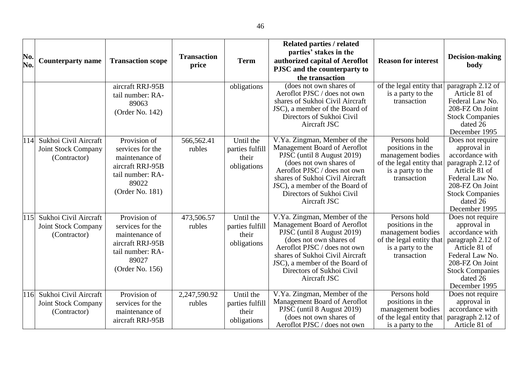| No.<br>No. | <b>Counterparty name</b>                                            | <b>Transaction scope</b>                                                                                               | <b>Transaction</b><br>price | <b>Term</b>                                          | Related parties / related<br>parties' stakes in the<br>authorized capital of Aeroflot<br>PJSC and the counterparty to<br>the transaction                                                                                                                                | <b>Reason for interest</b>                                                                                            | Decision-making<br>body                                                                                                                                                               |
|------------|---------------------------------------------------------------------|------------------------------------------------------------------------------------------------------------------------|-----------------------------|------------------------------------------------------|-------------------------------------------------------------------------------------------------------------------------------------------------------------------------------------------------------------------------------------------------------------------------|-----------------------------------------------------------------------------------------------------------------------|---------------------------------------------------------------------------------------------------------------------------------------------------------------------------------------|
|            |                                                                     | aircraft RRJ-95B<br>tail number: RA-<br>89063<br>(Order No. 142)                                                       |                             | obligations                                          | (does not own shares of<br>Aeroflot PJSC / does not own<br>shares of Sukhoi Civil Aircraft<br>JSC), a member of the Board of<br>Directors of Sukhoi Civil<br>Aircraft JSC                                                                                               | of the legal entity that<br>is a party to the<br>transaction                                                          | paragraph 2.12 of<br>Article 81 of<br>Federal Law No.<br>208-FZ On Joint<br><b>Stock Companies</b><br>dated 26<br>December 1995                                                       |
| 114        | Sukhoi Civil Aircraft<br>Joint Stock Company<br>(Contractor)        | Provision of<br>services for the<br>maintenance of<br>aircraft RRJ-95B<br>tail number: RA-<br>89022<br>(Order No. 181) | 566,562.41<br>rubles        | Until the<br>parties fulfill<br>their<br>obligations | V.Ya. Zingman, Member of the<br>Management Board of Aeroflot<br>PJSC (until 8 August 2019)<br>(does not own shares of<br>Aeroflot PJSC / does not own<br>shares of Sukhoi Civil Aircraft<br>JSC), a member of the Board of<br>Directors of Sukhoi Civil<br>Aircraft JSC | Persons hold<br>positions in the<br>management bodies<br>of the legal entity that<br>is a party to the<br>transaction | Does not require<br>approval in<br>accordance with<br>paragraph 2.12 of<br>Article 81 of<br>Federal Law No.<br>208-FZ On Joint<br><b>Stock Companies</b><br>dated 26<br>December 1995 |
| 115        | Sukhoi Civil Aircraft<br><b>Joint Stock Company</b><br>(Contractor) | Provision of<br>services for the<br>maintenance of<br>aircraft RRJ-95B<br>tail number: RA-<br>89027<br>(Order No. 156) | 473,506.57<br>rubles        | Until the<br>parties fulfill<br>their<br>obligations | V.Ya. Zingman, Member of the<br>Management Board of Aeroflot<br>PJSC (until 8 August 2019)<br>(does not own shares of<br>Aeroflot PJSC / does not own<br>shares of Sukhoi Civil Aircraft<br>JSC), a member of the Board of<br>Directors of Sukhoi Civil<br>Aircraft JSC | Persons hold<br>positions in the<br>management bodies<br>of the legal entity that<br>is a party to the<br>transaction | Does not require<br>approval in<br>accordance with<br>paragraph 2.12 of<br>Article 81 of<br>Federal Law No.<br>208-FZ On Joint<br><b>Stock Companies</b><br>dated 26<br>December 1995 |
| 116        | Sukhoi Civil Aircraft<br><b>Joint Stock Company</b><br>(Contractor) | Provision of<br>services for the<br>maintenance of<br>aircraft RRJ-95B                                                 | 2,247,590.92<br>rubles      | Until the<br>parties fulfill<br>their<br>obligations | V.Ya. Zingman, Member of the<br>Management Board of Aeroflot<br>PJSC (until 8 August 2019)<br>(does not own shares of<br>Aeroflot PJSC / does not own                                                                                                                   | Persons hold<br>positions in the<br>management bodies<br>of the legal entity that<br>is a party to the                | Does not require<br>approval in<br>accordance with<br>paragraph 2.12 of<br>Article 81 of                                                                                              |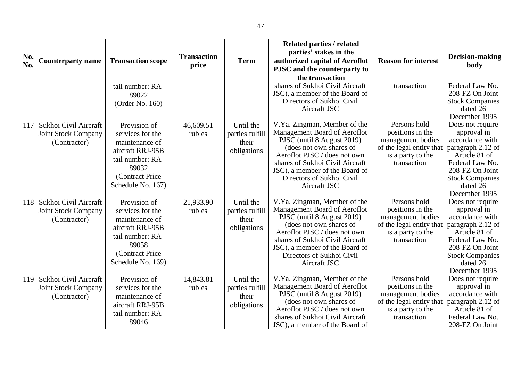| No.<br>No. | <b>Counterparty name</b>                                            | <b>Transaction scope</b>                                                                                                                    | <b>Transaction</b><br>price | <b>Term</b>                                          | Related parties / related<br>parties' stakes in the<br>authorized capital of Aeroflot<br>PJSC and the counterparty to<br>the transaction                                                                                                                                | <b>Reason for interest</b>                                                                                            | Decision-making<br>body                                                                                                                                                               |
|------------|---------------------------------------------------------------------|---------------------------------------------------------------------------------------------------------------------------------------------|-----------------------------|------------------------------------------------------|-------------------------------------------------------------------------------------------------------------------------------------------------------------------------------------------------------------------------------------------------------------------------|-----------------------------------------------------------------------------------------------------------------------|---------------------------------------------------------------------------------------------------------------------------------------------------------------------------------------|
|            |                                                                     | tail number: RA-<br>89022<br>(Order No. 160)                                                                                                |                             |                                                      | shares of Sukhoi Civil Aircraft<br>JSC), a member of the Board of<br>Directors of Sukhoi Civil<br>Aircraft JSC                                                                                                                                                          | transaction                                                                                                           | Federal Law No.<br>208-FZ On Joint<br><b>Stock Companies</b><br>dated 26<br>December 1995                                                                                             |
| 117        | Sukhoi Civil Aircraft<br>Joint Stock Company<br>(Contractor)        | Provision of<br>services for the<br>maintenance of<br>aircraft RRJ-95B<br>tail number: RA-<br>89032<br>(Contract Price<br>Schedule No. 167) | 46,609.51<br>rubles         | Until the<br>parties fulfill<br>their<br>obligations | V.Ya. Zingman, Member of the<br>Management Board of Aeroflot<br>PJSC (until 8 August 2019)<br>(does not own shares of<br>Aeroflot PJSC / does not own<br>shares of Sukhoi Civil Aircraft<br>JSC), a member of the Board of<br>Directors of Sukhoi Civil<br>Aircraft JSC | Persons hold<br>positions in the<br>management bodies<br>of the legal entity that<br>is a party to the<br>transaction | Does not require<br>approval in<br>accordance with<br>paragraph 2.12 of<br>Article 81 of<br>Federal Law No.<br>208-FZ On Joint<br><b>Stock Companies</b><br>dated 26<br>December 1995 |
| 118        | Sukhoi Civil Aircraft<br><b>Joint Stock Company</b><br>(Contractor) | Provision of<br>services for the<br>maintenance of<br>aircraft RRJ-95B<br>tail number: RA-<br>89058<br>(Contract Price<br>Schedule No. 169) | 21,933.90<br>rubles         | Until the<br>parties fulfill<br>their<br>obligations | V.Ya. Zingman, Member of the<br>Management Board of Aeroflot<br>PJSC (until 8 August 2019)<br>(does not own shares of<br>Aeroflot PJSC / does not own<br>shares of Sukhoi Civil Aircraft<br>JSC), a member of the Board of<br>Directors of Sukhoi Civil<br>Aircraft JSC | Persons hold<br>positions in the<br>management bodies<br>of the legal entity that<br>is a party to the<br>transaction | Does not require<br>approval in<br>accordance with<br>paragraph 2.12 of<br>Article 81 of<br>Federal Law No.<br>208-FZ On Joint<br><b>Stock Companies</b><br>dated 26<br>December 1995 |
| 119        | Sukhoi Civil Aircraft<br><b>Joint Stock Company</b><br>(Contractor) | Provision of<br>services for the<br>maintenance of<br>aircraft RRJ-95B<br>tail number: RA-<br>89046                                         | 14,843.81<br>rubles         | Until the<br>parties fulfill<br>their<br>obligations | V.Ya. Zingman, Member of the<br>Management Board of Aeroflot<br>PJSC (until 8 August 2019)<br>(does not own shares of<br>Aeroflot PJSC / does not own<br>shares of Sukhoi Civil Aircraft<br>JSC), a member of the Board of                                              | Persons hold<br>positions in the<br>management bodies<br>of the legal entity that<br>is a party to the<br>transaction | Does not require<br>approval in<br>accordance with<br>paragraph 2.12 of<br>Article 81 of<br>Federal Law No.<br>208-FZ On Joint                                                        |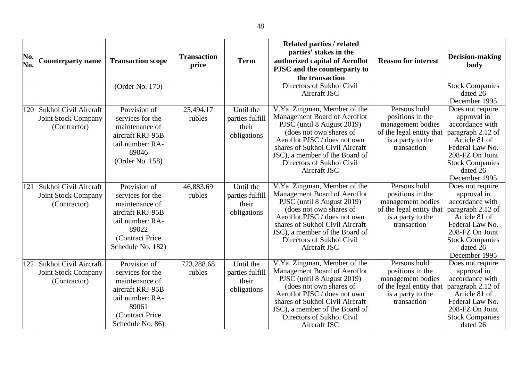| No.<br>No. | <b>Counterparty name</b>                                            | <b>Transaction scope</b>                                                                                                                    | <b>Transaction</b><br>price | <b>Term</b>                                          | <b>Related parties / related</b><br>parties' stakes in the<br>authorized capital of Aeroflot<br>PJSC and the counterparty to<br>the transaction                                                                                                                         | <b>Reason for interest</b>                                                                                            | Decision-making<br>body                                                                                                                                                               |
|------------|---------------------------------------------------------------------|---------------------------------------------------------------------------------------------------------------------------------------------|-----------------------------|------------------------------------------------------|-------------------------------------------------------------------------------------------------------------------------------------------------------------------------------------------------------------------------------------------------------------------------|-----------------------------------------------------------------------------------------------------------------------|---------------------------------------------------------------------------------------------------------------------------------------------------------------------------------------|
| 120        | Sukhoi Civil Aircraft<br><b>Joint Stock Company</b><br>(Contractor) | (Order No. 170)<br>Provision of<br>services for the<br>maintenance of<br>aircraft RRJ-95B                                                   | 25,494.17<br>rubles         | Until the<br>parties fulfill<br>their<br>obligations | Directors of Sukhoi Civil<br>Aircraft JSC<br>V.Ya. Zingman, Member of the<br>Management Board of Aeroflot<br>PJSC (until 8 August 2019)<br>(does not own shares of                                                                                                      | Persons hold<br>positions in the<br>management bodies<br>of the legal entity that                                     | <b>Stock Companies</b><br>dated 26<br>December 1995<br>Does not require<br>approval in<br>accordance with<br>paragraph 2.12 of                                                        |
|            |                                                                     | tail number: RA-<br>89046<br>(Order No. 158)                                                                                                |                             |                                                      | Aeroflot PJSC / does not own<br>shares of Sukhoi Civil Aircraft<br>JSC), a member of the Board of<br>Directors of Sukhoi Civil<br>Aircraft JSC                                                                                                                          | is a party to the<br>transaction                                                                                      | Article 81 of<br>Federal Law No.<br>208-FZ On Joint<br><b>Stock Companies</b><br>dated 26<br>December 1995                                                                            |
| 121        | Sukhoi Civil Aircraft<br><b>Joint Stock Company</b><br>(Contractor) | Provision of<br>services for the<br>maintenance of<br>aircraft RRJ-95B<br>tail number: RA-<br>89022<br>(Contract Price<br>Schedule No. 182) | 46,883.69<br>rubles         | Until the<br>parties fulfill<br>their<br>obligations | V.Ya. Zingman, Member of the<br>Management Board of Aeroflot<br>PJSC (until 8 August 2019)<br>(does not own shares of<br>Aeroflot PJSC / does not own<br>shares of Sukhoi Civil Aircraft<br>JSC), a member of the Board of<br>Directors of Sukhoi Civil<br>Aircraft JSC | Persons hold<br>positions in the<br>management bodies<br>of the legal entity that<br>is a party to the<br>transaction | Does not require<br>approval in<br>accordance with<br>paragraph 2.12 of<br>Article 81 of<br>Federal Law No.<br>208-FZ On Joint<br><b>Stock Companies</b><br>dated 26<br>December 1995 |
| 122        | Sukhoi Civil Aircraft<br><b>Joint Stock Company</b><br>(Contractor) | Provision of<br>services for the<br>maintenance of<br>aircraft RRJ-95B<br>tail number: RA-<br>89061<br>(Contract Price<br>Schedule No. 86)  | 723,288.68<br>rubles        | Until the<br>parties fulfill<br>their<br>obligations | V.Ya. Zingman, Member of the<br>Management Board of Aeroflot<br>PJSC (until 8 August 2019)<br>(does not own shares of<br>Aeroflot PJSC / does not own<br>shares of Sukhoi Civil Aircraft<br>JSC), a member of the Board of<br>Directors of Sukhoi Civil<br>Aircraft JSC | Persons hold<br>positions in the<br>management bodies<br>of the legal entity that<br>is a party to the<br>transaction | Does not require<br>approval in<br>accordance with<br>paragraph 2.12 of<br>Article 81 of<br>Federal Law No.<br>208-FZ On Joint<br><b>Stock Companies</b><br>dated 26                  |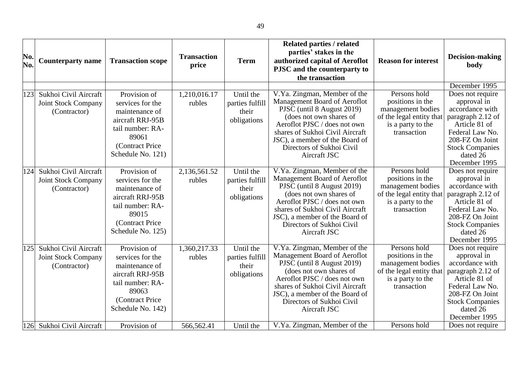| No.<br>No. | <b>Counterparty name</b>                                            | <b>Transaction scope</b>                                                                                                                     | <b>Transaction</b><br>price | <b>Term</b>                                          | <b>Related parties / related</b><br>parties' stakes in the<br>authorized capital of Aeroflot<br>PJSC and the counterparty to<br>the transaction                                                                                                                         | <b>Reason for interest</b>                                                                                            | Decision-making<br>body                                                                                                                                                                                |
|------------|---------------------------------------------------------------------|----------------------------------------------------------------------------------------------------------------------------------------------|-----------------------------|------------------------------------------------------|-------------------------------------------------------------------------------------------------------------------------------------------------------------------------------------------------------------------------------------------------------------------------|-----------------------------------------------------------------------------------------------------------------------|--------------------------------------------------------------------------------------------------------------------------------------------------------------------------------------------------------|
| 123        | Sukhoi Civil Aircraft<br>Joint Stock Company<br>(Contractor)        | Provision of<br>services for the<br>maintenance of<br>aircraft RRJ-95B<br>tail number: RA-<br>89061<br>(Contract Price<br>Schedule No. 121)  | 1,210,016.17<br>rubles      | Until the<br>parties fulfill<br>their<br>obligations | V.Ya. Zingman, Member of the<br>Management Board of Aeroflot<br>PJSC (until 8 August 2019)<br>(does not own shares of<br>Aeroflot PJSC / does not own<br>shares of Sukhoi Civil Aircraft<br>JSC), a member of the Board of<br>Directors of Sukhoi Civil<br>Aircraft JSC | Persons hold<br>positions in the<br>management bodies<br>of the legal entity that<br>is a party to the<br>transaction | December 1995<br>Does not require<br>approval in<br>accordance with<br>paragraph 2.12 of<br>Article 81 of<br>Federal Law No.<br>208-FZ On Joint<br><b>Stock Companies</b><br>dated 26<br>December 1995 |
| 124        | Sukhoi Civil Aircraft<br><b>Joint Stock Company</b><br>(Contractor) | Provision of<br>services for the<br>maintenance of<br>aircraft RRJ-95B<br>tail number: RA-<br>89015<br>(Contract Price)<br>Schedule No. 125) | 2,136,561.52<br>rubles      | Until the<br>parties fulfill<br>their<br>obligations | V.Ya. Zingman, Member of the<br>Management Board of Aeroflot<br>PJSC (until 8 August 2019)<br>(does not own shares of<br>Aeroflot PJSC / does not own<br>shares of Sukhoi Civil Aircraft<br>JSC), a member of the Board of<br>Directors of Sukhoi Civil<br>Aircraft JSC | Persons hold<br>positions in the<br>management bodies<br>of the legal entity that<br>is a party to the<br>transaction | Does not require<br>approval in<br>accordance with<br>paragraph 2.12 of<br>Article 81 of<br>Federal Law No.<br>208-FZ On Joint<br><b>Stock Companies</b><br>dated 26<br>December 1995                  |
| 125        | Sukhoi Civil Aircraft<br><b>Joint Stock Company</b><br>(Contractor) | Provision of<br>services for the<br>maintenance of<br>aircraft RRJ-95B<br>tail number: RA-<br>89063<br>(Contract Price<br>Schedule No. 142)  | 1,360,217.33<br>rubles      | Until the<br>parties fulfill<br>their<br>obligations | V.Ya. Zingman, Member of the<br>Management Board of Aeroflot<br>PJSC (until 8 August 2019)<br>(does not own shares of<br>Aeroflot PJSC / does not own<br>shares of Sukhoi Civil Aircraft<br>JSC), a member of the Board of<br>Directors of Sukhoi Civil<br>Aircraft JSC | Persons hold<br>positions in the<br>management bodies<br>of the legal entity that<br>is a party to the<br>transaction | Does not require<br>approval in<br>accordance with<br>paragraph 2.12 of<br>Article 81 of<br>Federal Law No.<br>208-FZ On Joint<br><b>Stock Companies</b><br>dated 26<br>December 1995                  |
| 126        | Sukhoi Civil Aircraft                                               | Provision of                                                                                                                                 | 566,562.41                  | Until the                                            | V.Ya. Zingman, Member of the                                                                                                                                                                                                                                            | Persons hold                                                                                                          | Does not require                                                                                                                                                                                       |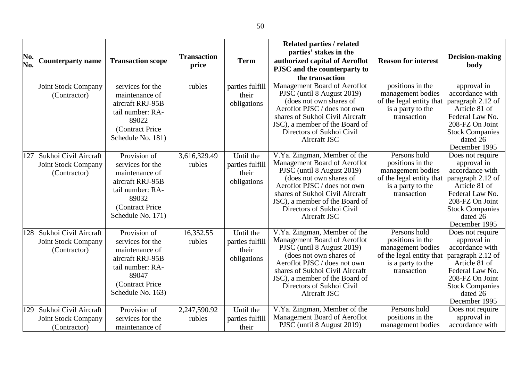| No.<br>No. | <b>Counterparty name</b>                                            | <b>Transaction scope</b>                                                                                                                    | <b>Transaction</b><br>price | <b>Term</b>                                          | <b>Related parties / related</b><br>parties' stakes in the<br>authorized capital of Aeroflot<br>PJSC and the counterparty to<br>the transaction                                                                                                                         | <b>Reason for interest</b>                                                                                            | <b>Decision-making</b><br>body                                                                                                                                                        |
|------------|---------------------------------------------------------------------|---------------------------------------------------------------------------------------------------------------------------------------------|-----------------------------|------------------------------------------------------|-------------------------------------------------------------------------------------------------------------------------------------------------------------------------------------------------------------------------------------------------------------------------|-----------------------------------------------------------------------------------------------------------------------|---------------------------------------------------------------------------------------------------------------------------------------------------------------------------------------|
|            | <b>Joint Stock Company</b><br>(Contractor)                          | services for the<br>maintenance of<br>aircraft RRJ-95B<br>tail number: RA-<br>89022<br>(Contract Price<br>Schedule No. 181)                 | rubles                      | parties fulfill<br>their<br>obligations              | Management Board of Aeroflot<br>PJSC (until 8 August 2019)<br>(does not own shares of<br>Aeroflot PJSC / does not own<br>shares of Sukhoi Civil Aircraft<br>JSC), a member of the Board of<br>Directors of Sukhoi Civil<br>Aircraft JSC                                 | positions in the<br>management bodies<br>of the legal entity that<br>is a party to the<br>transaction                 | approval in<br>accordance with<br>paragraph 2.12 of<br>Article 81 of<br>Federal Law No.<br>208-FZ On Joint<br><b>Stock Companies</b><br>dated 26<br>December 1995                     |
| 127        | Sukhoi Civil Aircraft<br><b>Joint Stock Company</b><br>(Contractor) | Provision of<br>services for the<br>maintenance of<br>aircraft RRJ-95B<br>tail number: RA-<br>89032<br>(Contract Price<br>Schedule No. 171) | 3,616,329.49<br>rubles      | Until the<br>parties fulfill<br>their<br>obligations | V.Ya. Zingman, Member of the<br>Management Board of Aeroflot<br>PJSC (until 8 August 2019)<br>(does not own shares of<br>Aeroflot PJSC / does not own<br>shares of Sukhoi Civil Aircraft<br>JSC), a member of the Board of<br>Directors of Sukhoi Civil<br>Aircraft JSC | Persons hold<br>positions in the<br>management bodies<br>of the legal entity that<br>is a party to the<br>transaction | Does not require<br>approval in<br>accordance with<br>paragraph 2.12 of<br>Article 81 of<br>Federal Law No.<br>208-FZ On Joint<br><b>Stock Companies</b><br>dated 26<br>December 1995 |
| 128        | Sukhoi Civil Aircraft<br><b>Joint Stock Company</b><br>(Contractor) | Provision of<br>services for the<br>maintenance of<br>aircraft RRJ-95B<br>tail number: RA-<br>89047<br>(Contract Price<br>Schedule No. 163) | 16,352.55<br>rubles         | Until the<br>parties fulfill<br>their<br>obligations | V.Ya. Zingman, Member of the<br>Management Board of Aeroflot<br>PJSC (until 8 August 2019)<br>(does not own shares of<br>Aeroflot PJSC / does not own<br>shares of Sukhoi Civil Aircraft<br>JSC), a member of the Board of<br>Directors of Sukhoi Civil<br>Aircraft JSC | Persons hold<br>positions in the<br>management bodies<br>of the legal entity that<br>is a party to the<br>transaction | Does not require<br>approval in<br>accordance with<br>paragraph 2.12 of<br>Article 81 of<br>Federal Law No.<br>208-FZ On Joint<br><b>Stock Companies</b><br>dated 26<br>December 1995 |
| 129        | Sukhoi Civil Aircraft<br><b>Joint Stock Company</b><br>(Contractor) | Provision of<br>services for the<br>maintenance of                                                                                          | 2,247,590.92<br>rubles      | Until the<br>parties fulfill<br>their                | V.Ya. Zingman, Member of the<br>Management Board of Aeroflot<br>PJSC (until 8 August 2019)                                                                                                                                                                              | Persons hold<br>positions in the<br>management bodies                                                                 | Does not require<br>approval in<br>accordance with                                                                                                                                    |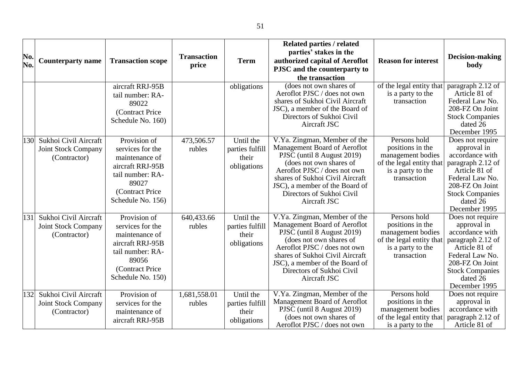|     |                            |                          |                    |                 | <b>Related parties / related</b>                        |                            |                                  |
|-----|----------------------------|--------------------------|--------------------|-----------------|---------------------------------------------------------|----------------------------|----------------------------------|
| No. |                            |                          | <b>Transaction</b> |                 | parties' stakes in the                                  |                            | Decision-making                  |
| No. | <b>Counterparty name</b>   | <b>Transaction scope</b> | price              | <b>Term</b>     | authorized capital of Aeroflot                          | <b>Reason for interest</b> | body                             |
|     |                            |                          |                    |                 | PJSC and the counterparty to                            |                            |                                  |
|     |                            |                          |                    |                 | the transaction                                         |                            |                                  |
|     |                            | aircraft RRJ-95B         |                    | obligations     | (does not own shares of                                 | of the legal entity that   | paragraph 2.12 of                |
|     |                            | tail number: RA-         |                    |                 | Aeroflot PJSC / does not own                            | is a party to the          | Article 81 of                    |
|     |                            | 89022                    |                    |                 | shares of Sukhoi Civil Aircraft                         | transaction                | Federal Law No.                  |
|     |                            | (Contract Price          |                    |                 | JSC), a member of the Board of                          |                            | 208-FZ On Joint                  |
|     |                            | Schedule No. 160)        |                    |                 | Directors of Sukhoi Civil                               |                            | <b>Stock Companies</b>           |
|     |                            |                          |                    |                 | Aircraft JSC                                            |                            | dated 26<br>December 1995        |
| 130 | Sukhoi Civil Aircraft      | Provision of             | 473,506.57         | Until the       | V.Ya. Zingman, Member of the                            | Persons hold               | Does not require                 |
|     |                            |                          |                    |                 | Management Board of Aeroflot                            | positions in the           | approval in                      |
|     | <b>Joint Stock Company</b> | services for the         | rubles             | parties fulfill | PJSC (until 8 August 2019)                              | management bodies          | accordance with                  |
|     | (Contractor)               | maintenance of           |                    | their           | (does not own shares of                                 | of the legal entity that   | paragraph 2.12 of                |
|     |                            | aircraft RRJ-95B         |                    | obligations     | Aeroflot PJSC / does not own                            | is a party to the          | Article 81 of                    |
|     |                            | tail number: RA-         |                    |                 | shares of Sukhoi Civil Aircraft                         | transaction                | Federal Law No.                  |
|     |                            | 89027                    |                    |                 | JSC), a member of the Board of                          |                            | 208-FZ On Joint                  |
|     |                            | (Contract Price          |                    |                 | Directors of Sukhoi Civil                               |                            | <b>Stock Companies</b>           |
|     |                            | Schedule No. 156)        |                    |                 | Aircraft JSC                                            |                            | dated 26                         |
|     |                            |                          |                    |                 |                                                         |                            | December 1995                    |
| 131 | Sukhoi Civil Aircraft      | Provision of             | 640,433.66         | Until the       | V.Ya. Zingman, Member of the                            | Persons hold               | Does not require                 |
|     | <b>Joint Stock Company</b> | services for the         | rubles             | parties fulfill | Management Board of Aeroflot                            | positions in the           | approval in                      |
|     | (Contractor)               | maintenance of           |                    | their           | PJSC (until 8 August 2019)                              | management bodies          | accordance with                  |
|     |                            | aircraft RRJ-95B         |                    | obligations     | (does not own shares of<br>Aeroflot PJSC / does not own | of the legal entity that   | paragraph 2.12 of                |
|     |                            | tail number: RA-         |                    |                 | shares of Sukhoi Civil Aircraft                         | is a party to the          | Article 81 of<br>Federal Law No. |
|     |                            | 89056                    |                    |                 | JSC), a member of the Board of                          | transaction                | 208-FZ On Joint                  |
|     |                            | (Contract Price          |                    |                 | Directors of Sukhoi Civil                               |                            | <b>Stock Companies</b>           |
|     |                            | Schedule No. 150)        |                    |                 | Aircraft JSC                                            |                            | dated 26                         |
|     |                            |                          |                    |                 |                                                         |                            | December 1995                    |
| 132 | Sukhoi Civil Aircraft      | Provision of             | 1,681,558.01       | Until the       | V.Ya. Zingman, Member of the                            | Persons hold               | Does not require                 |
|     | <b>Joint Stock Company</b> | services for the         | rubles             | parties fulfill | Management Board of Aeroflot                            | positions in the           | approval in                      |
|     | (Contractor)               | maintenance of           |                    | their           | PJSC (until 8 August 2019)                              | management bodies          | accordance with                  |
|     |                            | aircraft RRJ-95B         |                    | obligations     | (does not own shares of                                 | of the legal entity that   | paragraph 2.12 of                |
|     |                            |                          |                    |                 | Aeroflot PJSC / does not own                            | is a party to the          | Article 81 of                    |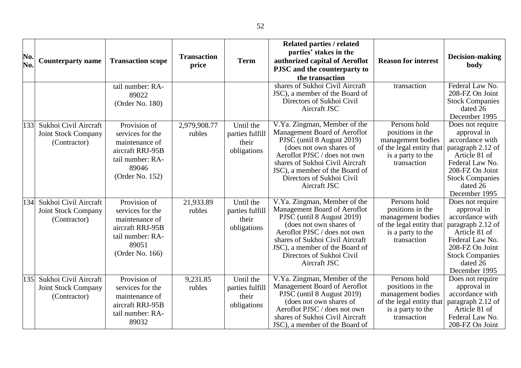| No.<br>No. | <b>Counterparty name</b>                                            | <b>Transaction scope</b>                                                                                               | <b>Transaction</b><br>price | <b>Term</b>                                          | <b>Related parties / related</b><br>parties' stakes in the<br>authorized capital of Aeroflot<br>PJSC and the counterparty to<br>the transaction                                                                                                                         | <b>Reason for interest</b>                                                                                            | Decision-making<br>body                                                                                                                                                               |
|------------|---------------------------------------------------------------------|------------------------------------------------------------------------------------------------------------------------|-----------------------------|------------------------------------------------------|-------------------------------------------------------------------------------------------------------------------------------------------------------------------------------------------------------------------------------------------------------------------------|-----------------------------------------------------------------------------------------------------------------------|---------------------------------------------------------------------------------------------------------------------------------------------------------------------------------------|
|            |                                                                     | tail number: RA-<br>89022<br>(Order No. 180)                                                                           |                             |                                                      | shares of Sukhoi Civil Aircraft<br>JSC), a member of the Board of<br>Directors of Sukhoi Civil<br>Aircraft JSC                                                                                                                                                          | transaction                                                                                                           | Federal Law No.<br>208-FZ On Joint<br><b>Stock Companies</b><br>dated 26<br>December 1995                                                                                             |
| 133        | Sukhoi Civil Aircraft<br><b>Joint Stock Company</b><br>(Contractor) | Provision of<br>services for the<br>maintenance of<br>aircraft RRJ-95B<br>tail number: RA-<br>89046<br>(Order No. 152) | 2,979,908.77<br>rubles      | Until the<br>parties fulfill<br>their<br>obligations | V.Ya. Zingman, Member of the<br>Management Board of Aeroflot<br>PJSC (until 8 August 2019)<br>(does not own shares of<br>Aeroflot PJSC / does not own<br>shares of Sukhoi Civil Aircraft<br>JSC), a member of the Board of<br>Directors of Sukhoi Civil<br>Aircraft JSC | Persons hold<br>positions in the<br>management bodies<br>of the legal entity that<br>is a party to the<br>transaction | Does not require<br>approval in<br>accordance with<br>paragraph 2.12 of<br>Article 81 of<br>Federal Law No.<br>208-FZ On Joint<br><b>Stock Companies</b><br>dated 26<br>December 1995 |
| 134        | Sukhoi Civil Aircraft<br><b>Joint Stock Company</b><br>(Contractor) | Provision of<br>services for the<br>maintenance of<br>aircraft RRJ-95B<br>tail number: RA-<br>89051<br>(Order No. 166) | 21,933.89<br>rubles         | Until the<br>parties fulfill<br>their<br>obligations | V.Ya. Zingman, Member of the<br>Management Board of Aeroflot<br>PJSC (until 8 August 2019)<br>(does not own shares of<br>Aeroflot PJSC / does not own<br>shares of Sukhoi Civil Aircraft<br>JSC), a member of the Board of<br>Directors of Sukhoi Civil<br>Aircraft JSC | Persons hold<br>positions in the<br>management bodies<br>of the legal entity that<br>is a party to the<br>transaction | Does not require<br>approval in<br>accordance with<br>paragraph 2.12 of<br>Article 81 of<br>Federal Law No.<br>208-FZ On Joint<br><b>Stock Companies</b><br>dated 26<br>December 1995 |
| 135        | Sukhoi Civil Aircraft<br><b>Joint Stock Company</b><br>(Contractor) | Provision of<br>services for the<br>maintenance of<br>aircraft RRJ-95B<br>tail number: RA-<br>89032                    | 9,231.85<br>rubles          | Until the<br>parties fulfill<br>their<br>obligations | V.Ya. Zingman, Member of the<br>Management Board of Aeroflot<br>PJSC (until 8 August 2019)<br>(does not own shares of<br>Aeroflot PJSC / does not own<br>shares of Sukhoi Civil Aircraft<br>JSC), a member of the Board of                                              | Persons hold<br>positions in the<br>management bodies<br>of the legal entity that<br>is a party to the<br>transaction | Does not require<br>approval in<br>accordance with<br>paragraph 2.12 of<br>Article 81 of<br>Federal Law No.<br>208-FZ On Joint                                                        |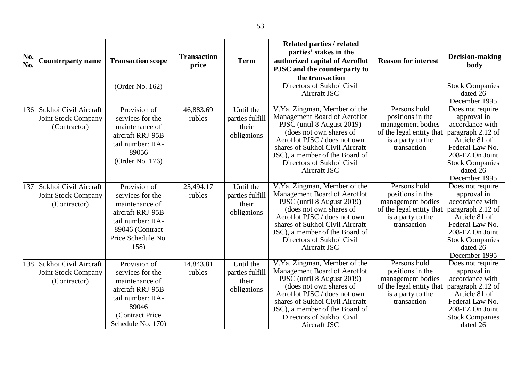| No.<br>No. | <b>Counterparty name</b>                                            | <b>Transaction scope</b>                                                                                                                     | <b>Transaction</b><br>price | <b>Term</b>                                          | <b>Related parties / related</b><br>parties' stakes in the<br>authorized capital of Aeroflot<br>PJSC and the counterparty to<br>the transaction                                                                                                                         | <b>Reason for interest</b>                                                                                            | Decision-making<br>body                                                                                                                                                               |
|------------|---------------------------------------------------------------------|----------------------------------------------------------------------------------------------------------------------------------------------|-----------------------------|------------------------------------------------------|-------------------------------------------------------------------------------------------------------------------------------------------------------------------------------------------------------------------------------------------------------------------------|-----------------------------------------------------------------------------------------------------------------------|---------------------------------------------------------------------------------------------------------------------------------------------------------------------------------------|
|            |                                                                     | (Order No. 162)                                                                                                                              |                             |                                                      | Directors of Sukhoi Civil<br>Aircraft JSC                                                                                                                                                                                                                               |                                                                                                                       | <b>Stock Companies</b><br>dated 26<br>December 1995                                                                                                                                   |
| 136        | Sukhoi Civil Aircraft<br><b>Joint Stock Company</b><br>(Contractor) | Provision of<br>services for the<br>maintenance of<br>aircraft RRJ-95B<br>tail number: RA-<br>89056<br>(Order No. 176)                       | 46,883.69<br>rubles         | Until the<br>parties fulfill<br>their<br>obligations | V.Ya. Zingman, Member of the<br>Management Board of Aeroflot<br>PJSC (until 8 August 2019)<br>(does not own shares of<br>Aeroflot PJSC / does not own<br>shares of Sukhoi Civil Aircraft<br>JSC), a member of the Board of<br>Directors of Sukhoi Civil<br>Aircraft JSC | Persons hold<br>positions in the<br>management bodies<br>of the legal entity that<br>is a party to the<br>transaction | Does not require<br>approval in<br>accordance with<br>paragraph 2.12 of<br>Article 81 of<br>Federal Law No.<br>208-FZ On Joint<br><b>Stock Companies</b><br>dated 26<br>December 1995 |
| 137        | Sukhoi Civil Aircraft<br><b>Joint Stock Company</b><br>(Contractor) | Provision of<br>services for the<br>maintenance of<br>aircraft RRJ-95B<br>tail number: RA-<br>89046 (Contract<br>Price Schedule No.<br>158)  | 25,494.17<br>rubles         | Until the<br>parties fulfill<br>their<br>obligations | V.Ya. Zingman, Member of the<br>Management Board of Aeroflot<br>PJSC (until 8 August 2019)<br>(does not own shares of<br>Aeroflot PJSC / does not own<br>shares of Sukhoi Civil Aircraft<br>JSC), a member of the Board of<br>Directors of Sukhoi Civil<br>Aircraft JSC | Persons hold<br>positions in the<br>management bodies<br>of the legal entity that<br>is a party to the<br>transaction | Does not require<br>approval in<br>accordance with<br>paragraph 2.12 of<br>Article 81 of<br>Federal Law No.<br>208-FZ On Joint<br><b>Stock Companies</b><br>dated 26<br>December 1995 |
| 138        | Sukhoi Civil Aircraft<br><b>Joint Stock Company</b><br>(Contractor) | Provision of<br>services for the<br>maintenance of<br>aircraft RRJ-95B<br>tail number: RA-<br>89046<br>(Contract Price)<br>Schedule No. 170) | 14,843.81<br>rubles         | Until the<br>parties fulfill<br>their<br>obligations | V.Ya. Zingman, Member of the<br>Management Board of Aeroflot<br>PJSC (until 8 August 2019)<br>(does not own shares of<br>Aeroflot PJSC / does not own<br>shares of Sukhoi Civil Aircraft<br>JSC), a member of the Board of<br>Directors of Sukhoi Civil<br>Aircraft JSC | Persons hold<br>positions in the<br>management bodies<br>of the legal entity that<br>is a party to the<br>transaction | Does not require<br>approval in<br>accordance with<br>paragraph 2.12 of<br>Article 81 of<br>Federal Law No.<br>208-FZ On Joint<br><b>Stock Companies</b><br>dated 26                  |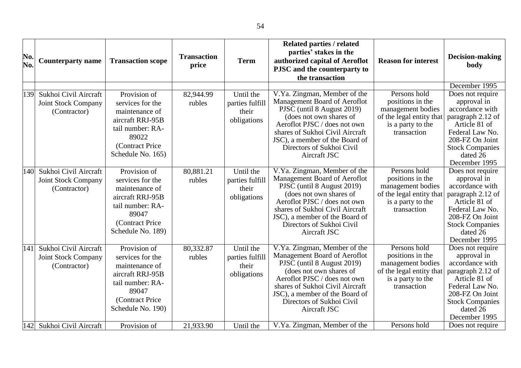| No.<br>No. | <b>Counterparty name</b>                                            | <b>Transaction scope</b>                                                                                                                     | <b>Transaction</b><br>price | <b>Term</b>                                          | <b>Related parties / related</b><br>parties' stakes in the<br>authorized capital of Aeroflot<br>PJSC and the counterparty to<br>the transaction                                                                                                                         | <b>Reason for interest</b>                                                                                            | Decision-making<br>body                                                                                                                                                                                |
|------------|---------------------------------------------------------------------|----------------------------------------------------------------------------------------------------------------------------------------------|-----------------------------|------------------------------------------------------|-------------------------------------------------------------------------------------------------------------------------------------------------------------------------------------------------------------------------------------------------------------------------|-----------------------------------------------------------------------------------------------------------------------|--------------------------------------------------------------------------------------------------------------------------------------------------------------------------------------------------------|
| 139        | Sukhoi Civil Aircraft<br><b>Joint Stock Company</b><br>(Contractor) | Provision of<br>services for the<br>maintenance of<br>aircraft RRJ-95B<br>tail number: RA-<br>89022<br>(Contract Price<br>Schedule No. 165)  | 82,944.99<br>rubles         | Until the<br>parties fulfill<br>their<br>obligations | V.Ya. Zingman, Member of the<br>Management Board of Aeroflot<br>PJSC (until 8 August 2019)<br>(does not own shares of<br>Aeroflot PJSC / does not own<br>shares of Sukhoi Civil Aircraft<br>JSC), a member of the Board of<br>Directors of Sukhoi Civil<br>Aircraft JSC | Persons hold<br>positions in the<br>management bodies<br>of the legal entity that<br>is a party to the<br>transaction | December 1995<br>Does not require<br>approval in<br>accordance with<br>paragraph 2.12 of<br>Article 81 of<br>Federal Law No.<br>208-FZ On Joint<br><b>Stock Companies</b><br>dated 26<br>December 1995 |
| 140        | Sukhoi Civil Aircraft<br><b>Joint Stock Company</b><br>(Contractor) | Provision of<br>services for the<br>maintenance of<br>aircraft RRJ-95B<br>tail number: RA-<br>89047<br>(Contract Price)<br>Schedule No. 189) | 80,881.21<br>rubles         | Until the<br>parties fulfill<br>their<br>obligations | V.Ya. Zingman, Member of the<br>Management Board of Aeroflot<br>PJSC (until 8 August 2019)<br>(does not own shares of<br>Aeroflot PJSC / does not own<br>shares of Sukhoi Civil Aircraft<br>JSC), a member of the Board of<br>Directors of Sukhoi Civil<br>Aircraft JSC | Persons hold<br>positions in the<br>management bodies<br>of the legal entity that<br>is a party to the<br>transaction | Does not require<br>approval in<br>accordance with<br>paragraph 2.12 of<br>Article 81 of<br>Federal Law No.<br>208-FZ On Joint<br><b>Stock Companies</b><br>dated 26<br>December 1995                  |
| 141        | Sukhoi Civil Aircraft<br><b>Joint Stock Company</b><br>(Contractor) | Provision of<br>services for the<br>maintenance of<br>aircraft RRJ-95B<br>tail number: RA-<br>89047<br>(Contract Price<br>Schedule No. 190)  | 80,332.87<br>rubles         | Until the<br>parties fulfill<br>their<br>obligations | V.Ya. Zingman, Member of the<br>Management Board of Aeroflot<br>PJSC (until 8 August 2019)<br>(does not own shares of<br>Aeroflot PJSC / does not own<br>shares of Sukhoi Civil Aircraft<br>JSC), a member of the Board of<br>Directors of Sukhoi Civil<br>Aircraft JSC | Persons hold<br>positions in the<br>management bodies<br>of the legal entity that<br>is a party to the<br>transaction | Does not require<br>approval in<br>accordance with<br>paragraph 2.12 of<br>Article 81 of<br>Federal Law No.<br>208-FZ On Joint<br><b>Stock Companies</b><br>dated 26<br>December 1995                  |
| 142        | Sukhoi Civil Aircraft                                               | Provision of                                                                                                                                 | 21,933.90                   | Until the                                            | V.Ya. Zingman, Member of the                                                                                                                                                                                                                                            | Persons hold                                                                                                          | Does not require                                                                                                                                                                                       |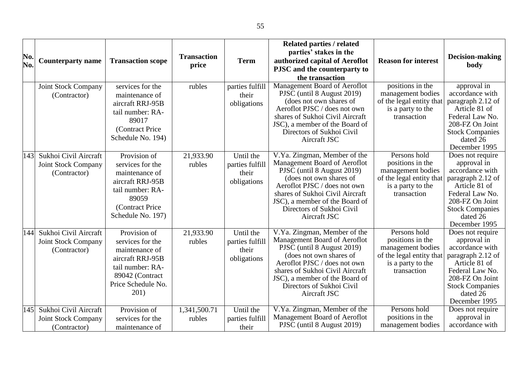| No.<br>No. | <b>Counterparty name</b>                                            | <b>Transaction scope</b>                                                                                                                    | <b>Transaction</b><br>price | <b>Term</b>                                          | <b>Related parties / related</b><br>parties' stakes in the<br>authorized capital of Aeroflot<br>PJSC and the counterparty to<br>the transaction                                                                                                                         | <b>Reason for interest</b>                                                                                            | <b>Decision-making</b><br>body                                                                                                                                                        |
|------------|---------------------------------------------------------------------|---------------------------------------------------------------------------------------------------------------------------------------------|-----------------------------|------------------------------------------------------|-------------------------------------------------------------------------------------------------------------------------------------------------------------------------------------------------------------------------------------------------------------------------|-----------------------------------------------------------------------------------------------------------------------|---------------------------------------------------------------------------------------------------------------------------------------------------------------------------------------|
|            | Joint Stock Company<br>(Contractor)                                 | services for the<br>maintenance of<br>aircraft RRJ-95B<br>tail number: RA-<br>89017<br>(Contract Price<br>Schedule No. 194)                 | rubles                      | parties fulfill<br>their<br>obligations              | Management Board of Aeroflot<br>PJSC (until 8 August 2019)<br>(does not own shares of<br>Aeroflot PJSC / does not own<br>shares of Sukhoi Civil Aircraft<br>JSC), a member of the Board of<br>Directors of Sukhoi Civil<br>Aircraft JSC                                 | positions in the<br>management bodies<br>of the legal entity that<br>is a party to the<br>transaction                 | approval in<br>accordance with<br>paragraph 2.12 of<br>Article 81 of<br>Federal Law No.<br>208-FZ On Joint<br><b>Stock Companies</b><br>dated 26<br>December 1995                     |
| 143        | Sukhoi Civil Aircraft<br><b>Joint Stock Company</b><br>(Contractor) | Provision of<br>services for the<br>maintenance of<br>aircraft RRJ-95B<br>tail number: RA-<br>89059<br>(Contract Price<br>Schedule No. 197) | 21,933.90<br>rubles         | Until the<br>parties fulfill<br>their<br>obligations | V.Ya. Zingman, Member of the<br>Management Board of Aeroflot<br>PJSC (until 8 August 2019)<br>(does not own shares of<br>Aeroflot PJSC / does not own<br>shares of Sukhoi Civil Aircraft<br>JSC), a member of the Board of<br>Directors of Sukhoi Civil<br>Aircraft JSC | Persons hold<br>positions in the<br>management bodies<br>of the legal entity that<br>is a party to the<br>transaction | Does not require<br>approval in<br>accordance with<br>paragraph 2.12 of<br>Article 81 of<br>Federal Law No.<br>208-FZ On Joint<br><b>Stock Companies</b><br>dated 26<br>December 1995 |
| 144        | Sukhoi Civil Aircraft<br><b>Joint Stock Company</b><br>(Contractor) | Provision of<br>services for the<br>maintenance of<br>aircraft RRJ-95B<br>tail number: RA-<br>89042 (Contract<br>Price Schedule No.<br>201) | 21,933.90<br>rubles         | Until the<br>parties fulfill<br>their<br>obligations | V.Ya. Zingman, Member of the<br>Management Board of Aeroflot<br>PJSC (until 8 August 2019)<br>(does not own shares of<br>Aeroflot PJSC / does not own<br>shares of Sukhoi Civil Aircraft<br>JSC), a member of the Board of<br>Directors of Sukhoi Civil<br>Aircraft JSC | Persons hold<br>positions in the<br>management bodies<br>of the legal entity that<br>is a party to the<br>transaction | Does not require<br>approval in<br>accordance with<br>paragraph 2.12 of<br>Article 81 of<br>Federal Law No.<br>208-FZ On Joint<br><b>Stock Companies</b><br>dated 26<br>December 1995 |
| 145        | Sukhoi Civil Aircraft<br><b>Joint Stock Company</b><br>(Contractor) | Provision of<br>services for the<br>maintenance of                                                                                          | 1,341,500.71<br>rubles      | Until the<br>parties fulfill<br>their                | V.Ya. Zingman, Member of the<br>Management Board of Aeroflot<br>PJSC (until 8 August 2019)                                                                                                                                                                              | Persons hold<br>positions in the<br>management bodies                                                                 | Does not require<br>approval in<br>accordance with                                                                                                                                    |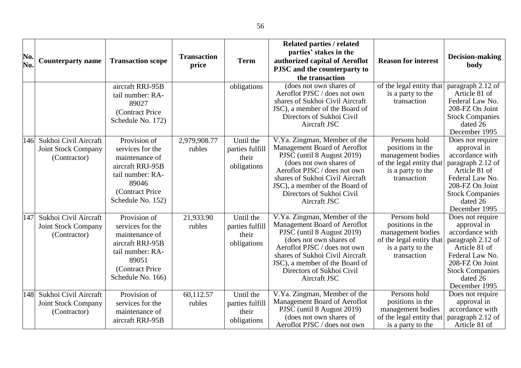|     |                                                                     |                                                                                                                                             |                        |                                                      | <b>Related parties / related</b>                                                                                                                                                                                                                                        |                                                                                                                       |                                                                                                                                                                                                        |
|-----|---------------------------------------------------------------------|---------------------------------------------------------------------------------------------------------------------------------------------|------------------------|------------------------------------------------------|-------------------------------------------------------------------------------------------------------------------------------------------------------------------------------------------------------------------------------------------------------------------------|-----------------------------------------------------------------------------------------------------------------------|--------------------------------------------------------------------------------------------------------------------------------------------------------------------------------------------------------|
| No. | <b>Counterparty name</b>                                            | <b>Transaction scope</b>                                                                                                                    | <b>Transaction</b>     | <b>Term</b>                                          | parties' stakes in the<br>authorized capital of Aeroflot                                                                                                                                                                                                                | <b>Reason for interest</b>                                                                                            | Decision-making                                                                                                                                                                                        |
| No. |                                                                     |                                                                                                                                             | price                  |                                                      | PJSC and the counterparty to                                                                                                                                                                                                                                            |                                                                                                                       | body                                                                                                                                                                                                   |
|     |                                                                     |                                                                                                                                             |                        |                                                      | the transaction                                                                                                                                                                                                                                                         |                                                                                                                       |                                                                                                                                                                                                        |
|     |                                                                     | aircraft RRJ-95B<br>tail number: RA-<br>89027<br>(Contract Price<br>Schedule No. 172)                                                       |                        | obligations                                          | (does not own shares of<br>Aeroflot PJSC / does not own<br>shares of Sukhoi Civil Aircraft<br>JSC), a member of the Board of<br>Directors of Sukhoi Civil<br>Aircraft JSC                                                                                               | of the legal entity that<br>is a party to the<br>transaction                                                          | paragraph 2.12 of<br>Article 81 of<br>Federal Law No.<br>208-FZ On Joint<br><b>Stock Companies</b><br>dated 26                                                                                         |
| 146 | Sukhoi Civil Aircraft<br><b>Joint Stock Company</b><br>(Contractor) | Provision of<br>services for the<br>maintenance of<br>aircraft RRJ-95B<br>tail number: RA-<br>89046<br>(Contract Price<br>Schedule No. 152) | 2,979,908.77<br>rubles | Until the<br>parties fulfill<br>their<br>obligations | V.Ya. Zingman, Member of the<br>Management Board of Aeroflot<br>PJSC (until 8 August 2019)<br>(does not own shares of<br>Aeroflot PJSC / does not own<br>shares of Sukhoi Civil Aircraft<br>JSC), a member of the Board of<br>Directors of Sukhoi Civil<br>Aircraft JSC | Persons hold<br>positions in the<br>management bodies<br>of the legal entity that<br>is a party to the<br>transaction | December 1995<br>Does not require<br>approval in<br>accordance with<br>paragraph 2.12 of<br>Article 81 of<br>Federal Law No.<br>208-FZ On Joint<br><b>Stock Companies</b><br>dated 26<br>December 1995 |
| 147 | Sukhoi Civil Aircraft<br><b>Joint Stock Company</b><br>(Contractor) | Provision of<br>services for the<br>maintenance of<br>aircraft RRJ-95B<br>tail number: RA-<br>89051<br>(Contract Price<br>Schedule No. 166) | 21,933.90<br>rubles    | Until the<br>parties fulfill<br>their<br>obligations | V.Ya. Zingman, Member of the<br>Management Board of Aeroflot<br>PJSC (until 8 August 2019)<br>(does not own shares of<br>Aeroflot PJSC / does not own<br>shares of Sukhoi Civil Aircraft<br>JSC), a member of the Board of<br>Directors of Sukhoi Civil<br>Aircraft JSC | Persons hold<br>positions in the<br>management bodies<br>of the legal entity that<br>is a party to the<br>transaction | Does not require<br>approval in<br>accordance with<br>paragraph 2.12 of<br>Article 81 of<br>Federal Law No.<br>208-FZ On Joint<br><b>Stock Companies</b><br>dated 26<br>December 1995                  |
| 148 | Sukhoi Civil Aircraft<br><b>Joint Stock Company</b><br>(Contractor) | Provision of<br>services for the<br>maintenance of<br>aircraft RRJ-95B                                                                      | 60,112.57<br>rubles    | Until the<br>parties fulfill<br>their<br>obligations | V.Ya. Zingman, Member of the<br>Management Board of Aeroflot<br>PJSC (until 8 August 2019)<br>(does not own shares of<br>Aeroflot PJSC / does not own                                                                                                                   | Persons hold<br>positions in the<br>management bodies<br>of the legal entity that<br>is a party to the                | Does not require<br>approval in<br>accordance with<br>paragraph 2.12 of<br>Article 81 of                                                                                                               |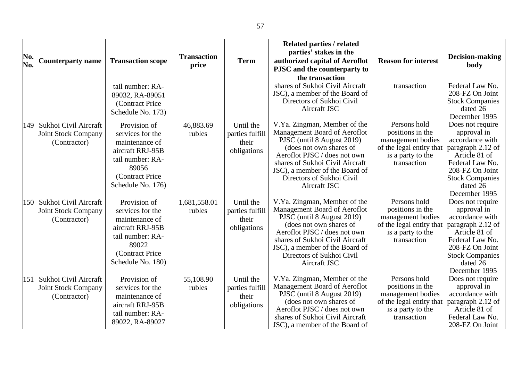| No.<br>No. | <b>Counterparty name</b>                                            | <b>Transaction scope</b>                                                                                                                    | <b>Transaction</b><br>price | <b>Term</b>                                          | Related parties / related<br>parties' stakes in the<br>authorized capital of Aeroflot<br>PJSC and the counterparty to<br>the transaction                                                                                                                                | <b>Reason for interest</b>                                                                                            | Decision-making<br>body                                                                                                                                                               |
|------------|---------------------------------------------------------------------|---------------------------------------------------------------------------------------------------------------------------------------------|-----------------------------|------------------------------------------------------|-------------------------------------------------------------------------------------------------------------------------------------------------------------------------------------------------------------------------------------------------------------------------|-----------------------------------------------------------------------------------------------------------------------|---------------------------------------------------------------------------------------------------------------------------------------------------------------------------------------|
|            |                                                                     | tail number: RA-<br>89032, RA-89051<br>(Contract Price<br>Schedule No. 173)                                                                 |                             |                                                      | shares of Sukhoi Civil Aircraft<br>JSC), a member of the Board of<br>Directors of Sukhoi Civil<br>Aircraft JSC                                                                                                                                                          | transaction                                                                                                           | Federal Law No.<br>208-FZ On Joint<br><b>Stock Companies</b><br>dated 26<br>December 1995                                                                                             |
| 149        | Sukhoi Civil Aircraft<br>Joint Stock Company<br>(Contractor)        | Provision of<br>services for the<br>maintenance of<br>aircraft RRJ-95B<br>tail number: RA-<br>89056<br>(Contract Price<br>Schedule No. 176) | 46,883.69<br>rubles         | Until the<br>parties fulfill<br>their<br>obligations | V.Ya. Zingman, Member of the<br>Management Board of Aeroflot<br>PJSC (until 8 August 2019)<br>(does not own shares of<br>Aeroflot PJSC / does not own<br>shares of Sukhoi Civil Aircraft<br>JSC), a member of the Board of<br>Directors of Sukhoi Civil<br>Aircraft JSC | Persons hold<br>positions in the<br>management bodies<br>of the legal entity that<br>is a party to the<br>transaction | Does not require<br>approval in<br>accordance with<br>paragraph 2.12 of<br>Article 81 of<br>Federal Law No.<br>208-FZ On Joint<br><b>Stock Companies</b><br>dated 26<br>December 1995 |
| 150        | Sukhoi Civil Aircraft<br><b>Joint Stock Company</b><br>(Contractor) | Provision of<br>services for the<br>maintenance of<br>aircraft RRJ-95B<br>tail number: RA-<br>89022<br>(Contract Price<br>Schedule No. 180) | 1,681,558.01<br>rubles      | Until the<br>parties fulfill<br>their<br>obligations | V.Ya. Zingman, Member of the<br>Management Board of Aeroflot<br>PJSC (until 8 August 2019)<br>(does not own shares of<br>Aeroflot PJSC / does not own<br>shares of Sukhoi Civil Aircraft<br>JSC), a member of the Board of<br>Directors of Sukhoi Civil<br>Aircraft JSC | Persons hold<br>positions in the<br>management bodies<br>of the legal entity that<br>is a party to the<br>transaction | Does not require<br>approval in<br>accordance with<br>paragraph 2.12 of<br>Article 81 of<br>Federal Law No.<br>208-FZ On Joint<br><b>Stock Companies</b><br>dated 26<br>December 1995 |
| 151        | Sukhoi Civil Aircraft<br><b>Joint Stock Company</b><br>(Contractor) | Provision of<br>services for the<br>maintenance of<br>aircraft RRJ-95B<br>tail number: RA-<br>89022, RA-89027                               | 55,108.90<br>rubles         | Until the<br>parties fulfill<br>their<br>obligations | V.Ya. Zingman, Member of the<br>Management Board of Aeroflot<br>PJSC (until 8 August 2019)<br>(does not own shares of<br>Aeroflot PJSC / does not own<br>shares of Sukhoi Civil Aircraft<br>JSC), a member of the Board of                                              | Persons hold<br>positions in the<br>management bodies<br>of the legal entity that<br>is a party to the<br>transaction | Does not require<br>approval in<br>accordance with<br>paragraph 2.12 of<br>Article 81 of<br>Federal Law No.<br>208-FZ On Joint                                                        |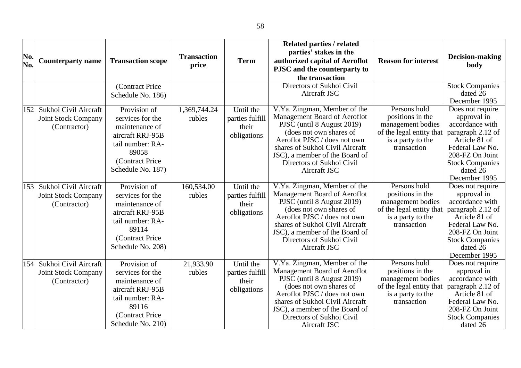| No.<br>No. | <b>Counterparty name</b>                                            | <b>Transaction scope</b>                                                                                                                     | <b>Transaction</b><br>price | <b>Term</b>                                          | <b>Related parties / related</b><br>parties' stakes in the<br>authorized capital of Aeroflot<br>PJSC and the counterparty to<br>the transaction                                                                                                                         | <b>Reason for interest</b>                                                                                            | Decision-making<br>body                                                                                                                                                               |
|------------|---------------------------------------------------------------------|----------------------------------------------------------------------------------------------------------------------------------------------|-----------------------------|------------------------------------------------------|-------------------------------------------------------------------------------------------------------------------------------------------------------------------------------------------------------------------------------------------------------------------------|-----------------------------------------------------------------------------------------------------------------------|---------------------------------------------------------------------------------------------------------------------------------------------------------------------------------------|
|            |                                                                     | (Contract Price<br>Schedule No. 186)                                                                                                         |                             |                                                      | Directors of Sukhoi Civil<br>Aircraft JSC                                                                                                                                                                                                                               |                                                                                                                       | <b>Stock Companies</b><br>dated 26<br>December 1995                                                                                                                                   |
| 152        | Sukhoi Civil Aircraft<br><b>Joint Stock Company</b><br>(Contractor) | Provision of<br>services for the<br>maintenance of<br>aircraft RRJ-95B<br>tail number: RA-<br>89058<br>(Contract Price)<br>Schedule No. 187) | 1,369,744.24<br>rubles      | Until the<br>parties fulfill<br>their<br>obligations | V.Ya. Zingman, Member of the<br>Management Board of Aeroflot<br>PJSC (until 8 August 2019)<br>(does not own shares of<br>Aeroflot PJSC / does not own<br>shares of Sukhoi Civil Aircraft<br>JSC), a member of the Board of<br>Directors of Sukhoi Civil<br>Aircraft JSC | Persons hold<br>positions in the<br>management bodies<br>of the legal entity that<br>is a party to the<br>transaction | Does not require<br>approval in<br>accordance with<br>paragraph 2.12 of<br>Article 81 of<br>Federal Law No.<br>208-FZ On Joint<br><b>Stock Companies</b><br>dated 26<br>December 1995 |
| 153        | Sukhoi Civil Aircraft<br><b>Joint Stock Company</b><br>(Contractor) | Provision of<br>services for the<br>maintenance of<br>aircraft RRJ-95B<br>tail number: RA-<br>89114<br>(Contract Price)<br>Schedule No. 208) | 160,534.00<br>rubles        | Until the<br>parties fulfill<br>their<br>obligations | V.Ya. Zingman, Member of the<br>Management Board of Aeroflot<br>PJSC (until 8 August 2019)<br>(does not own shares of<br>Aeroflot PJSC / does not own<br>shares of Sukhoi Civil Aircraft<br>JSC), a member of the Board of<br>Directors of Sukhoi Civil<br>Aircraft JSC | Persons hold<br>positions in the<br>management bodies<br>of the legal entity that<br>is a party to the<br>transaction | Does not require<br>approval in<br>accordance with<br>paragraph 2.12 of<br>Article 81 of<br>Federal Law No.<br>208-FZ On Joint<br><b>Stock Companies</b><br>dated 26<br>December 1995 |
| 154        | Sukhoi Civil Aircraft<br><b>Joint Stock Company</b><br>(Contractor) | Provision of<br>services for the<br>maintenance of<br>aircraft RRJ-95B<br>tail number: RA-<br>89116<br>(Contract Price)<br>Schedule No. 210) | 21,933.90<br>rubles         | Until the<br>parties fulfill<br>their<br>obligations | V.Ya. Zingman, Member of the<br>Management Board of Aeroflot<br>PJSC (until 8 August 2019)<br>(does not own shares of<br>Aeroflot PJSC / does not own<br>shares of Sukhoi Civil Aircraft<br>JSC), a member of the Board of<br>Directors of Sukhoi Civil<br>Aircraft JSC | Persons hold<br>positions in the<br>management bodies<br>of the legal entity that<br>is a party to the<br>transaction | Does not require<br>approval in<br>accordance with<br>paragraph 2.12 of<br>Article 81 of<br>Federal Law No.<br>208-FZ On Joint<br><b>Stock Companies</b><br>dated 26                  |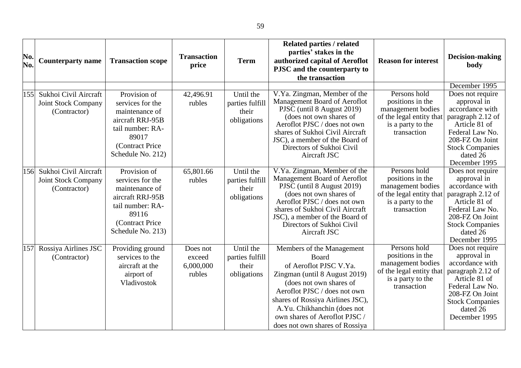| No.<br>No. | <b>Counterparty name</b>                                            | <b>Transaction scope</b>                                                                                                                     | <b>Transaction</b><br>price               | <b>Term</b>                                          | <b>Related parties / related</b><br>parties' stakes in the<br>authorized capital of Aeroflot<br>PJSC and the counterparty to<br>the transaction                                                                                                                                                | <b>Reason for interest</b>                                                                                            | <b>Decision-making</b><br>body                                                                                                                                                                         |
|------------|---------------------------------------------------------------------|----------------------------------------------------------------------------------------------------------------------------------------------|-------------------------------------------|------------------------------------------------------|------------------------------------------------------------------------------------------------------------------------------------------------------------------------------------------------------------------------------------------------------------------------------------------------|-----------------------------------------------------------------------------------------------------------------------|--------------------------------------------------------------------------------------------------------------------------------------------------------------------------------------------------------|
| 155        | Sukhoi Civil Aircraft<br><b>Joint Stock Company</b><br>(Contractor) | Provision of<br>services for the<br>maintenance of<br>aircraft RRJ-95B<br>tail number: RA-<br>89017<br>(Contract Price<br>Schedule No. 212)  | 42,496.91<br>rubles                       | Until the<br>parties fulfill<br>their<br>obligations | V.Ya. Zingman, Member of the<br>Management Board of Aeroflot<br>PJSC (until 8 August 2019)<br>(does not own shares of<br>Aeroflot PJSC / does not own<br>shares of Sukhoi Civil Aircraft<br>JSC), a member of the Board of<br>Directors of Sukhoi Civil<br>Aircraft JSC                        | Persons hold<br>positions in the<br>management bodies<br>of the legal entity that<br>is a party to the<br>transaction | December 1995<br>Does not require<br>approval in<br>accordance with<br>paragraph 2.12 of<br>Article 81 of<br>Federal Law No.<br>208-FZ On Joint<br><b>Stock Companies</b><br>dated 26<br>December 1995 |
| 156        | Sukhoi Civil Aircraft<br><b>Joint Stock Company</b><br>(Contractor) | Provision of<br>services for the<br>maintenance of<br>aircraft RRJ-95B<br>tail number: RA-<br>89116<br>(Contract Price)<br>Schedule No. 213) | 65,801.66<br>rubles                       | Until the<br>parties fulfill<br>their<br>obligations | V.Ya. Zingman, Member of the<br>Management Board of Aeroflot<br>PJSC (until 8 August 2019)<br>(does not own shares of<br>Aeroflot PJSC / does not own<br>shares of Sukhoi Civil Aircraft<br>JSC), a member of the Board of<br>Directors of Sukhoi Civil<br>Aircraft JSC                        | Persons hold<br>positions in the<br>management bodies<br>of the legal entity that<br>is a party to the<br>transaction | Does not require<br>approval in<br>accordance with<br>paragraph 2.12 of<br>Article 81 of<br>Federal Law No.<br>208-FZ On Joint<br><b>Stock Companies</b><br>dated 26<br>December 1995                  |
| 157        | Rossiya Airlines JSC<br>(Contractor)                                | Providing ground<br>services to the<br>aircraft at the<br>airport of<br>Vladivostok                                                          | Does not<br>exceed<br>6,000,000<br>rubles | Until the<br>parties fulfill<br>their<br>obligations | Members of the Management<br>Board<br>of Aeroflot PJSC V.Ya.<br>Zingman (until 8 August 2019)<br>(does not own shares of<br>Aeroflot PJSC / does not own<br>shares of Rossiya Airlines JSC),<br>A.Yu. Chikhanchin (does not<br>own shares of Aeroflot PJSC /<br>does not own shares of Rossiya | Persons hold<br>positions in the<br>management bodies<br>of the legal entity that<br>is a party to the<br>transaction | Does not require<br>approval in<br>accordance with<br>paragraph 2.12 of<br>Article 81 of<br>Federal Law No.<br>208-FZ On Joint<br><b>Stock Companies</b><br>dated 26<br>December 1995                  |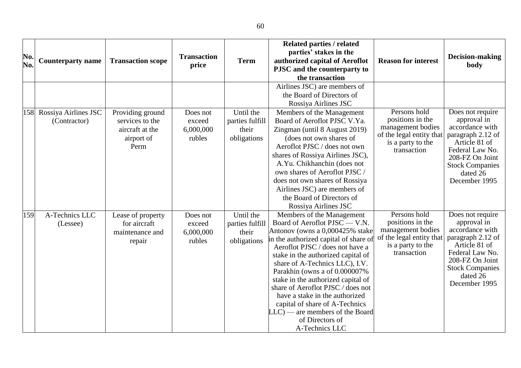| No.<br>No. | <b>Counterparty name</b> | <b>Transaction scope</b> | <b>Transaction</b> | <b>Term</b>     | Related parties / related<br>parties' stakes in the<br>authorized capital of Aeroflot | <b>Reason for interest</b>                    | Decision-making<br>body              |
|------------|--------------------------|--------------------------|--------------------|-----------------|---------------------------------------------------------------------------------------|-----------------------------------------------|--------------------------------------|
|            |                          |                          | price              |                 | PJSC and the counterparty to                                                          |                                               |                                      |
|            |                          |                          |                    |                 | the transaction                                                                       |                                               |                                      |
|            |                          |                          |                    |                 | Airlines JSC) are members of                                                          |                                               |                                      |
|            |                          |                          |                    |                 | the Board of Directors of                                                             |                                               |                                      |
|            |                          |                          |                    |                 | Rossiya Airlines JSC                                                                  |                                               |                                      |
| 158        | Rossiya Airlines JSC     | Providing ground         | Does not           | Until the       | Members of the Management                                                             | Persons hold                                  | Does not require                     |
|            | (Contractor)             | services to the          | exceed             | parties fulfill | Board of Aeroflot PJSC V.Ya.                                                          | positions in the                              | approval in                          |
|            |                          | aircraft at the          | 6,000,000          | their           | Zingman (until 8 August 2019)                                                         | management bodies<br>of the legal entity that | accordance with<br>paragraph 2.12 of |
|            |                          | airport of               | rubles             | obligations     | (does not own shares of                                                               | is a party to the                             | Article 81 of                        |
|            |                          | Perm                     |                    |                 | Aeroflot PJSC / does not own                                                          | transaction                                   | Federal Law No.                      |
|            |                          |                          |                    |                 | shares of Rossiya Airlines JSC),                                                      |                                               | 208-FZ On Joint                      |
|            |                          |                          |                    |                 | A.Yu. Chikhanchin (does not                                                           |                                               | <b>Stock Companies</b>               |
|            |                          |                          |                    |                 | own shares of Aeroflot PJSC /                                                         |                                               | dated 26                             |
|            |                          |                          |                    |                 | does not own shares of Rossiya                                                        |                                               | December 1995                        |
|            |                          |                          |                    |                 | Airlines JSC) are members of                                                          |                                               |                                      |
|            |                          |                          |                    |                 | the Board of Directors of                                                             |                                               |                                      |
|            |                          |                          |                    |                 | Rossiya Airlines JSC                                                                  |                                               |                                      |
| 159        | A-Technics LLC           | Lease of property        | Does not           | Until the       | Members of the Management                                                             | Persons hold                                  | Does not require                     |
|            | (Lessee)                 | for aircraft             | exceed             | parties fulfill | Board of Aeroflot PJSC - V.N.                                                         | positions in the                              | approval in<br>accordance with       |
|            |                          | maintenance and          | 6,000,000          | their           | Antonov (owns a 0,000425% stake                                                       | management bodies<br>of the legal entity that | paragraph 2.12 of                    |
|            |                          | repair                   | rubles             | obligations     | in the authorized capital of share of<br>Aeroflot PJSC / does not have a              | is a party to the                             | Article 81 of                        |
|            |                          |                          |                    |                 | stake in the authorized capital of                                                    | transaction                                   | Federal Law No.                      |
|            |                          |                          |                    |                 | share of A-Technics LLC), I.V.                                                        |                                               | 208-FZ On Joint                      |
|            |                          |                          |                    |                 | Parakhin (owns a of 0.000007%                                                         |                                               | <b>Stock Companies</b>               |
|            |                          |                          |                    |                 | stake in the authorized capital of                                                    |                                               | dated 26                             |
|            |                          |                          |                    |                 | share of Aeroflot PJSC / does not                                                     |                                               | December 1995                        |
|            |                          |                          |                    |                 | have a stake in the authorized                                                        |                                               |                                      |
|            |                          |                          |                    |                 | capital of share of A-Technics                                                        |                                               |                                      |
|            |                          |                          |                    |                 | $LLC$ — are members of the Board                                                      |                                               |                                      |
|            |                          |                          |                    |                 | of Directors of                                                                       |                                               |                                      |
|            |                          |                          |                    |                 | A-Technics LLC                                                                        |                                               |                                      |